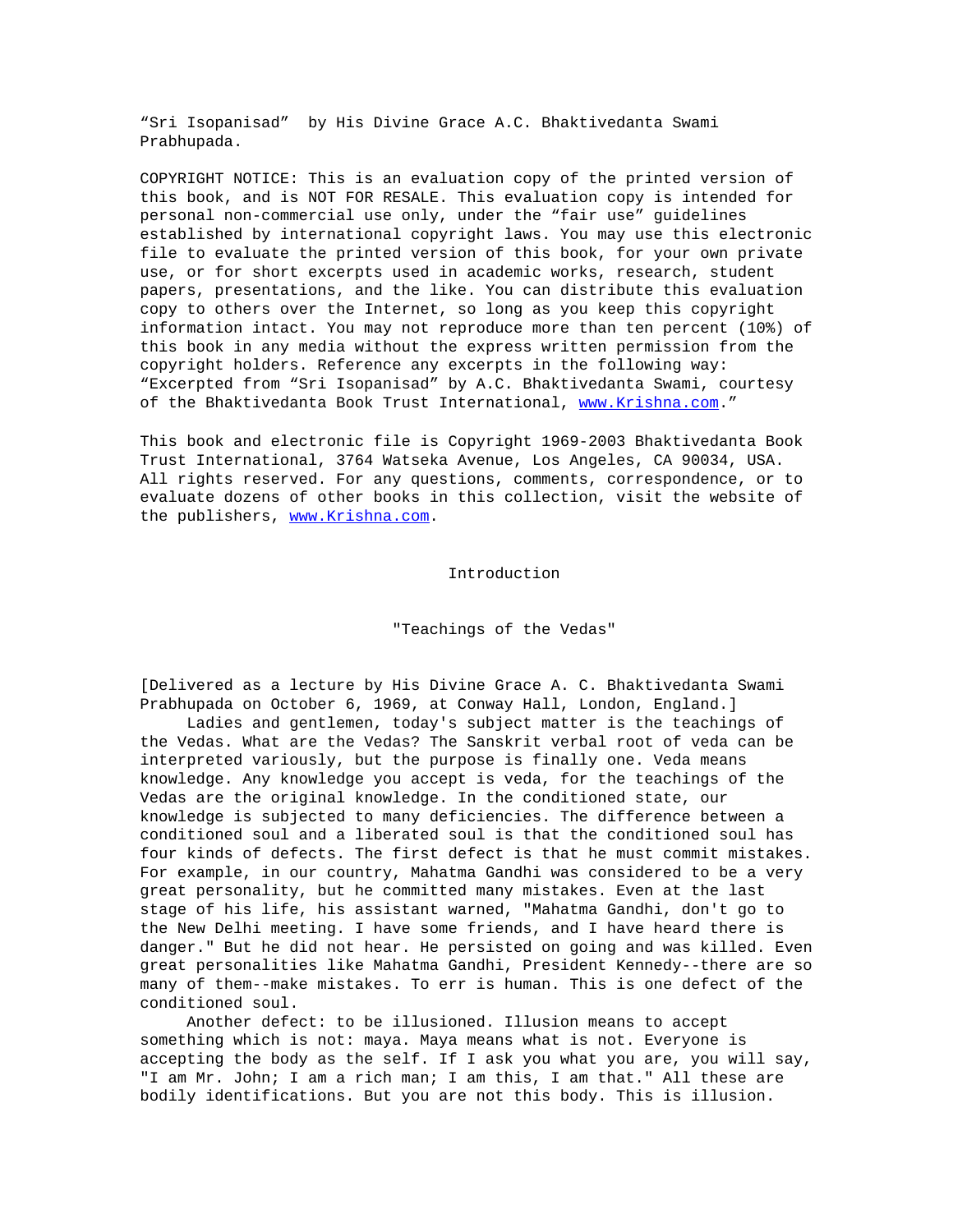"Sri Isopanisad" by His Divine Grace A.C. Bhaktivedanta Swami Prabhupada.

COPYRIGHT NOTICE: This is an evaluation copy of the printed version of this book, and is NOT FOR RESALE. This evaluation copy is intended for personal non-commercial use only, under the "fair use" guidelines established by international copyright laws. You may use this electronic file to evaluate the printed version of this book, for your own private use, or for short excerpts used in academic works, research, student papers, presentations, and the like. You can distribute this evaluation copy to others over the Internet, so long as you keep this copyright information intact. You may not reproduce more than ten percent (10%) of this book in any media without the express written permission from the copyright holders. Reference any excerpts in the following way: "Excerpted from "Sri Isopanisad" by A.C. Bhaktivedanta Swami, courtesy of the Bhaktivedanta Book Trust International, www.Krishna.com."

This book and electronic file is Copyright 1969-2003 Bhaktivedanta Book Trust International, 3764 Watseka Avenue, Los Angeles, CA 90034, USA. All rights reserved. For any questions, comments, correspondence, or to evaluate dozens of other books in this collection, visit the website of the publishers, www.Krishna.com.

#### Introduction

"Teachings of the Vedas"

[Delivered as a lecture by His Divine Grace A. C. Bhaktivedanta Swami Prabhupada on October 6, 1969, at Conway Hall, London, England.]

 Ladies and gentlemen, today's subject matter is the teachings of the Vedas. What are the Vedas? The Sanskrit verbal root of veda can be interpreted variously, but the purpose is finally one. Veda means knowledge. Any knowledge you accept is veda, for the teachings of the Vedas are the original knowledge. In the conditioned state, our knowledge is subjected to many deficiencies. The difference between a conditioned soul and a liberated soul is that the conditioned soul has four kinds of defects. The first defect is that he must commit mistakes. For example, in our country, Mahatma Gandhi was considered to be a very great personality, but he committed many mistakes. Even at the last stage of his life, his assistant warned, "Mahatma Gandhi, don't go to the New Delhi meeting. I have some friends, and I have heard there is danger." But he did not hear. He persisted on going and was killed. Even great personalities like Mahatma Gandhi, President Kennedy--there are so many of them--make mistakes. To err is human. This is one defect of the conditioned soul.

 Another defect: to be illusioned. Illusion means to accept something which is not: maya. Maya means what is not. Everyone is accepting the body as the self. If I ask you what you are, you will say, "I am Mr. John; I am a rich man; I am this, I am that." All these are bodily identifications. But you are not this body. This is illusion.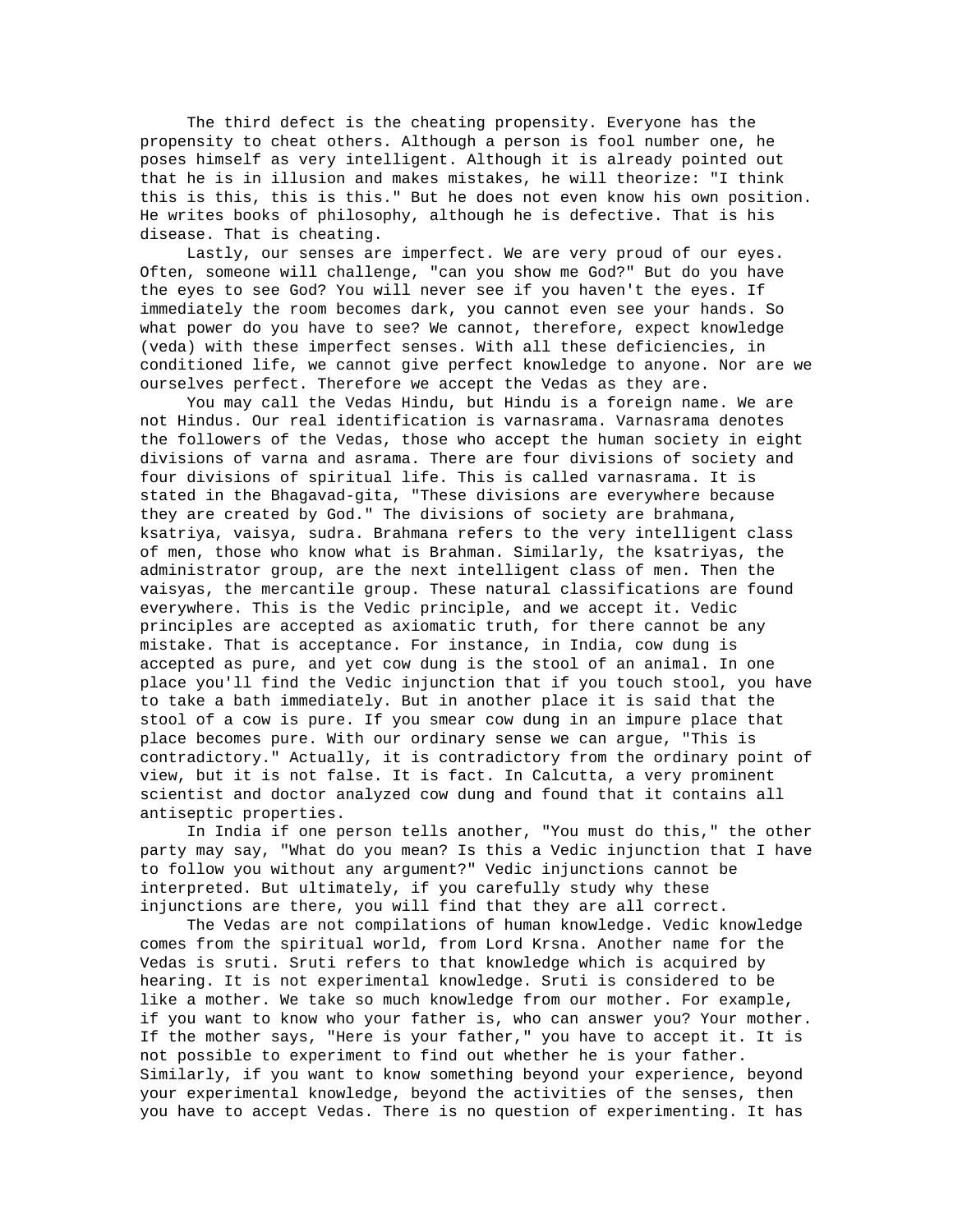The third defect is the cheating propensity. Everyone has the propensity to cheat others. Although a person is fool number one, he poses himself as very intelligent. Although it is already pointed out that he is in illusion and makes mistakes, he will theorize: "I think this is this, this is this." But he does not even know his own position. He writes books of philosophy, although he is defective. That is his disease. That is cheating.

 Lastly, our senses are imperfect. We are very proud of our eyes. Often, someone will challenge, "can you show me God?" But do you have the eyes to see God? You will never see if you haven't the eyes. If immediately the room becomes dark, you cannot even see your hands. So what power do you have to see? We cannot, therefore, expect knowledge (veda) with these imperfect senses. With all these deficiencies, in conditioned life, we cannot give perfect knowledge to anyone. Nor are we ourselves perfect. Therefore we accept the Vedas as they are.

 You may call the Vedas Hindu, but Hindu is a foreign name. We are not Hindus. Our real identification is varnasrama. Varnasrama denotes the followers of the Vedas, those who accept the human society in eight divisions of varna and asrama. There are four divisions of society and four divisions of spiritual life. This is called varnasrama. It is stated in the Bhagavad-gita, "These divisions are everywhere because they are created by God." The divisions of society are brahmana, ksatriya, vaisya, sudra. Brahmana refers to the very intelligent class of men, those who know what is Brahman. Similarly, the ksatriyas, the administrator group, are the next intelligent class of men. Then the vaisyas, the mercantile group. These natural classifications are found everywhere. This is the Vedic principle, and we accept it. Vedic principles are accepted as axiomatic truth, for there cannot be any mistake. That is acceptance. For instance, in India, cow dung is accepted as pure, and yet cow dung is the stool of an animal. In one place you'll find the Vedic injunction that if you touch stool, you have to take a bath immediately. But in another place it is said that the stool of a cow is pure. If you smear cow dung in an impure place that place becomes pure. With our ordinary sense we can argue, "This is contradictory." Actually, it is contradictory from the ordinary point of view, but it is not false. It is fact. In Calcutta, a very prominent scientist and doctor analyzed cow dung and found that it contains all antiseptic properties.

 In India if one person tells another, "You must do this," the other party may say, "What do you mean? Is this a Vedic injunction that I have to follow you without any argument?" Vedic injunctions cannot be interpreted. But ultimately, if you carefully study why these injunctions are there, you will find that they are all correct.

 The Vedas are not compilations of human knowledge. Vedic knowledge comes from the spiritual world, from Lord Krsna. Another name for the Vedas is sruti. Sruti refers to that knowledge which is acquired by hearing. It is not experimental knowledge. Sruti is considered to be like a mother. We take so much knowledge from our mother. For example, if you want to know who your father is, who can answer you? Your mother. If the mother says, "Here is your father," you have to accept it. It is not possible to experiment to find out whether he is your father. Similarly, if you want to know something beyond your experience, beyond your experimental knowledge, beyond the activities of the senses, then you have to accept Vedas. There is no question of experimenting. It has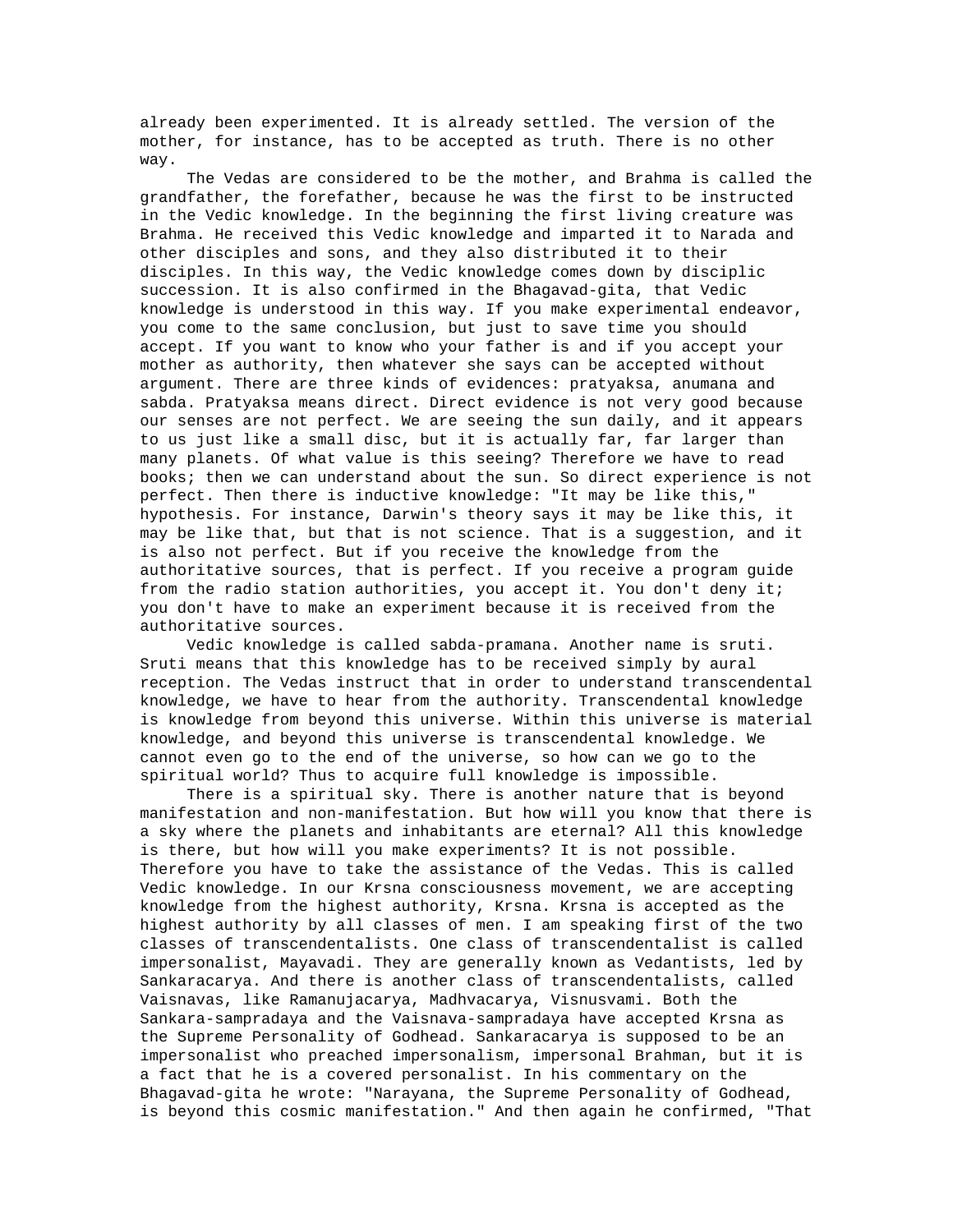already been experimented. It is already settled. The version of the mother, for instance, has to be accepted as truth. There is no other way.

 The Vedas are considered to be the mother, and Brahma is called the grandfather, the forefather, because he was the first to be instructed in the Vedic knowledge. In the beginning the first living creature was Brahma. He received this Vedic knowledge and imparted it to Narada and other disciples and sons, and they also distributed it to their disciples. In this way, the Vedic knowledge comes down by disciplic succession. It is also confirmed in the Bhagavad-gita, that Vedic knowledge is understood in this way. If you make experimental endeavor, you come to the same conclusion, but just to save time you should accept. If you want to know who your father is and if you accept your mother as authority, then whatever she says can be accepted without argument. There are three kinds of evidences: pratyaksa, anumana and sabda. Pratyaksa means direct. Direct evidence is not very good because our senses are not perfect. We are seeing the sun daily, and it appears to us just like a small disc, but it is actually far, far larger than many planets. Of what value is this seeing? Therefore we have to read books; then we can understand about the sun. So direct experience is not perfect. Then there is inductive knowledge: "It may be like this," hypothesis. For instance, Darwin's theory says it may be like this, it may be like that, but that is not science. That is a suggestion, and it is also not perfect. But if you receive the knowledge from the authoritative sources, that is perfect. If you receive a program guide from the radio station authorities, you accept it. You don't deny it; you don't have to make an experiment because it is received from the authoritative sources.

 Vedic knowledge is called sabda-pramana. Another name is sruti. Sruti means that this knowledge has to be received simply by aural reception. The Vedas instruct that in order to understand transcendental knowledge, we have to hear from the authority. Transcendental knowledge is knowledge from beyond this universe. Within this universe is material knowledge, and beyond this universe is transcendental knowledge. We cannot even go to the end of the universe, so how can we go to the spiritual world? Thus to acquire full knowledge is impossible.

 There is a spiritual sky. There is another nature that is beyond manifestation and non-manifestation. But how will you know that there is a sky where the planets and inhabitants are eternal? All this knowledge is there, but how will you make experiments? It is not possible. Therefore you have to take the assistance of the Vedas. This is called Vedic knowledge. In our Krsna consciousness movement, we are accepting knowledge from the highest authority, Krsna. Krsna is accepted as the highest authority by all classes of men. I am speaking first of the two classes of transcendentalists. One class of transcendentalist is called impersonalist, Mayavadi. They are generally known as Vedantists, led by Sankaracarya. And there is another class of transcendentalists, called Vaisnavas, like Ramanujacarya, Madhvacarya, Visnusvami. Both the Sankara-sampradaya and the Vaisnava-sampradaya have accepted Krsna as the Supreme Personality of Godhead. Sankaracarya is supposed to be an impersonalist who preached impersonalism, impersonal Brahman, but it is a fact that he is a covered personalist. In his commentary on the Bhagavad-gita he wrote: "Narayana, the Supreme Personality of Godhead, is beyond this cosmic manifestation." And then again he confirmed, "That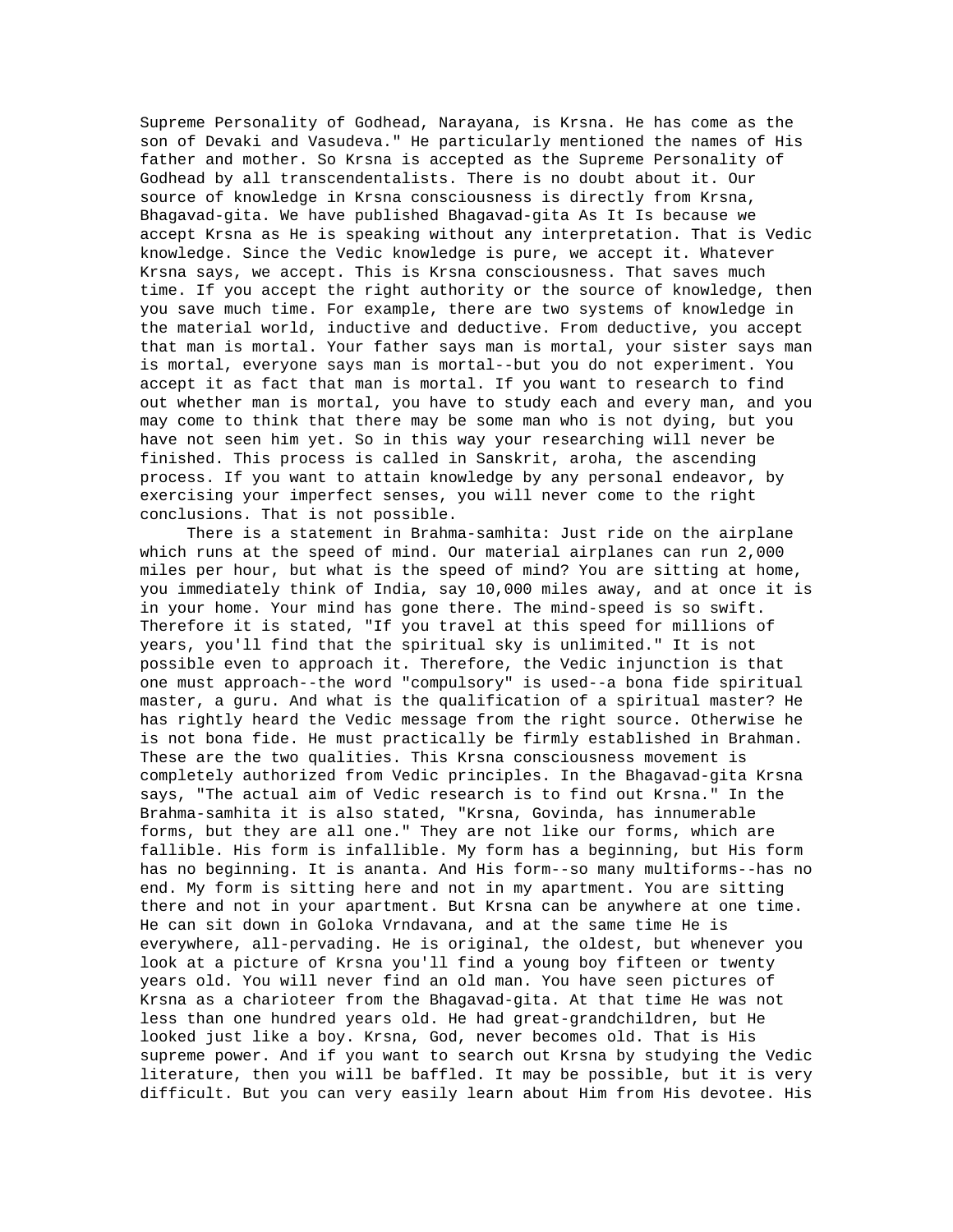Supreme Personality of Godhead, Narayana, is Krsna. He has come as the son of Devaki and Vasudeva." He particularly mentioned the names of His father and mother. So Krsna is accepted as the Supreme Personality of Godhead by all transcendentalists. There is no doubt about it. Our source of knowledge in Krsna consciousness is directly from Krsna, Bhagavad-gita. We have published Bhagavad-gita As It Is because we accept Krsna as He is speaking without any interpretation. That is Vedic knowledge. Since the Vedic knowledge is pure, we accept it. Whatever Krsna says, we accept. This is Krsna consciousness. That saves much time. If you accept the right authority or the source of knowledge, then you save much time. For example, there are two systems of knowledge in the material world, inductive and deductive. From deductive, you accept that man is mortal. Your father says man is mortal, your sister says man is mortal, everyone says man is mortal--but you do not experiment. You accept it as fact that man is mortal. If you want to research to find out whether man is mortal, you have to study each and every man, and you may come to think that there may be some man who is not dying, but you have not seen him yet. So in this way your researching will never be finished. This process is called in Sanskrit, aroha, the ascending process. If you want to attain knowledge by any personal endeavor, by exercising your imperfect senses, you will never come to the right conclusions. That is not possible.

 There is a statement in Brahma-samhita: Just ride on the airplane which runs at the speed of mind. Our material airplanes can run 2,000 miles per hour, but what is the speed of mind? You are sitting at home, you immediately think of India, say 10,000 miles away, and at once it is in your home. Your mind has gone there. The mind-speed is so swift. Therefore it is stated, "If you travel at this speed for millions of years, you'll find that the spiritual sky is unlimited." It is not possible even to approach it. Therefore, the Vedic injunction is that one must approach--the word "compulsory" is used--a bona fide spiritual master, a guru. And what is the qualification of a spiritual master? He has rightly heard the Vedic message from the right source. Otherwise he is not bona fide. He must practically be firmly established in Brahman. These are the two qualities. This Krsna consciousness movement is completely authorized from Vedic principles. In the Bhagavad-gita Krsna says, "The actual aim of Vedic research is to find out Krsna." In the Brahma-samhita it is also stated, "Krsna, Govinda, has innumerable forms, but they are all one." They are not like our forms, which are fallible. His form is infallible. My form has a beginning, but His form has no beginning. It is ananta. And His form--so many multiforms--has no end. My form is sitting here and not in my apartment. You are sitting there and not in your apartment. But Krsna can be anywhere at one time. He can sit down in Goloka Vrndavana, and at the same time He is everywhere, all-pervading. He is original, the oldest, but whenever you look at a picture of Krsna you'll find a young boy fifteen or twenty years old. You will never find an old man. You have seen pictures of Krsna as a charioteer from the Bhagavad-gita. At that time He was not less than one hundred years old. He had great-grandchildren, but He looked just like a boy. Krsna, God, never becomes old. That is His supreme power. And if you want to search out Krsna by studying the Vedic literature, then you will be baffled. It may be possible, but it is very difficult. But you can very easily learn about Him from His devotee. His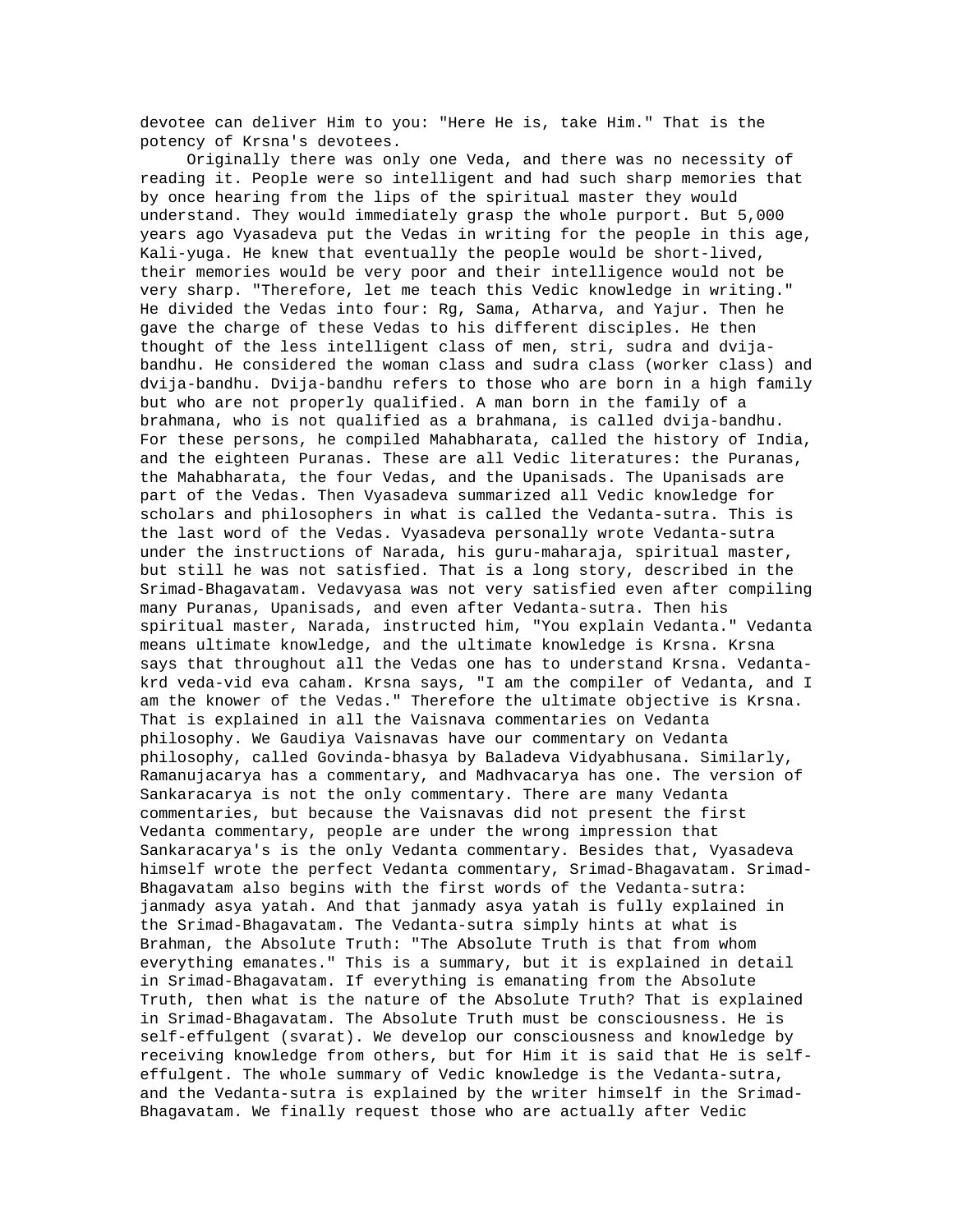devotee can deliver Him to you: "Here He is, take Him." That is the potency of Krsna's devotees.

 Originally there was only one Veda, and there was no necessity of reading it. People were so intelligent and had such sharp memories that by once hearing from the lips of the spiritual master they would understand. They would immediately grasp the whole purport. But 5,000 years ago Vyasadeva put the Vedas in writing for the people in this age, Kali-yuga. He knew that eventually the people would be short-lived, their memories would be very poor and their intelligence would not be very sharp. "Therefore, let me teach this Vedic knowledge in writing." He divided the Vedas into four: Rg, Sama, Atharva, and Yajur. Then he gave the charge of these Vedas to his different disciples. He then thought of the less intelligent class of men, stri, sudra and dvijabandhu. He considered the woman class and sudra class (worker class) and dvija-bandhu. Dvija-bandhu refers to those who are born in a high family but who are not properly qualified. A man born in the family of a brahmana, who is not qualified as a brahmana, is called dvija-bandhu. For these persons, he compiled Mahabharata, called the history of India, and the eighteen Puranas. These are all Vedic literatures: the Puranas, the Mahabharata, the four Vedas, and the Upanisads. The Upanisads are part of the Vedas. Then Vyasadeva summarized all Vedic knowledge for scholars and philosophers in what is called the Vedanta-sutra. This is the last word of the Vedas. Vyasadeva personally wrote Vedanta-sutra under the instructions of Narada, his guru-maharaja, spiritual master, but still he was not satisfied. That is a long story, described in the Srimad-Bhagavatam. Vedavyasa was not very satisfied even after compiling many Puranas, Upanisads, and even after Vedanta-sutra. Then his spiritual master, Narada, instructed him, "You explain Vedanta." Vedanta means ultimate knowledge, and the ultimate knowledge is Krsna. Krsna says that throughout all the Vedas one has to understand Krsna. Vedantakrd veda-vid eva caham. Krsna says, "I am the compiler of Vedanta, and I am the knower of the Vedas." Therefore the ultimate objective is Krsna. That is explained in all the Vaisnava commentaries on Vedanta philosophy. We Gaudiya Vaisnavas have our commentary on Vedanta philosophy, called Govinda-bhasya by Baladeva Vidyabhusana. Similarly, Ramanujacarya has a commentary, and Madhvacarya has one. The version of Sankaracarya is not the only commentary. There are many Vedanta commentaries, but because the Vaisnavas did not present the first Vedanta commentary, people are under the wrong impression that Sankaracarya's is the only Vedanta commentary. Besides that, Vyasadeva himself wrote the perfect Vedanta commentary, Srimad-Bhagavatam. Srimad-Bhagavatam also begins with the first words of the Vedanta-sutra: janmady asya yatah. And that janmady asya yatah is fully explained in the Srimad-Bhagavatam. The Vedanta-sutra simply hints at what is Brahman, the Absolute Truth: "The Absolute Truth is that from whom everything emanates." This is a summary, but it is explained in detail in Srimad-Bhagavatam. If everything is emanating from the Absolute Truth, then what is the nature of the Absolute Truth? That is explained in Srimad-Bhagavatam. The Absolute Truth must be consciousness. He is self-effulgent (svarat). We develop our consciousness and knowledge by receiving knowledge from others, but for Him it is said that He is selfeffulgent. The whole summary of Vedic knowledge is the Vedanta-sutra, and the Vedanta-sutra is explained by the writer himself in the Srimad-Bhagavatam. We finally request those who are actually after Vedic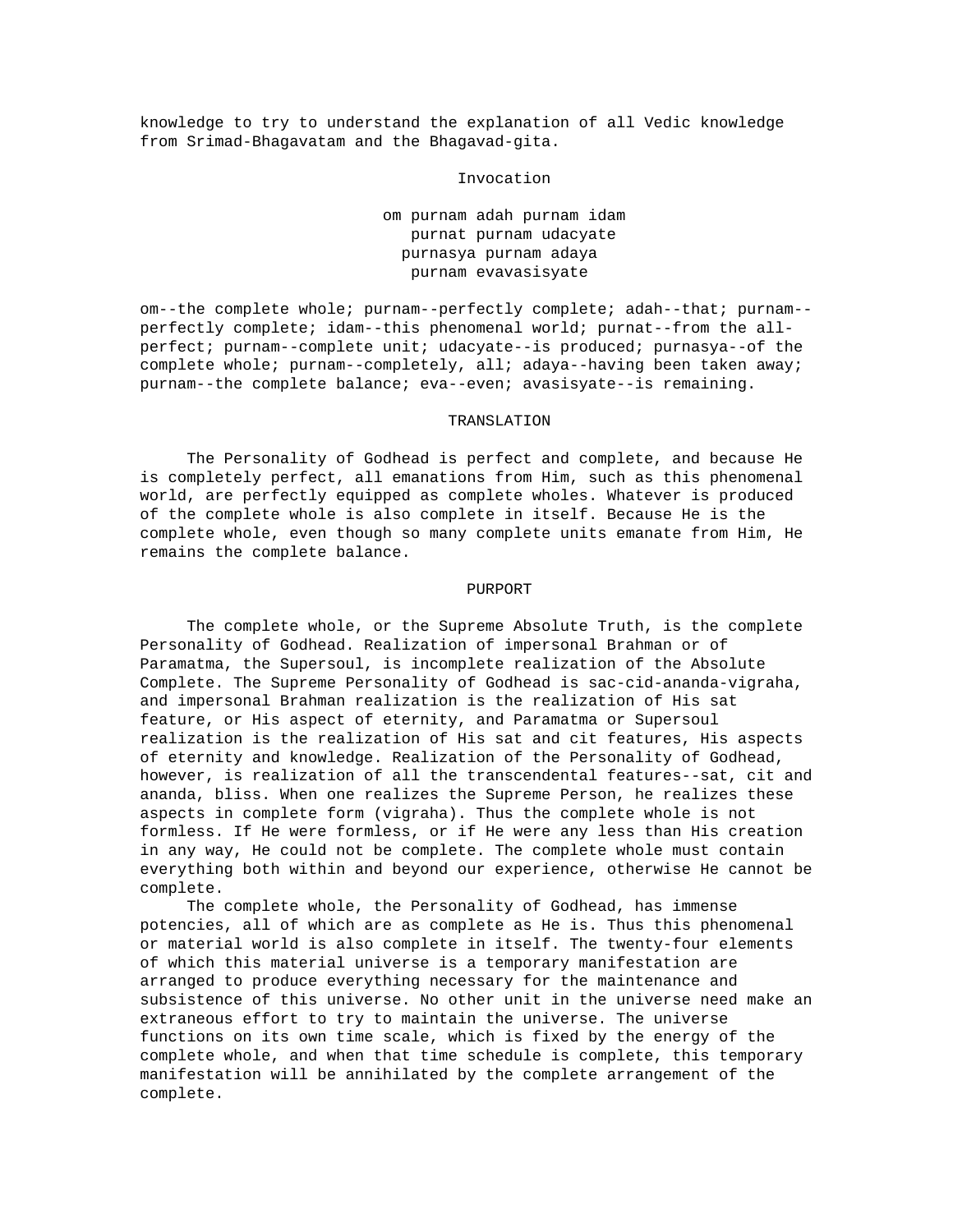knowledge to try to understand the explanation of all Vedic knowledge from Srimad-Bhagavatam and the Bhagavad-gita.

## Invocation

# om purnam adah purnam idam purnat purnam udacyate purnasya purnam adaya purnam evavasisyate

om--the complete whole; purnam--perfectly complete; adah--that; purnam- perfectly complete; idam--this phenomenal world; purnat--from the allperfect; purnam--complete unit; udacyate--is produced; purnasya--of the complete whole; purnam--completely, all; adaya--having been taken away; purnam--the complete balance; eva--even; avasisyate--is remaining.

## TRANSLATION

 The Personality of Godhead is perfect and complete, and because He is completely perfect, all emanations from Him, such as this phenomenal world, are perfectly equipped as complete wholes. Whatever is produced of the complete whole is also complete in itself. Because He is the complete whole, even though so many complete units emanate from Him, He remains the complete balance.

### PURPORT

 The complete whole, or the Supreme Absolute Truth, is the complete Personality of Godhead. Realization of impersonal Brahman or of Paramatma, the Supersoul, is incomplete realization of the Absolute Complete. The Supreme Personality of Godhead is sac-cid-ananda-vigraha, and impersonal Brahman realization is the realization of His sat feature, or His aspect of eternity, and Paramatma or Supersoul realization is the realization of His sat and cit features, His aspects of eternity and knowledge. Realization of the Personality of Godhead, however, is realization of all the transcendental features--sat, cit and ananda, bliss. When one realizes the Supreme Person, he realizes these aspects in complete form (vigraha). Thus the complete whole is not formless. If He were formless, or if He were any less than His creation in any way, He could not be complete. The complete whole must contain everything both within and beyond our experience, otherwise He cannot be complete.

 The complete whole, the Personality of Godhead, has immense potencies, all of which are as complete as He is. Thus this phenomenal or material world is also complete in itself. The twenty-four elements of which this material universe is a temporary manifestation are arranged to produce everything necessary for the maintenance and subsistence of this universe. No other unit in the universe need make an extraneous effort to try to maintain the universe. The universe functions on its own time scale, which is fixed by the energy of the complete whole, and when that time schedule is complete, this temporary manifestation will be annihilated by the complete arrangement of the complete.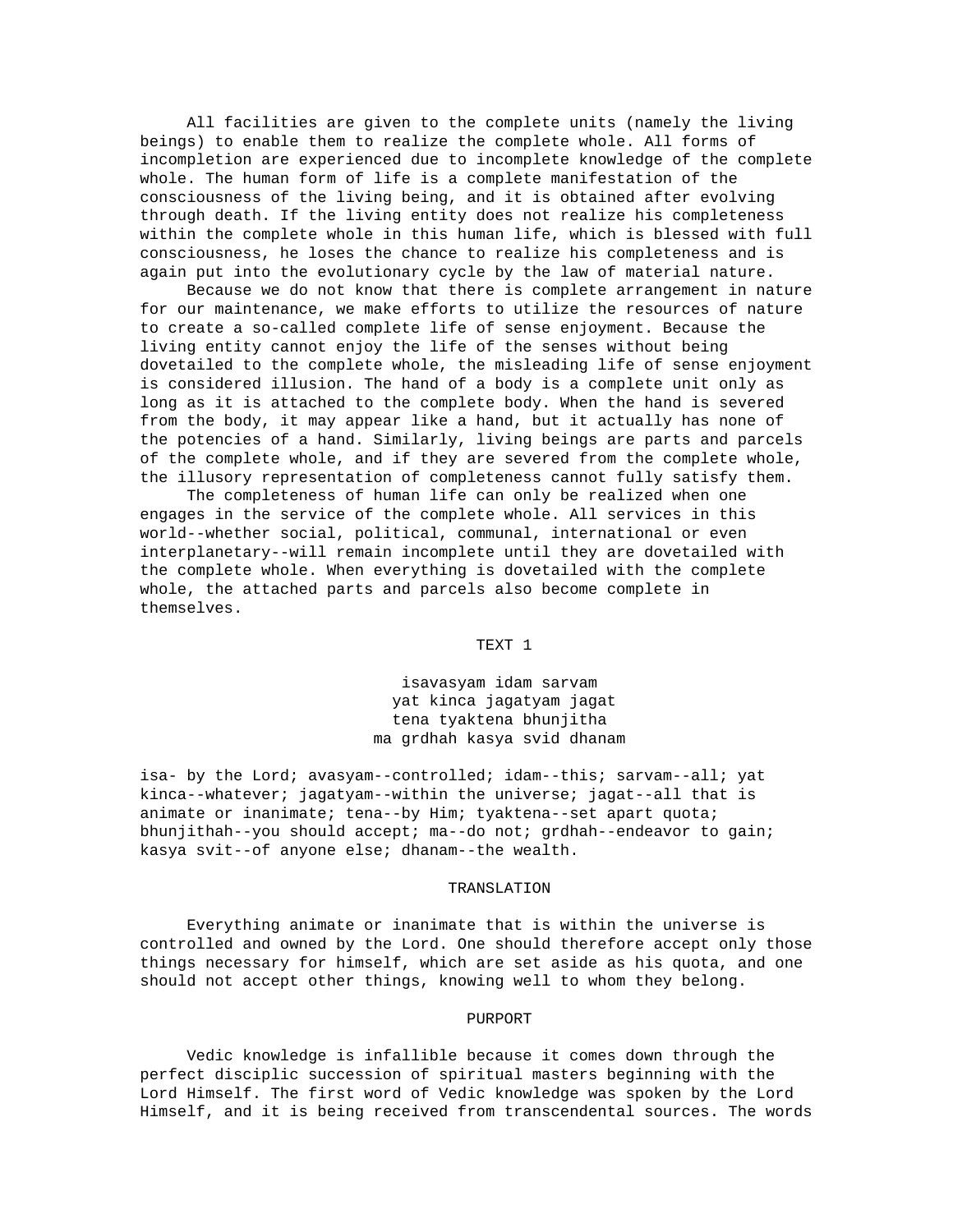All facilities are given to the complete units (namely the living beings) to enable them to realize the complete whole. All forms of incompletion are experienced due to incomplete knowledge of the complete whole. The human form of life is a complete manifestation of the consciousness of the living being, and it is obtained after evolving through death. If the living entity does not realize his completeness within the complete whole in this human life, which is blessed with full consciousness, he loses the chance to realize his completeness and is again put into the evolutionary cycle by the law of material nature.

 Because we do not know that there is complete arrangement in nature for our maintenance, we make efforts to utilize the resources of nature to create a so-called complete life of sense enjoyment. Because the living entity cannot enjoy the life of the senses without being dovetailed to the complete whole, the misleading life of sense enjoyment is considered illusion. The hand of a body is a complete unit only as long as it is attached to the complete body. When the hand is severed from the body, it may appear like a hand, but it actually has none of the potencies of a hand. Similarly, living beings are parts and parcels of the complete whole, and if they are severed from the complete whole, the illusory representation of completeness cannot fully satisfy them.

 The completeness of human life can only be realized when one engages in the service of the complete whole. All services in this world--whether social, political, communal, international or even interplanetary--will remain incomplete until they are dovetailed with the complete whole. When everything is dovetailed with the complete whole, the attached parts and parcels also become complete in themselves.

### TEXT 1

 isavasyam idam sarvam yat kinca jagatyam jagat tena tyaktena bhunjitha ma grdhah kasya svid dhanam

isa- by the Lord; avasyam--controlled; idam--this; sarvam--all; yat kinca--whatever; jagatyam--within the universe; jagat--all that is animate or inanimate; tena--by Him; tyaktena--set apart quota; bhunjithah--you should accept; ma--do not; grdhah--endeavor to gain; kasya svit--of anyone else; dhanam--the wealth.

## TRANSLATION

 Everything animate or inanimate that is within the universe is controlled and owned by the Lord. One should therefore accept only those things necessary for himself, which are set aside as his quota, and one should not accept other things, knowing well to whom they belong.

### PURPORT

 Vedic knowledge is infallible because it comes down through the perfect disciplic succession of spiritual masters beginning with the Lord Himself. The first word of Vedic knowledge was spoken by the Lord Himself, and it is being received from transcendental sources. The words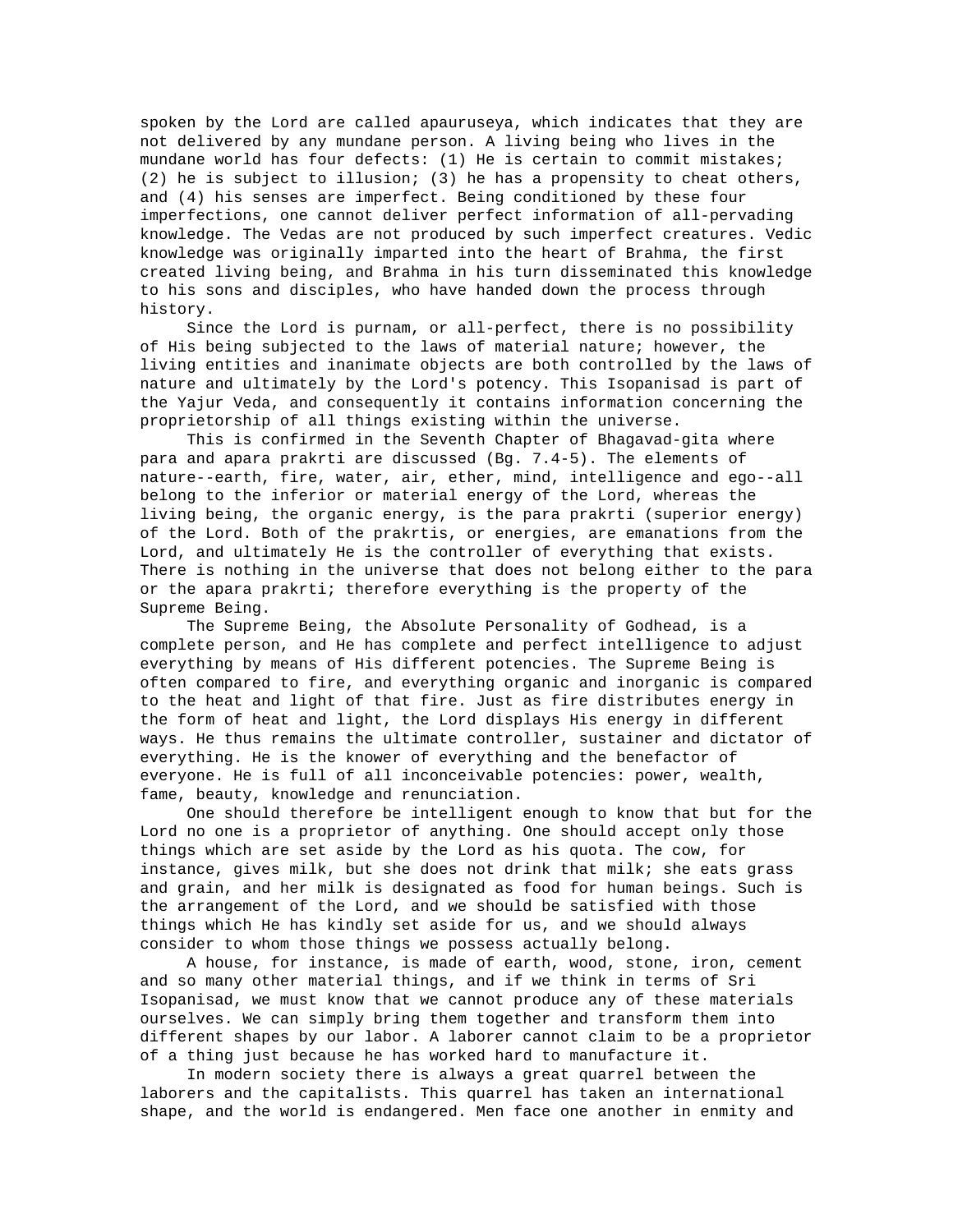spoken by the Lord are called apauruseya, which indicates that they are not delivered by any mundane person. A living being who lives in the mundane world has four defects: (1) He is certain to commit mistakes; (2) he is subject to illusion; (3) he has a propensity to cheat others, and (4) his senses are imperfect. Being conditioned by these four imperfections, one cannot deliver perfect information of all-pervading knowledge. The Vedas are not produced by such imperfect creatures. Vedic knowledge was originally imparted into the heart of Brahma, the first created living being, and Brahma in his turn disseminated this knowledge to his sons and disciples, who have handed down the process through history.

 Since the Lord is purnam, or all-perfect, there is no possibility of His being subjected to the laws of material nature; however, the living entities and inanimate objects are both controlled by the laws of nature and ultimately by the Lord's potency. This Isopanisad is part of the Yajur Veda, and consequently it contains information concerning the proprietorship of all things existing within the universe.

 This is confirmed in the Seventh Chapter of Bhagavad-gita where para and apara prakrti are discussed (Bg. 7.4-5). The elements of nature--earth, fire, water, air, ether, mind, intelligence and ego--all belong to the inferior or material energy of the Lord, whereas the living being, the organic energy, is the para prakrti (superior energy) of the Lord. Both of the prakrtis, or energies, are emanations from the Lord, and ultimately He is the controller of everything that exists. There is nothing in the universe that does not belong either to the para or the apara prakrti; therefore everything is the property of the Supreme Being.

 The Supreme Being, the Absolute Personality of Godhead, is a complete person, and He has complete and perfect intelligence to adjust everything by means of His different potencies. The Supreme Being is often compared to fire, and everything organic and inorganic is compared to the heat and light of that fire. Just as fire distributes energy in the form of heat and light, the Lord displays His energy in different ways. He thus remains the ultimate controller, sustainer and dictator of everything. He is the knower of everything and the benefactor of everyone. He is full of all inconceivable potencies: power, wealth, fame, beauty, knowledge and renunciation.

 One should therefore be intelligent enough to know that but for the Lord no one is a proprietor of anything. One should accept only those things which are set aside by the Lord as his quota. The cow, for instance, gives milk, but she does not drink that milk; she eats grass and grain, and her milk is designated as food for human beings. Such is the arrangement of the Lord, and we should be satisfied with those things which He has kindly set aside for us, and we should always consider to whom those things we possess actually belong.

 A house, for instance, is made of earth, wood, stone, iron, cement and so many other material things, and if we think in terms of Sri Isopanisad, we must know that we cannot produce any of these materials ourselves. We can simply bring them together and transform them into different shapes by our labor. A laborer cannot claim to be a proprietor of a thing just because he has worked hard to manufacture it.

 In modern society there is always a great quarrel between the laborers and the capitalists. This quarrel has taken an international shape, and the world is endangered. Men face one another in enmity and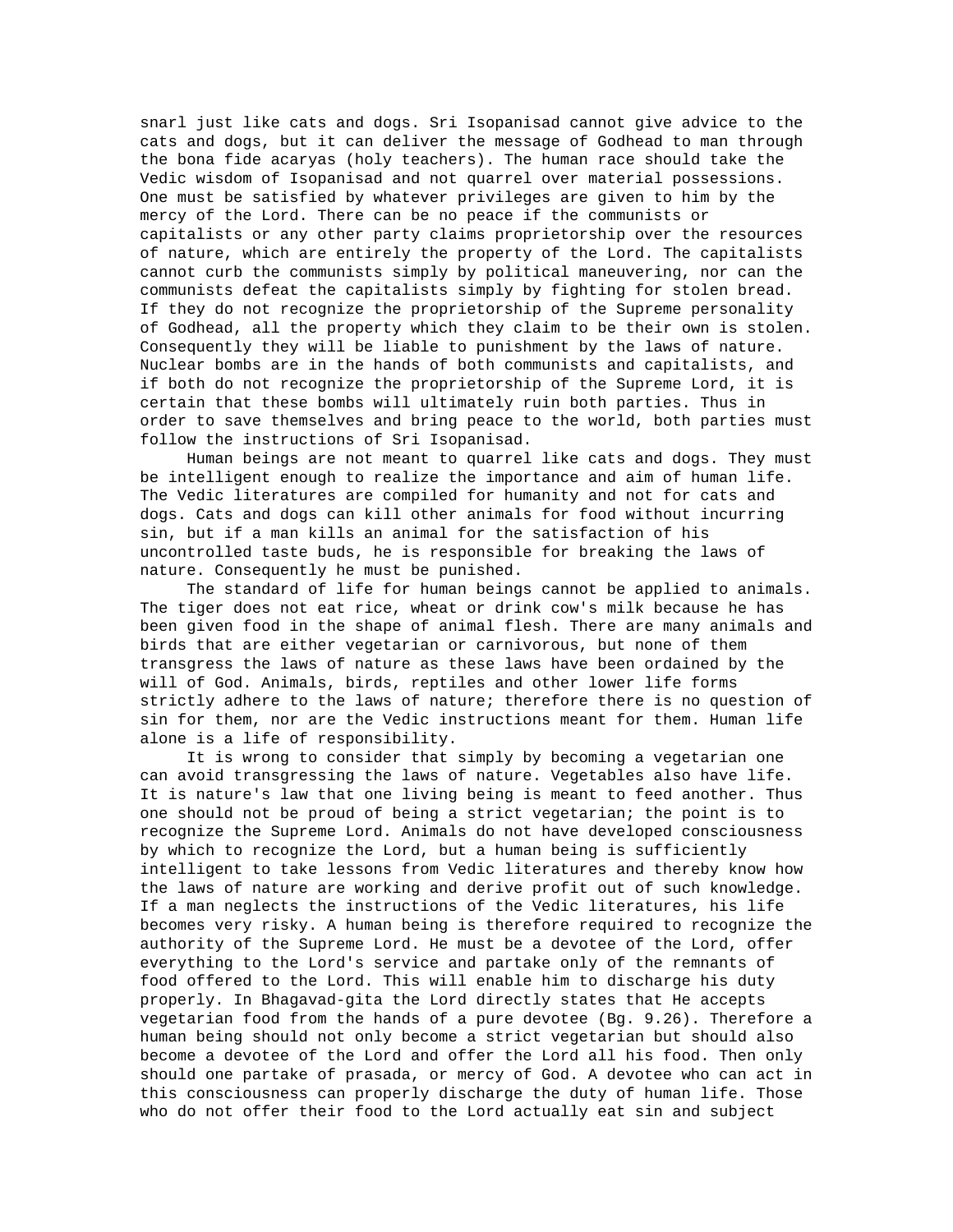snarl just like cats and dogs. Sri Isopanisad cannot give advice to the cats and dogs, but it can deliver the message of Godhead to man through the bona fide acaryas (holy teachers). The human race should take the Vedic wisdom of Isopanisad and not quarrel over material possessions. One must be satisfied by whatever privileges are given to him by the mercy of the Lord. There can be no peace if the communists or capitalists or any other party claims proprietorship over the resources of nature, which are entirely the property of the Lord. The capitalists cannot curb the communists simply by political maneuvering, nor can the communists defeat the capitalists simply by fighting for stolen bread. If they do not recognize the proprietorship of the Supreme personality of Godhead, all the property which they claim to be their own is stolen. Consequently they will be liable to punishment by the laws of nature. Nuclear bombs are in the hands of both communists and capitalists, and if both do not recognize the proprietorship of the Supreme Lord, it is certain that these bombs will ultimately ruin both parties. Thus in order to save themselves and bring peace to the world, both parties must follow the instructions of Sri Isopanisad.

 Human beings are not meant to quarrel like cats and dogs. They must be intelligent enough to realize the importance and aim of human life. The Vedic literatures are compiled for humanity and not for cats and dogs. Cats and dogs can kill other animals for food without incurring sin, but if a man kills an animal for the satisfaction of his uncontrolled taste buds, he is responsible for breaking the laws of nature. Consequently he must be punished.

 The standard of life for human beings cannot be applied to animals. The tiger does not eat rice, wheat or drink cow's milk because he has been given food in the shape of animal flesh. There are many animals and birds that are either vegetarian or carnivorous, but none of them transgress the laws of nature as these laws have been ordained by the will of God. Animals, birds, reptiles and other lower life forms strictly adhere to the laws of nature; therefore there is no question of sin for them, nor are the Vedic instructions meant for them. Human life alone is a life of responsibility.

 It is wrong to consider that simply by becoming a vegetarian one can avoid transgressing the laws of nature. Vegetables also have life. It is nature's law that one living being is meant to feed another. Thus one should not be proud of being a strict vegetarian; the point is to recognize the Supreme Lord. Animals do not have developed consciousness by which to recognize the Lord, but a human being is sufficiently intelligent to take lessons from Vedic literatures and thereby know how the laws of nature are working and derive profit out of such knowledge. If a man neglects the instructions of the Vedic literatures, his life becomes very risky. A human being is therefore required to recognize the authority of the Supreme Lord. He must be a devotee of the Lord, offer everything to the Lord's service and partake only of the remnants of food offered to the Lord. This will enable him to discharge his duty properly. In Bhagavad-gita the Lord directly states that He accepts vegetarian food from the hands of a pure devotee (Bg. 9.26). Therefore a human being should not only become a strict vegetarian but should also become a devotee of the Lord and offer the Lord all his food. Then only should one partake of prasada, or mercy of God. A devotee who can act in this consciousness can properly discharge the duty of human life. Those who do not offer their food to the Lord actually eat sin and subject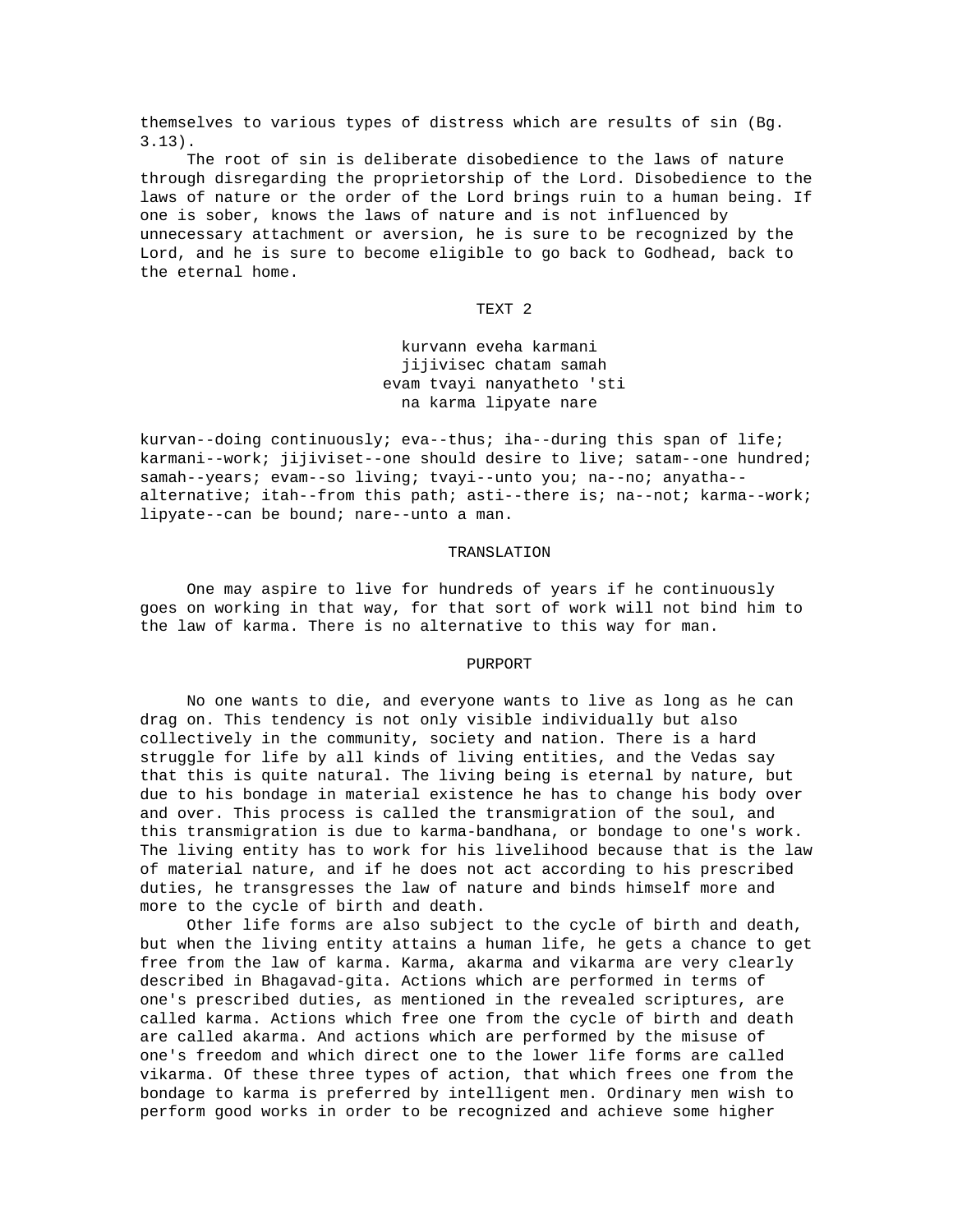themselves to various types of distress which are results of sin (Bg. 3.13).

 The root of sin is deliberate disobedience to the laws of nature through disregarding the proprietorship of the Lord. Disobedience to the laws of nature or the order of the Lord brings ruin to a human being. If one is sober, knows the laws of nature and is not influenced by unnecessary attachment or aversion, he is sure to be recognized by the Lord, and he is sure to become eligible to go back to Godhead, back to the eternal home.

### TEXT 2

 kurvann eveha karmani jijivisec chatam samah evam tvayi nanyatheto 'sti na karma lipyate nare

kurvan--doing continuously; eva--thus; iha--during this span of life; karmani--work; jijiviset--one should desire to live; satam--one hundred; samah--years; evam--so living; tvayi--unto you; na--no; anyatha- alternative; itah--from this path; asti--there is; na--not; karma--work; lipyate--can be bound; nare--unto a man.

## TRANSLATION

 One may aspire to live for hundreds of years if he continuously goes on working in that way, for that sort of work will not bind him to the law of karma. There is no alternative to this way for man.

#### PURPORT

 No one wants to die, and everyone wants to live as long as he can drag on. This tendency is not only visible individually but also collectively in the community, society and nation. There is a hard struggle for life by all kinds of living entities, and the Vedas say that this is quite natural. The living being is eternal by nature, but due to his bondage in material existence he has to change his body over and over. This process is called the transmigration of the soul, and this transmigration is due to karma-bandhana, or bondage to one's work. The living entity has to work for his livelihood because that is the law of material nature, and if he does not act according to his prescribed duties, he transgresses the law of nature and binds himself more and more to the cycle of birth and death.

 Other life forms are also subject to the cycle of birth and death, but when the living entity attains a human life, he gets a chance to get free from the law of karma. Karma, akarma and vikarma are very clearly described in Bhagavad-gita. Actions which are performed in terms of one's prescribed duties, as mentioned in the revealed scriptures, are called karma. Actions which free one from the cycle of birth and death are called akarma. And actions which are performed by the misuse of one's freedom and which direct one to the lower life forms are called vikarma. Of these three types of action, that which frees one from the bondage to karma is preferred by intelligent men. Ordinary men wish to perform good works in order to be recognized and achieve some higher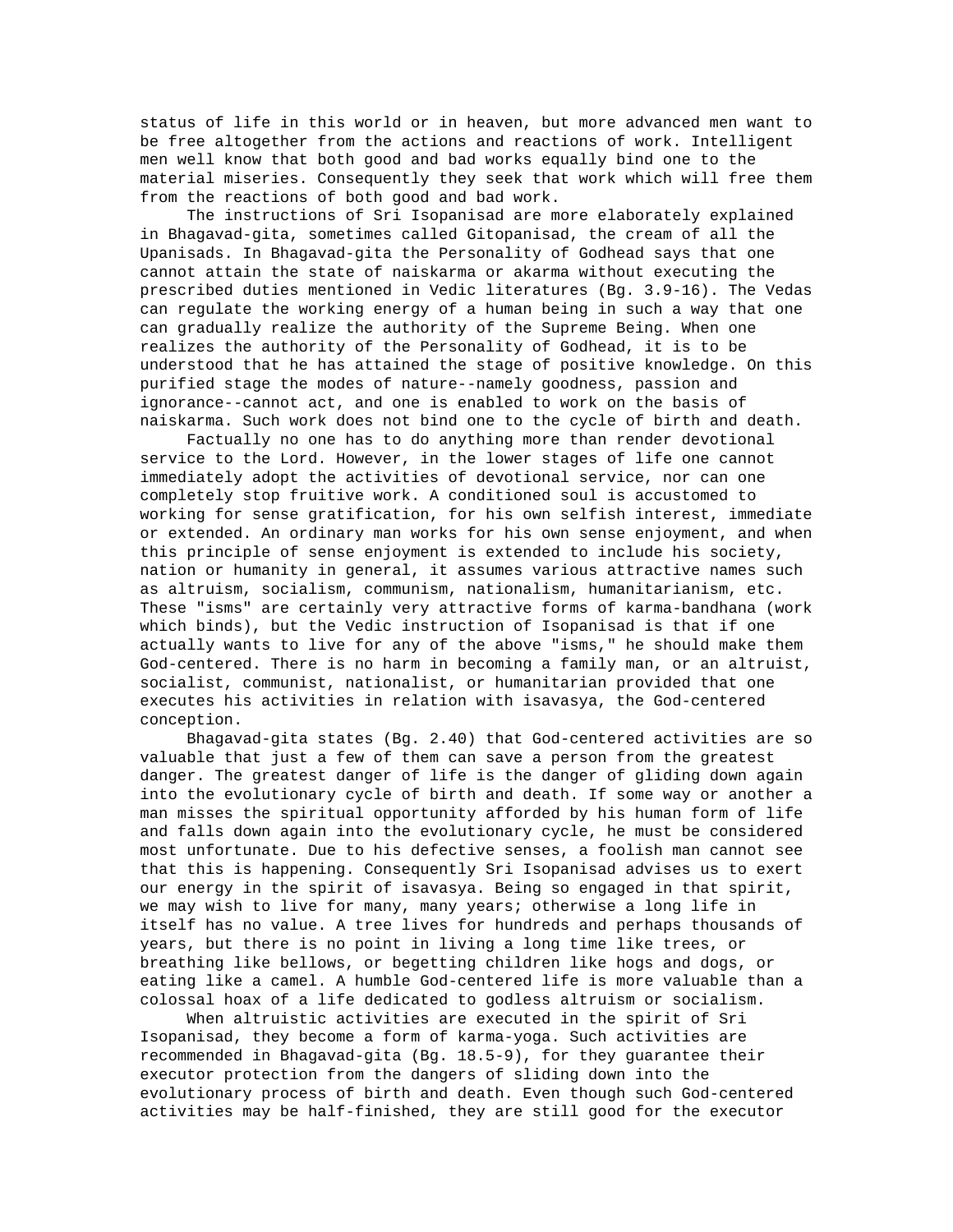status of life in this world or in heaven, but more advanced men want to be free altogether from the actions and reactions of work. Intelligent men well know that both good and bad works equally bind one to the material miseries. Consequently they seek that work which will free them from the reactions of both good and bad work.

 The instructions of Sri Isopanisad are more elaborately explained in Bhagavad-gita, sometimes called Gitopanisad, the cream of all the Upanisads. In Bhagavad-gita the Personality of Godhead says that one cannot attain the state of naiskarma or akarma without executing the prescribed duties mentioned in Vedic literatures (Bg. 3.9-16). The Vedas can regulate the working energy of a human being in such a way that one can gradually realize the authority of the Supreme Being. When one realizes the authority of the Personality of Godhead, it is to be understood that he has attained the stage of positive knowledge. On this purified stage the modes of nature--namely goodness, passion and ignorance--cannot act, and one is enabled to work on the basis of naiskarma. Such work does not bind one to the cycle of birth and death.

 Factually no one has to do anything more than render devotional service to the Lord. However, in the lower stages of life one cannot immediately adopt the activities of devotional service, nor can one completely stop fruitive work. A conditioned soul is accustomed to working for sense gratification, for his own selfish interest, immediate or extended. An ordinary man works for his own sense enjoyment, and when this principle of sense enjoyment is extended to include his society, nation or humanity in general, it assumes various attractive names such as altruism, socialism, communism, nationalism, humanitarianism, etc. These "isms" are certainly very attractive forms of karma-bandhana (work which binds), but the Vedic instruction of Isopanisad is that if one actually wants to live for any of the above "isms," he should make them God-centered. There is no harm in becoming a family man, or an altruist, socialist, communist, nationalist, or humanitarian provided that one executes his activities in relation with isavasya, the God-centered conception.

 Bhagavad-gita states (Bg. 2.40) that God-centered activities are so valuable that just a few of them can save a person from the greatest danger. The greatest danger of life is the danger of gliding down again into the evolutionary cycle of birth and death. If some way or another a man misses the spiritual opportunity afforded by his human form of life and falls down again into the evolutionary cycle, he must be considered most unfortunate. Due to his defective senses, a foolish man cannot see that this is happening. Consequently Sri Isopanisad advises us to exert our energy in the spirit of isavasya. Being so engaged in that spirit, we may wish to live for many, many years; otherwise a long life in itself has no value. A tree lives for hundreds and perhaps thousands of years, but there is no point in living a long time like trees, or breathing like bellows, or begetting children like hogs and dogs, or eating like a camel. A humble God-centered life is more valuable than a colossal hoax of a life dedicated to godless altruism or socialism.

 When altruistic activities are executed in the spirit of Sri Isopanisad, they become a form of karma-yoga. Such activities are recommended in Bhagavad-gita (Bg. 18.5-9), for they guarantee their executor protection from the dangers of sliding down into the evolutionary process of birth and death. Even though such God-centered activities may be half-finished, they are still good for the executor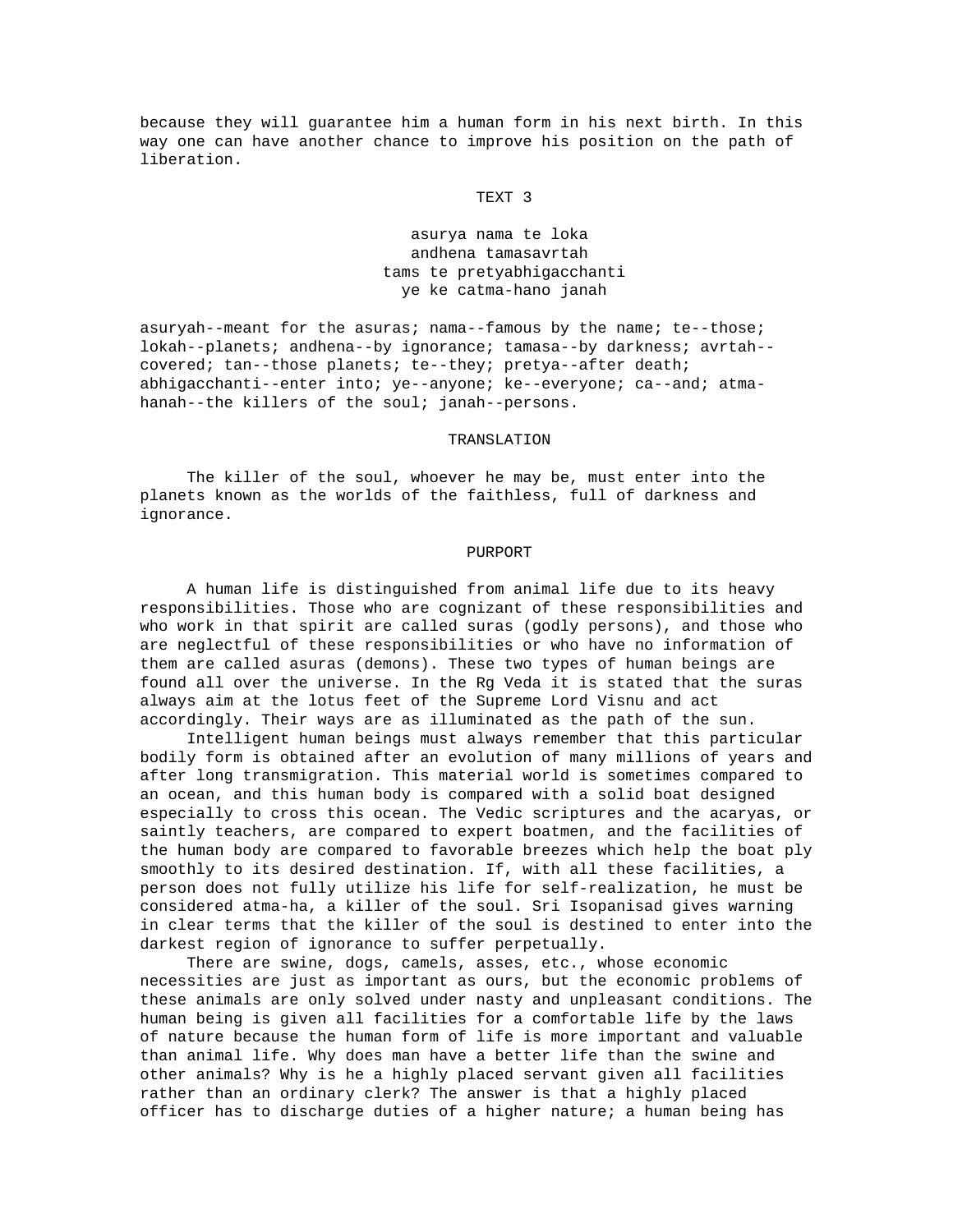because they will guarantee him a human form in his next birth. In this way one can have another chance to improve his position on the path of liberation.

## TEXT 3

# asurya nama te loka andhena tamasavrtah tams te pretyabhigacchanti ye ke catma-hano janah

asuryah--meant for the asuras; nama--famous by the name; te--those; lokah--planets; andhena--by ignorance; tamasa--by darkness; avrtah- covered; tan--those planets; te--they; pretya--after death; abhigacchanti--enter into; ye--anyone; ke--everyone; ca--and; atmahanah--the killers of the soul; janah--persons.

#### TRANSLATION

 The killer of the soul, whoever he may be, must enter into the planets known as the worlds of the faithless, full of darkness and ignorance.

### PURPORT

 A human life is distinguished from animal life due to its heavy responsibilities. Those who are cognizant of these responsibilities and who work in that spirit are called suras (godly persons), and those who are neglectful of these responsibilities or who have no information of them are called asuras (demons). These two types of human beings are found all over the universe. In the Rg Veda it is stated that the suras always aim at the lotus feet of the Supreme Lord Visnu and act accordingly. Their ways are as illuminated as the path of the sun.

 Intelligent human beings must always remember that this particular bodily form is obtained after an evolution of many millions of years and after long transmigration. This material world is sometimes compared to an ocean, and this human body is compared with a solid boat designed especially to cross this ocean. The Vedic scriptures and the acaryas, or saintly teachers, are compared to expert boatmen, and the facilities of the human body are compared to favorable breezes which help the boat ply smoothly to its desired destination. If, with all these facilities, a person does not fully utilize his life for self-realization, he must be considered atma-ha, a killer of the soul. Sri Isopanisad gives warning in clear terms that the killer of the soul is destined to enter into the darkest region of ignorance to suffer perpetually.

 There are swine, dogs, camels, asses, etc., whose economic necessities are just as important as ours, but the economic problems of these animals are only solved under nasty and unpleasant conditions. The human being is given all facilities for a comfortable life by the laws of nature because the human form of life is more important and valuable than animal life. Why does man have a better life than the swine and other animals? Why is he a highly placed servant given all facilities rather than an ordinary clerk? The answer is that a highly placed officer has to discharge duties of a higher nature; a human being has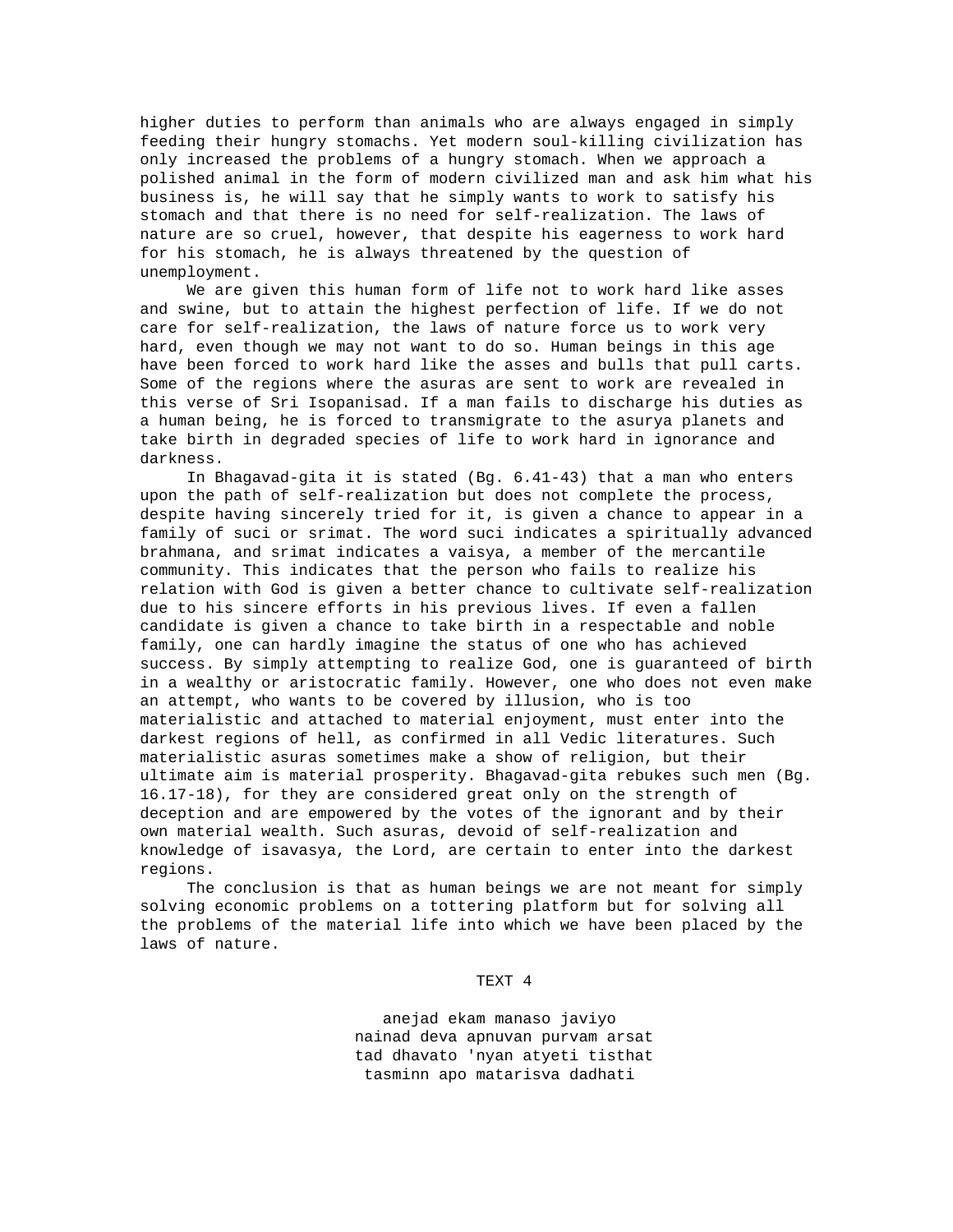higher duties to perform than animals who are always engaged in simply feeding their hungry stomachs. Yet modern soul-killing civilization has only increased the problems of a hungry stomach. When we approach a polished animal in the form of modern civilized man and ask him what his business is, he will say that he simply wants to work to satisfy his stomach and that there is no need for self-realization. The laws of nature are so cruel, however, that despite his eagerness to work hard for his stomach, he is always threatened by the question of unemployment.

 We are given this human form of life not to work hard like asses and swine, but to attain the highest perfection of life. If we do not care for self-realization, the laws of nature force us to work very hard, even though we may not want to do so. Human beings in this age have been forced to work hard like the asses and bulls that pull carts. Some of the regions where the asuras are sent to work are revealed in this verse of Sri Isopanisad. If a man fails to discharge his duties as a human being, he is forced to transmigrate to the asurya planets and take birth in degraded species of life to work hard in ignorance and darkness.

 In Bhagavad-gita it is stated (Bg. 6.41-43) that a man who enters upon the path of self-realization but does not complete the process, despite having sincerely tried for it, is given a chance to appear in a family of suci or srimat. The word suci indicates a spiritually advanced brahmana, and srimat indicates a vaisya, a member of the mercantile community. This indicates that the person who fails to realize his relation with God is given a better chance to cultivate self-realization due to his sincere efforts in his previous lives. If even a fallen candidate is given a chance to take birth in a respectable and noble family, one can hardly imagine the status of one who has achieved success. By simply attempting to realize God, one is guaranteed of birth in a wealthy or aristocratic family. However, one who does not even make an attempt, who wants to be covered by illusion, who is too materialistic and attached to material enjoyment, must enter into the darkest regions of hell, as confirmed in all Vedic literatures. Such materialistic asuras sometimes make a show of religion, but their ultimate aim is material prosperity. Bhagavad-gita rebukes such men (Bg. 16.17-18), for they are considered great only on the strength of deception and are empowered by the votes of the ignorant and by their own material wealth. Such asuras, devoid of self-realization and knowledge of isavasya, the Lord, are certain to enter into the darkest regions.

 The conclusion is that as human beings we are not meant for simply solving economic problems on a tottering platform but for solving all the problems of the material life into which we have been placed by the laws of nature.

#### TEXT 4

 anejad ekam manaso javiyo nainad deva apnuvan purvam arsat tad dhavato 'nyan atyeti tisthat tasminn apo matarisva dadhati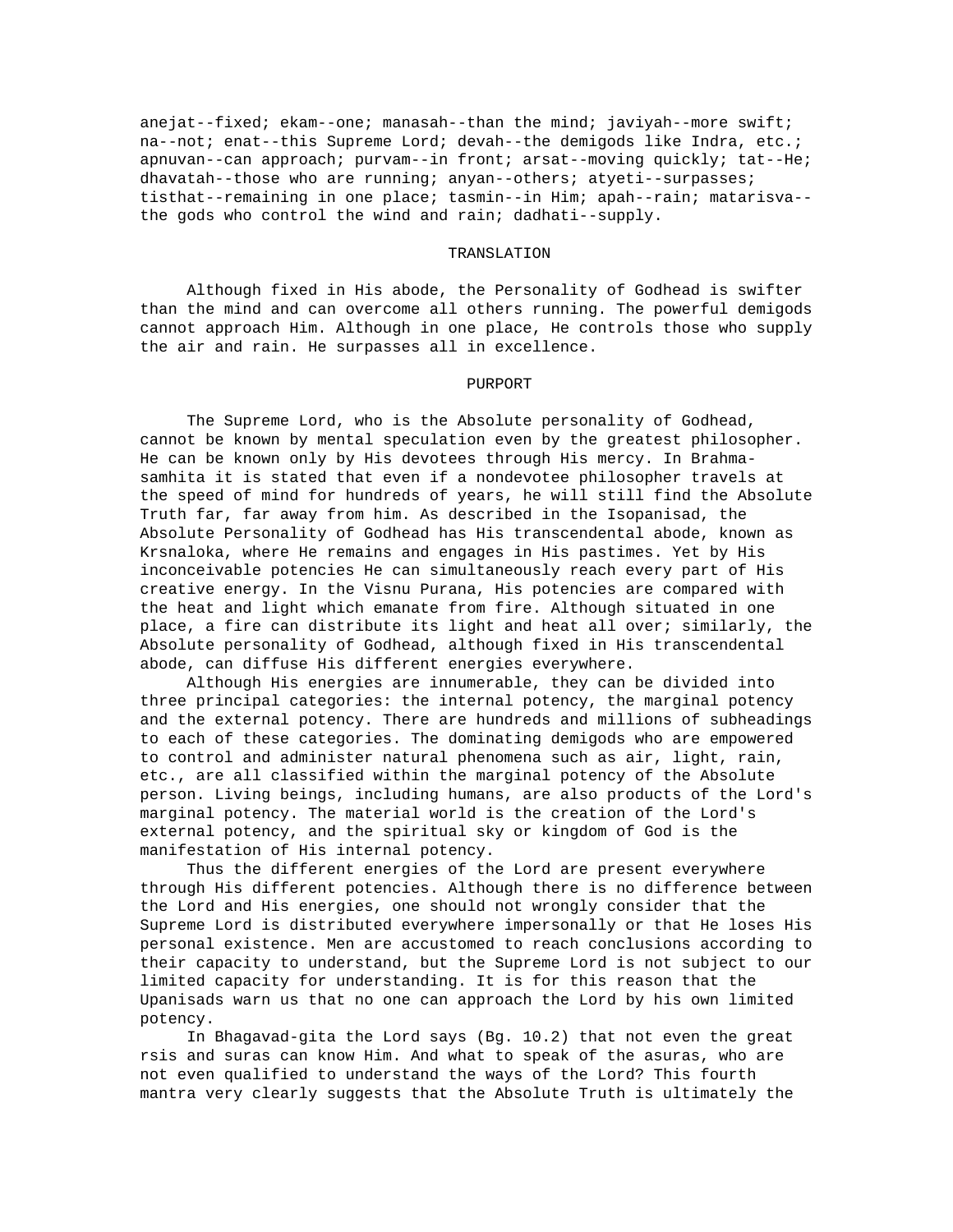anejat--fixed; ekam--one; manasah--than the mind; javiyah--more swift; na--not; enat--this Supreme Lord; devah--the demigods like Indra, etc.; apnuvan--can approach; purvam--in front; arsat--moving quickly; tat--He; dhavatah--those who are running; anyan--others; atyeti--surpasses; tisthat--remaining in one place; tasmin--in Him; apah--rain; matarisva- the gods who control the wind and rain; dadhati--supply.

### TRANSLATION

 Although fixed in His abode, the Personality of Godhead is swifter than the mind and can overcome all others running. The powerful demigods cannot approach Him. Although in one place, He controls those who supply the air and rain. He surpasses all in excellence.

#### PURPORT

 The Supreme Lord, who is the Absolute personality of Godhead, cannot be known by mental speculation even by the greatest philosopher. He can be known only by His devotees through His mercy. In Brahmasamhita it is stated that even if a nondevotee philosopher travels at the speed of mind for hundreds of years, he will still find the Absolute Truth far, far away from him. As described in the Isopanisad, the Absolute Personality of Godhead has His transcendental abode, known as Krsnaloka, where He remains and engages in His pastimes. Yet by His inconceivable potencies He can simultaneously reach every part of His creative energy. In the Visnu Purana, His potencies are compared with the heat and light which emanate from fire. Although situated in one place, a fire can distribute its light and heat all over; similarly, the Absolute personality of Godhead, although fixed in His transcendental abode, can diffuse His different energies everywhere.

 Although His energies are innumerable, they can be divided into three principal categories: the internal potency, the marginal potency and the external potency. There are hundreds and millions of subheadings to each of these categories. The dominating demigods who are empowered to control and administer natural phenomena such as air, light, rain, etc., are all classified within the marginal potency of the Absolute person. Living beings, including humans, are also products of the Lord's marginal potency. The material world is the creation of the Lord's external potency, and the spiritual sky or kingdom of God is the manifestation of His internal potency.

 Thus the different energies of the Lord are present everywhere through His different potencies. Although there is no difference between the Lord and His energies, one should not wrongly consider that the Supreme Lord is distributed everywhere impersonally or that He loses His personal existence. Men are accustomed to reach conclusions according to their capacity to understand, but the Supreme Lord is not subject to our limited capacity for understanding. It is for this reason that the Upanisads warn us that no one can approach the Lord by his own limited potency.

 In Bhagavad-gita the Lord says (Bg. 10.2) that not even the great rsis and suras can know Him. And what to speak of the asuras, who are not even qualified to understand the ways of the Lord? This fourth mantra very clearly suggests that the Absolute Truth is ultimately the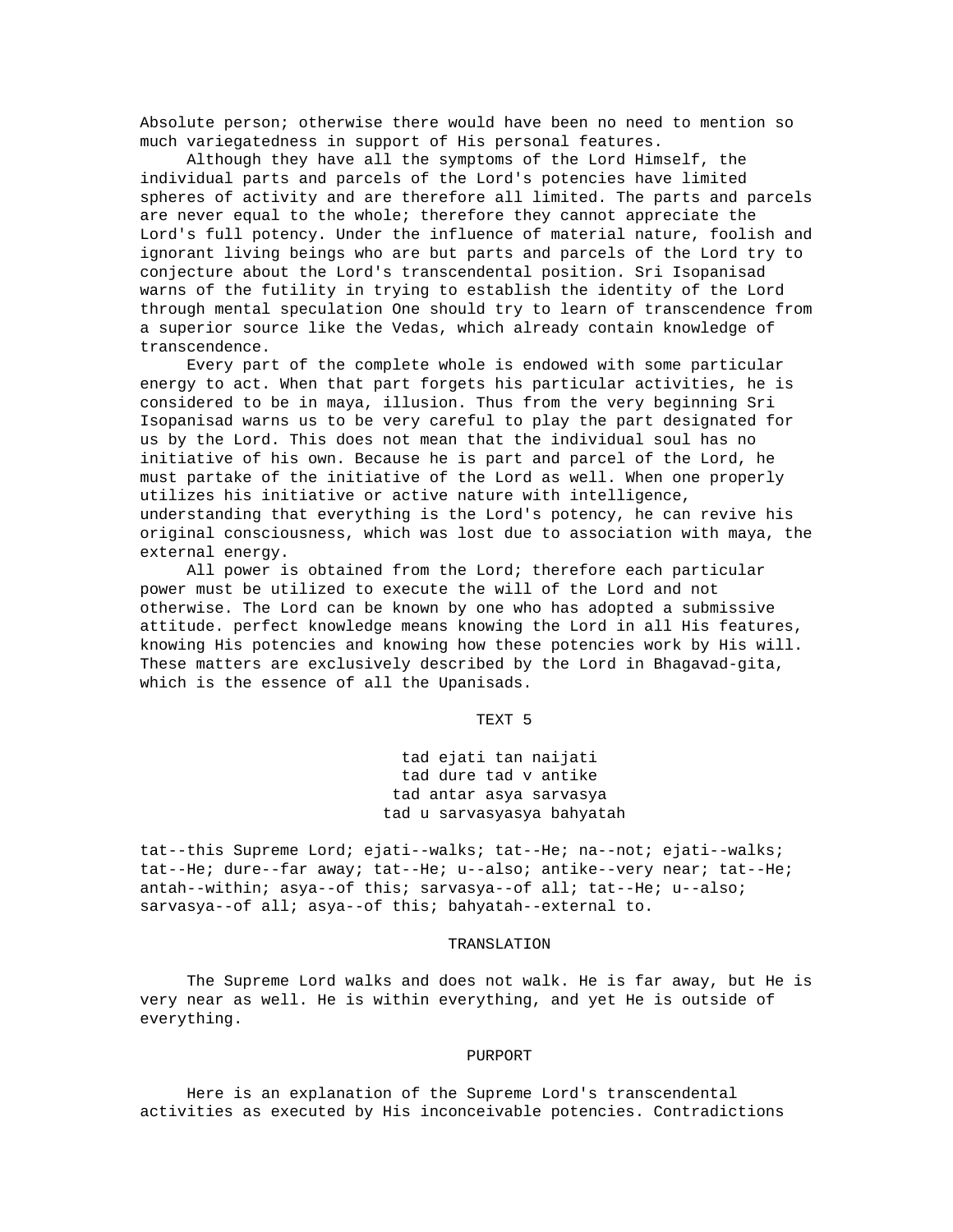Absolute person; otherwise there would have been no need to mention so much variegatedness in support of His personal features.

 Although they have all the symptoms of the Lord Himself, the individual parts and parcels of the Lord's potencies have limited spheres of activity and are therefore all limited. The parts and parcels are never equal to the whole; therefore they cannot appreciate the Lord's full potency. Under the influence of material nature, foolish and ignorant living beings who are but parts and parcels of the Lord try to conjecture about the Lord's transcendental position. Sri Isopanisad warns of the futility in trying to establish the identity of the Lord through mental speculation One should try to learn of transcendence from a superior source like the Vedas, which already contain knowledge of transcendence.

 Every part of the complete whole is endowed with some particular energy to act. When that part forgets his particular activities, he is considered to be in maya, illusion. Thus from the very beginning Sri Isopanisad warns us to be very careful to play the part designated for us by the Lord. This does not mean that the individual soul has no initiative of his own. Because he is part and parcel of the Lord, he must partake of the initiative of the Lord as well. When one properly utilizes his initiative or active nature with intelligence, understanding that everything is the Lord's potency, he can revive his original consciousness, which was lost due to association with maya, the external energy.

 All power is obtained from the Lord; therefore each particular power must be utilized to execute the will of the Lord and not otherwise. The Lord can be known by one who has adopted a submissive attitude. perfect knowledge means knowing the Lord in all His features, knowing His potencies and knowing how these potencies work by His will. These matters are exclusively described by the Lord in Bhagavad-gita, which is the essence of all the Upanisads.

TEXT 5

 tad ejati tan naijati tad dure tad v antike tad antar asya sarvasya tad u sarvasyasya bahyatah

tat--this Supreme Lord; ejati--walks; tat--He; na--not; ejati--walks; tat--He; dure--far away; tat--He; u--also; antike--very near; tat--He; antah--within; asya--of this; sarvasya--of all; tat--He; u--also; sarvasya--of all; asya--of this; bahyatah--external to.

#### TRANSLATION

 The Supreme Lord walks and does not walk. He is far away, but He is very near as well. He is within everything, and yet He is outside of everything.

#### PURPORT

 Here is an explanation of the Supreme Lord's transcendental activities as executed by His inconceivable potencies. Contradictions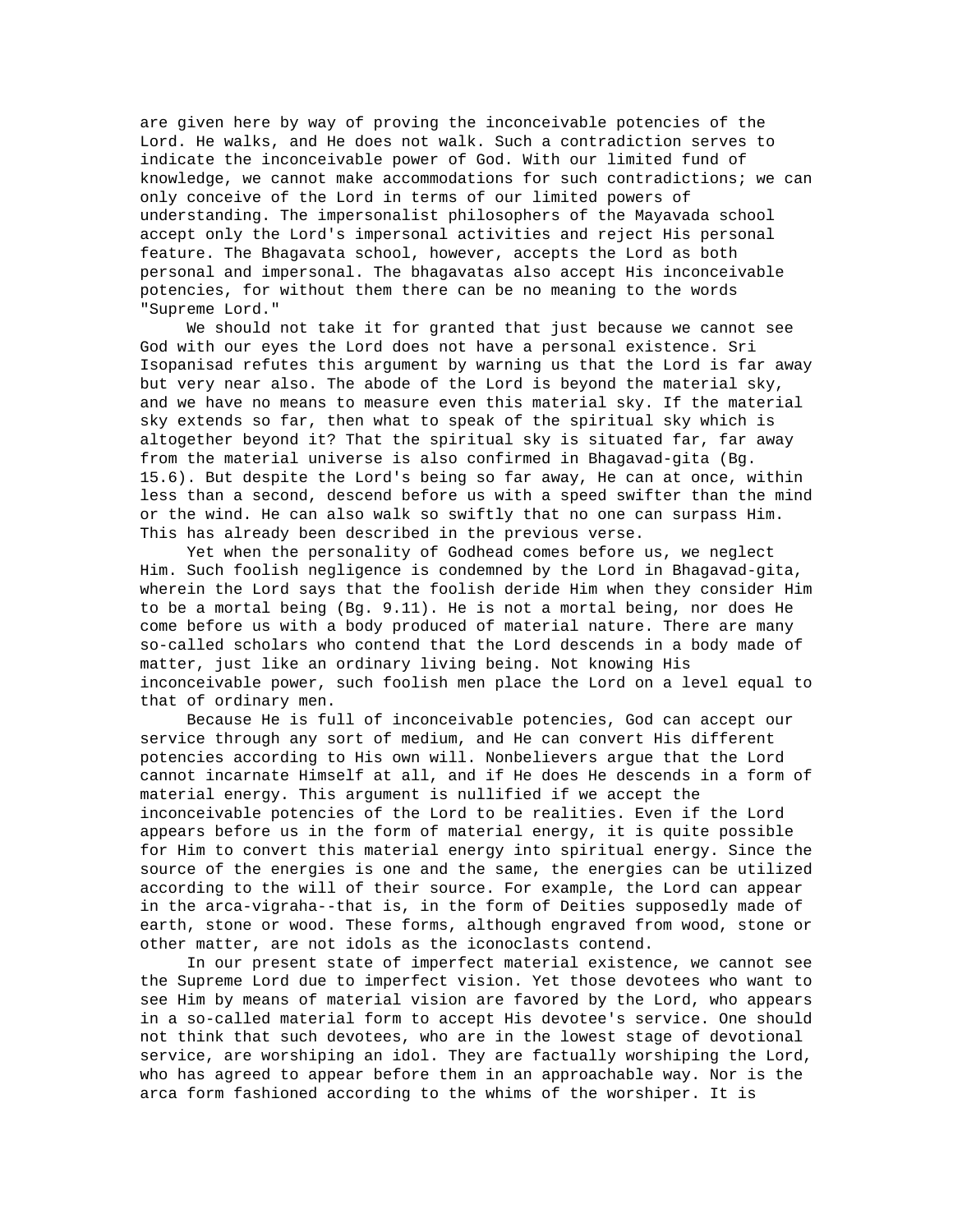are given here by way of proving the inconceivable potencies of the Lord. He walks, and He does not walk. Such a contradiction serves to indicate the inconceivable power of God. With our limited fund of knowledge, we cannot make accommodations for such contradictions; we can only conceive of the Lord in terms of our limited powers of understanding. The impersonalist philosophers of the Mayavada school accept only the Lord's impersonal activities and reject His personal feature. The Bhagavata school, however, accepts the Lord as both personal and impersonal. The bhagavatas also accept His inconceivable potencies, for without them there can be no meaning to the words "Supreme Lord."

 We should not take it for granted that just because we cannot see God with our eyes the Lord does not have a personal existence. Sri Isopanisad refutes this argument by warning us that the Lord is far away but very near also. The abode of the Lord is beyond the material sky, and we have no means to measure even this material sky. If the material sky extends so far, then what to speak of the spiritual sky which is altogether beyond it? That the spiritual sky is situated far, far away from the material universe is also confirmed in Bhagavad-gita (Bg. 15.6). But despite the Lord's being so far away, He can at once, within less than a second, descend before us with a speed swifter than the mind or the wind. He can also walk so swiftly that no one can surpass Him. This has already been described in the previous verse.

 Yet when the personality of Godhead comes before us, we neglect Him. Such foolish negligence is condemned by the Lord in Bhagavad-gita, wherein the Lord says that the foolish deride Him when they consider Him to be a mortal being (Bg. 9.11). He is not a mortal being, nor does He come before us with a body produced of material nature. There are many so-called scholars who contend that the Lord descends in a body made of matter, just like an ordinary living being. Not knowing His inconceivable power, such foolish men place the Lord on a level equal to that of ordinary men.

 Because He is full of inconceivable potencies, God can accept our service through any sort of medium, and He can convert His different potencies according to His own will. Nonbelievers argue that the Lord cannot incarnate Himself at all, and if He does He descends in a form of material energy. This argument is nullified if we accept the inconceivable potencies of the Lord to be realities. Even if the Lord appears before us in the form of material energy, it is quite possible for Him to convert this material energy into spiritual energy. Since the source of the energies is one and the same, the energies can be utilized according to the will of their source. For example, the Lord can appear in the arca-vigraha--that is, in the form of Deities supposedly made of earth, stone or wood. These forms, although engraved from wood, stone or other matter, are not idols as the iconoclasts contend.

 In our present state of imperfect material existence, we cannot see the Supreme Lord due to imperfect vision. Yet those devotees who want to see Him by means of material vision are favored by the Lord, who appears in a so-called material form to accept His devotee's service. One should not think that such devotees, who are in the lowest stage of devotional service, are worshiping an idol. They are factually worshiping the Lord, who has agreed to appear before them in an approachable way. Nor is the arca form fashioned according to the whims of the worshiper. It is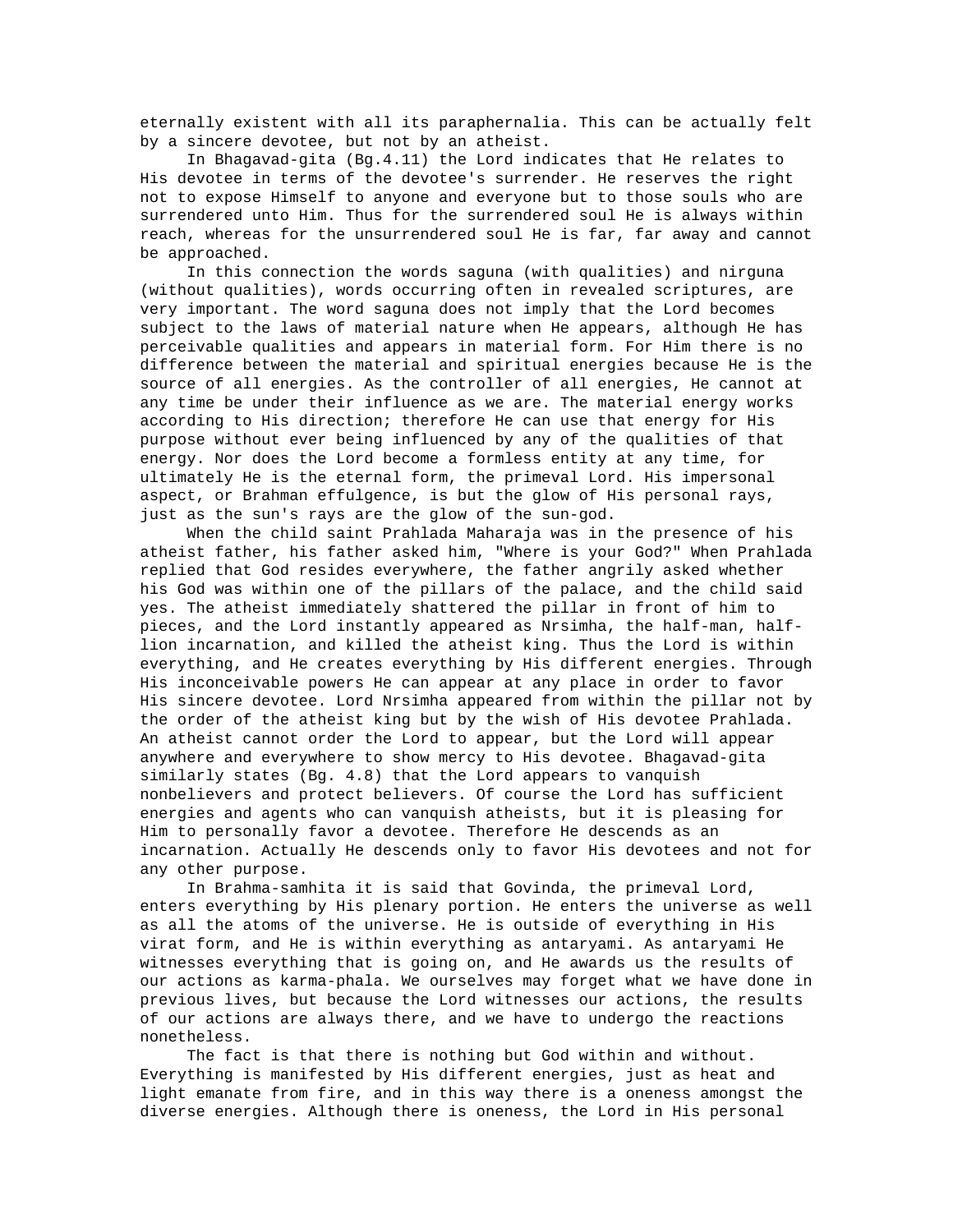eternally existent with all its paraphernalia. This can be actually felt by a sincere devotee, but not by an atheist.

 In Bhagavad-gita (Bg.4.11) the Lord indicates that He relates to His devotee in terms of the devotee's surrender. He reserves the right not to expose Himself to anyone and everyone but to those souls who are surrendered unto Him. Thus for the surrendered soul He is always within reach, whereas for the unsurrendered soul He is far, far away and cannot be approached.

 In this connection the words saguna (with qualities) and nirguna (without qualities), words occurring often in revealed scriptures, are very important. The word saguna does not imply that the Lord becomes subject to the laws of material nature when He appears, although He has perceivable qualities and appears in material form. For Him there is no difference between the material and spiritual energies because He is the source of all energies. As the controller of all energies, He cannot at any time be under their influence as we are. The material energy works according to His direction; therefore He can use that energy for His purpose without ever being influenced by any of the qualities of that energy. Nor does the Lord become a formless entity at any time, for ultimately He is the eternal form, the primeval Lord. His impersonal aspect, or Brahman effulgence, is but the glow of His personal rays, just as the sun's rays are the glow of the sun-god.

 When the child saint Prahlada Maharaja was in the presence of his atheist father, his father asked him, "Where is your God?" When Prahlada replied that God resides everywhere, the father angrily asked whether his God was within one of the pillars of the palace, and the child said yes. The atheist immediately shattered the pillar in front of him to pieces, and the Lord instantly appeared as Nrsimha, the half-man, halflion incarnation, and killed the atheist king. Thus the Lord is within everything, and He creates everything by His different energies. Through His inconceivable powers He can appear at any place in order to favor His sincere devotee. Lord Nrsimha appeared from within the pillar not by the order of the atheist king but by the wish of His devotee Prahlada. An atheist cannot order the Lord to appear, but the Lord will appear anywhere and everywhere to show mercy to His devotee. Bhagavad-gita similarly states (Bg. 4.8) that the Lord appears to vanquish nonbelievers and protect believers. Of course the Lord has sufficient energies and agents who can vanquish atheists, but it is pleasing for Him to personally favor a devotee. Therefore He descends as an incarnation. Actually He descends only to favor His devotees and not for any other purpose.

 In Brahma-samhita it is said that Govinda, the primeval Lord, enters everything by His plenary portion. He enters the universe as well as all the atoms of the universe. He is outside of everything in His virat form, and He is within everything as antaryami. As antaryami He witnesses everything that is going on, and He awards us the results of our actions as karma-phala. We ourselves may forget what we have done in previous lives, but because the Lord witnesses our actions, the results of our actions are always there, and we have to undergo the reactions nonetheless.

 The fact is that there is nothing but God within and without. Everything is manifested by His different energies, just as heat and light emanate from fire, and in this way there is a oneness amongst the diverse energies. Although there is oneness, the Lord in His personal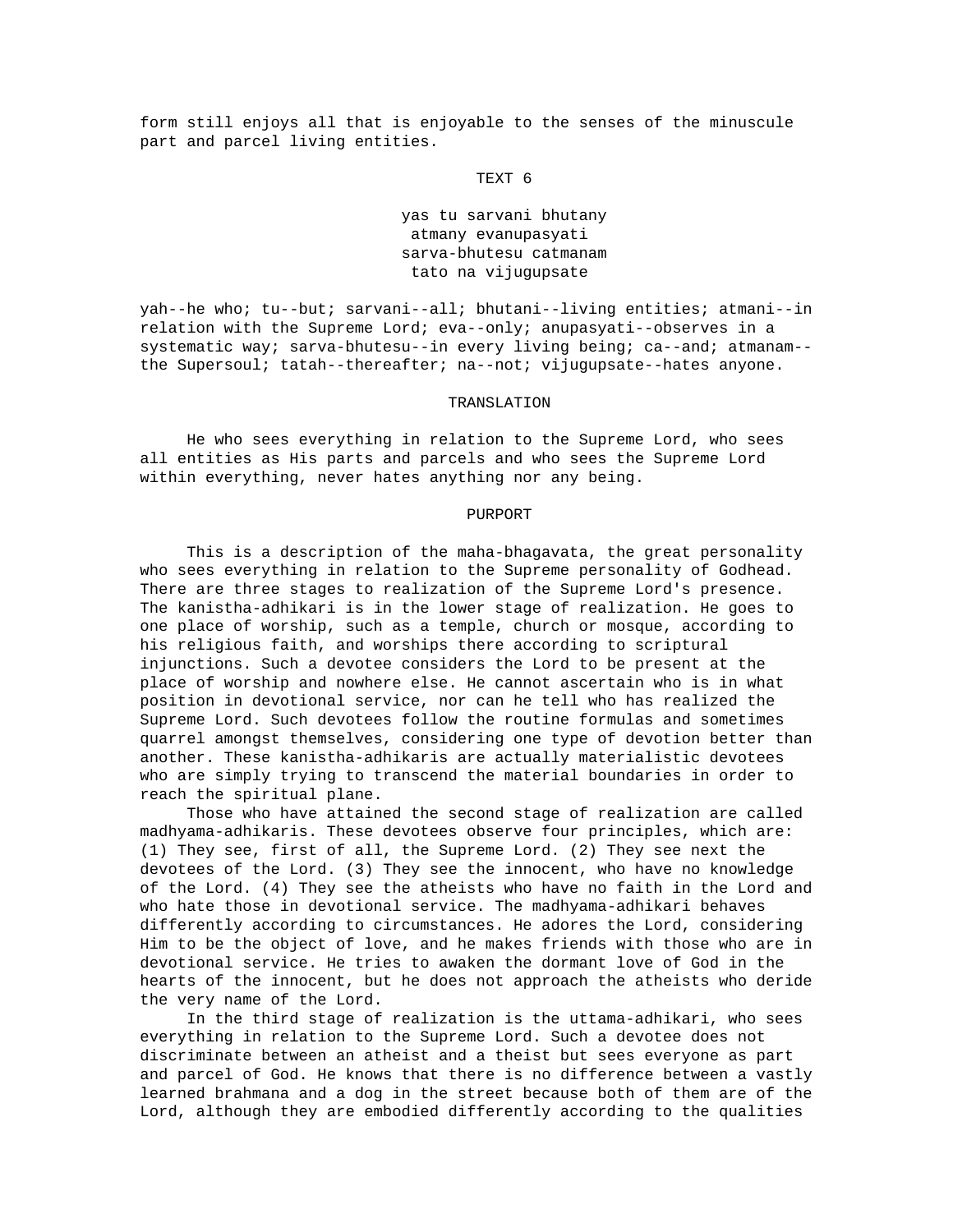form still enjoys all that is enjoyable to the senses of the minuscule part and parcel living entities.

TEXT 6

# yas tu sarvani bhutany atmany evanupasyati sarva-bhutesu catmanam tato na vijugupsate

yah--he who; tu--but; sarvani--all; bhutani--living entities; atmani--in relation with the Supreme Lord; eva--only; anupasyati--observes in a systematic way; sarva-bhutesu--in every living being; ca--and; atmanam- the Supersoul; tatah--thereafter; na--not; vijugupsate--hates anyone.

### TRANSLATION

 He who sees everything in relation to the Supreme Lord, who sees all entities as His parts and parcels and who sees the Supreme Lord within everything, never hates anything nor any being.

## PURPORT

 This is a description of the maha-bhagavata, the great personality who sees everything in relation to the Supreme personality of Godhead. There are three stages to realization of the Supreme Lord's presence. The kanistha-adhikari is in the lower stage of realization. He goes to one place of worship, such as a temple, church or mosque, according to his religious faith, and worships there according to scriptural injunctions. Such a devotee considers the Lord to be present at the place of worship and nowhere else. He cannot ascertain who is in what position in devotional service, nor can he tell who has realized the Supreme Lord. Such devotees follow the routine formulas and sometimes quarrel amongst themselves, considering one type of devotion better than another. These kanistha-adhikaris are actually materialistic devotees who are simply trying to transcend the material boundaries in order to reach the spiritual plane.

 Those who have attained the second stage of realization are called madhyama-adhikaris. These devotees observe four principles, which are: (1) They see, first of all, the Supreme Lord. (2) They see next the devotees of the Lord. (3) They see the innocent, who have no knowledge of the Lord. (4) They see the atheists who have no faith in the Lord and who hate those in devotional service. The madhyama-adhikari behaves differently according to circumstances. He adores the Lord, considering Him to be the object of love, and he makes friends with those who are in devotional service. He tries to awaken the dormant love of God in the hearts of the innocent, but he does not approach the atheists who deride the very name of the Lord.

 In the third stage of realization is the uttama-adhikari, who sees everything in relation to the Supreme Lord. Such a devotee does not discriminate between an atheist and a theist but sees everyone as part and parcel of God. He knows that there is no difference between a vastly learned brahmana and a dog in the street because both of them are of the Lord, although they are embodied differently according to the qualities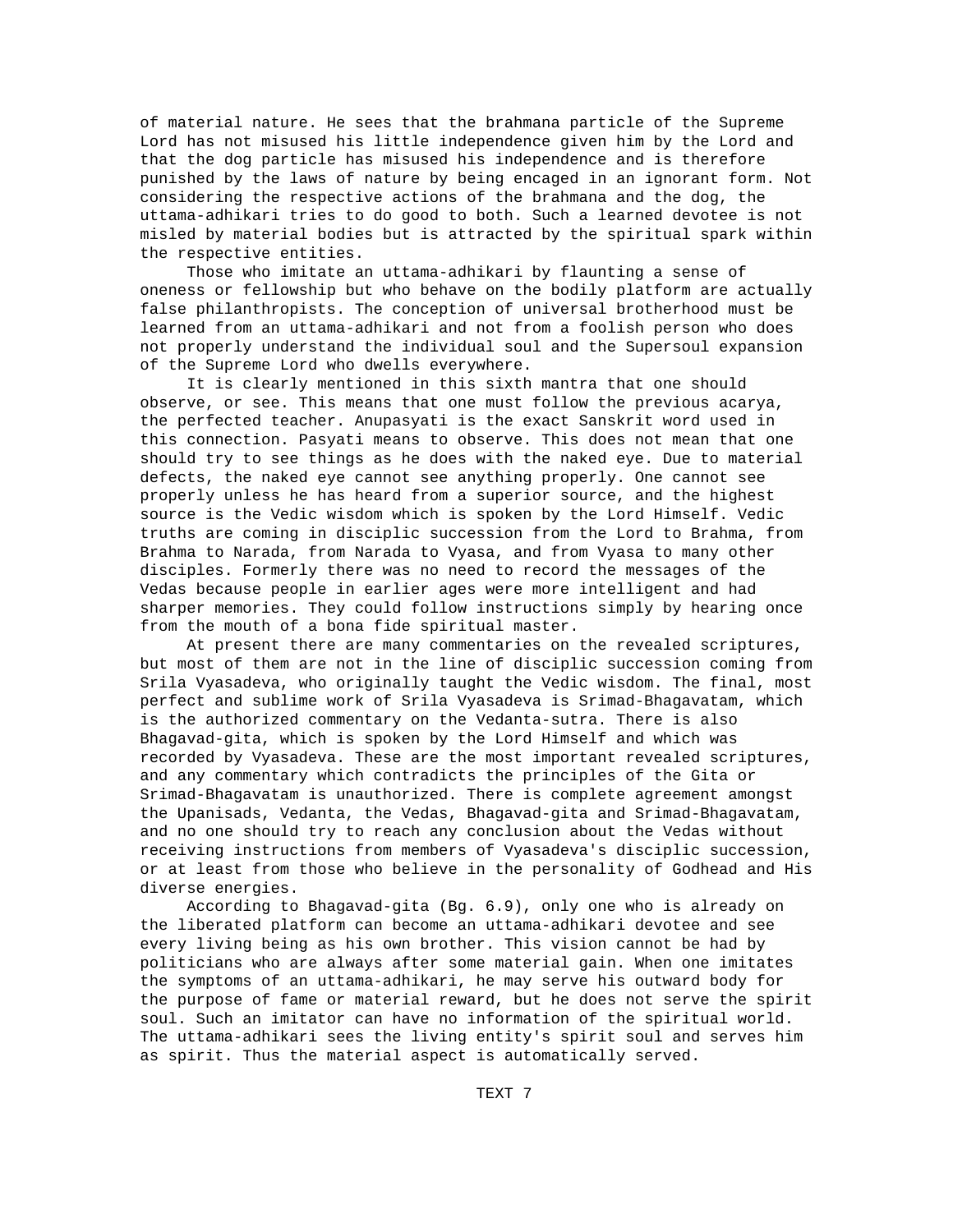of material nature. He sees that the brahmana particle of the Supreme Lord has not misused his little independence given him by the Lord and that the dog particle has misused his independence and is therefore punished by the laws of nature by being encaged in an ignorant form. Not considering the respective actions of the brahmana and the dog, the uttama-adhikari tries to do good to both. Such a learned devotee is not misled by material bodies but is attracted by the spiritual spark within the respective entities.

 Those who imitate an uttama-adhikari by flaunting a sense of oneness or fellowship but who behave on the bodily platform are actually false philanthropists. The conception of universal brotherhood must be learned from an uttama-adhikari and not from a foolish person who does not properly understand the individual soul and the Supersoul expansion of the Supreme Lord who dwells everywhere.

 It is clearly mentioned in this sixth mantra that one should observe, or see. This means that one must follow the previous acarya, the perfected teacher. Anupasyati is the exact Sanskrit word used in this connection. Pasyati means to observe. This does not mean that one should try to see things as he does with the naked eye. Due to material defects, the naked eye cannot see anything properly. One cannot see properly unless he has heard from a superior source, and the highest source is the Vedic wisdom which is spoken by the Lord Himself. Vedic truths are coming in disciplic succession from the Lord to Brahma, from Brahma to Narada, from Narada to Vyasa, and from Vyasa to many other disciples. Formerly there was no need to record the messages of the Vedas because people in earlier ages were more intelligent and had sharper memories. They could follow instructions simply by hearing once from the mouth of a bona fide spiritual master.

 At present there are many commentaries on the revealed scriptures, but most of them are not in the line of disciplic succession coming from Srila Vyasadeva, who originally taught the Vedic wisdom. The final, most perfect and sublime work of Srila Vyasadeva is Srimad-Bhagavatam, which is the authorized commentary on the Vedanta-sutra. There is also Bhagavad-gita, which is spoken by the Lord Himself and which was recorded by Vyasadeva. These are the most important revealed scriptures, and any commentary which contradicts the principles of the Gita or Srimad-Bhagavatam is unauthorized. There is complete agreement amongst the Upanisads, Vedanta, the Vedas, Bhagavad-gita and Srimad-Bhagavatam, and no one should try to reach any conclusion about the Vedas without receiving instructions from members of Vyasadeva's disciplic succession, or at least from those who believe in the personality of Godhead and His diverse energies.

 According to Bhagavad-gita (Bg. 6.9), only one who is already on the liberated platform can become an uttama-adhikari devotee and see every living being as his own brother. This vision cannot be had by politicians who are always after some material gain. When one imitates the symptoms of an uttama-adhikari, he may serve his outward body for the purpose of fame or material reward, but he does not serve the spirit soul. Such an imitator can have no information of the spiritual world. The uttama-adhikari sees the living entity's spirit soul and serves him as spirit. Thus the material aspect is automatically served.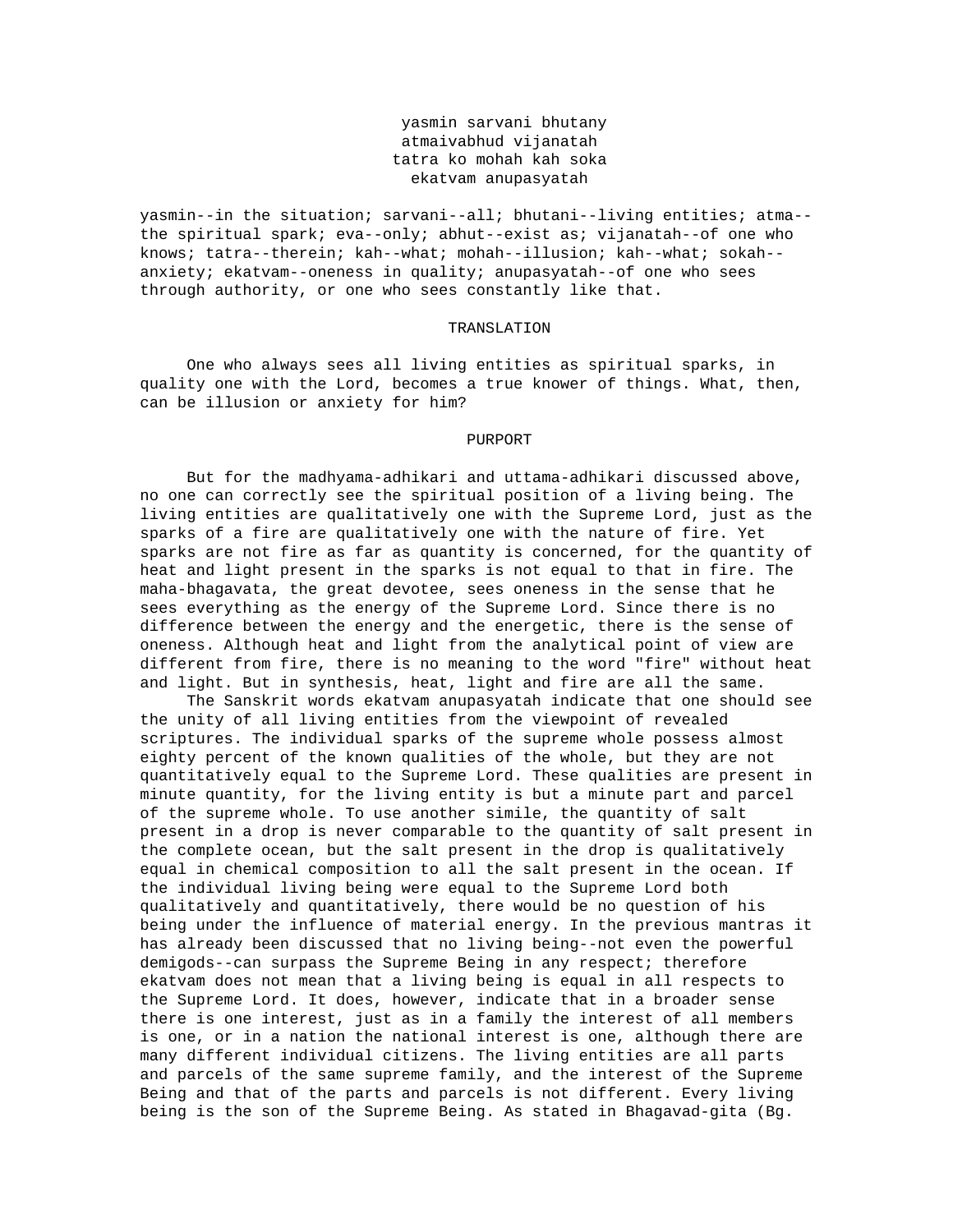# yasmin sarvani bhutany atmaivabhud vijanatah tatra ko mohah kah soka ekatvam anupasyatah

yasmin--in the situation; sarvani--all; bhutani--living entities; atma- the spiritual spark; eva--only; abhut--exist as; vijanatah--of one who knows; tatra--therein; kah--what; mohah--illusion; kah--what; sokah- anxiety; ekatvam--oneness in quality; anupasyatah--of one who sees through authority, or one who sees constantly like that.

#### TRANSLATION

 One who always sees all living entities as spiritual sparks, in quality one with the Lord, becomes a true knower of things. What, then, can be illusion or anxiety for him?

#### PURPORT

 But for the madhyama-adhikari and uttama-adhikari discussed above, no one can correctly see the spiritual position of a living being. The living entities are qualitatively one with the Supreme Lord, just as the sparks of a fire are qualitatively one with the nature of fire. Yet sparks are not fire as far as quantity is concerned, for the quantity of heat and light present in the sparks is not equal to that in fire. The maha-bhagavata, the great devotee, sees oneness in the sense that he sees everything as the energy of the Supreme Lord. Since there is no difference between the energy and the energetic, there is the sense of oneness. Although heat and light from the analytical point of view are different from fire, there is no meaning to the word "fire" without heat and light. But in synthesis, heat, light and fire are all the same.

 The Sanskrit words ekatvam anupasyatah indicate that one should see the unity of all living entities from the viewpoint of revealed scriptures. The individual sparks of the supreme whole possess almost eighty percent of the known qualities of the whole, but they are not quantitatively equal to the Supreme Lord. These qualities are present in minute quantity, for the living entity is but a minute part and parcel of the supreme whole. To use another simile, the quantity of salt present in a drop is never comparable to the quantity of salt present in the complete ocean, but the salt present in the drop is qualitatively equal in chemical composition to all the salt present in the ocean. If the individual living being were equal to the Supreme Lord both qualitatively and quantitatively, there would be no question of his being under the influence of material energy. In the previous mantras it has already been discussed that no living being--not even the powerful demigods--can surpass the Supreme Being in any respect; therefore ekatvam does not mean that a living being is equal in all respects to the Supreme Lord. It does, however, indicate that in a broader sense there is one interest, just as in a family the interest of all members is one, or in a nation the national interest is one, although there are many different individual citizens. The living entities are all parts and parcels of the same supreme family, and the interest of the Supreme Being and that of the parts and parcels is not different. Every living being is the son of the Supreme Being. As stated in Bhagavad-gita (Bg.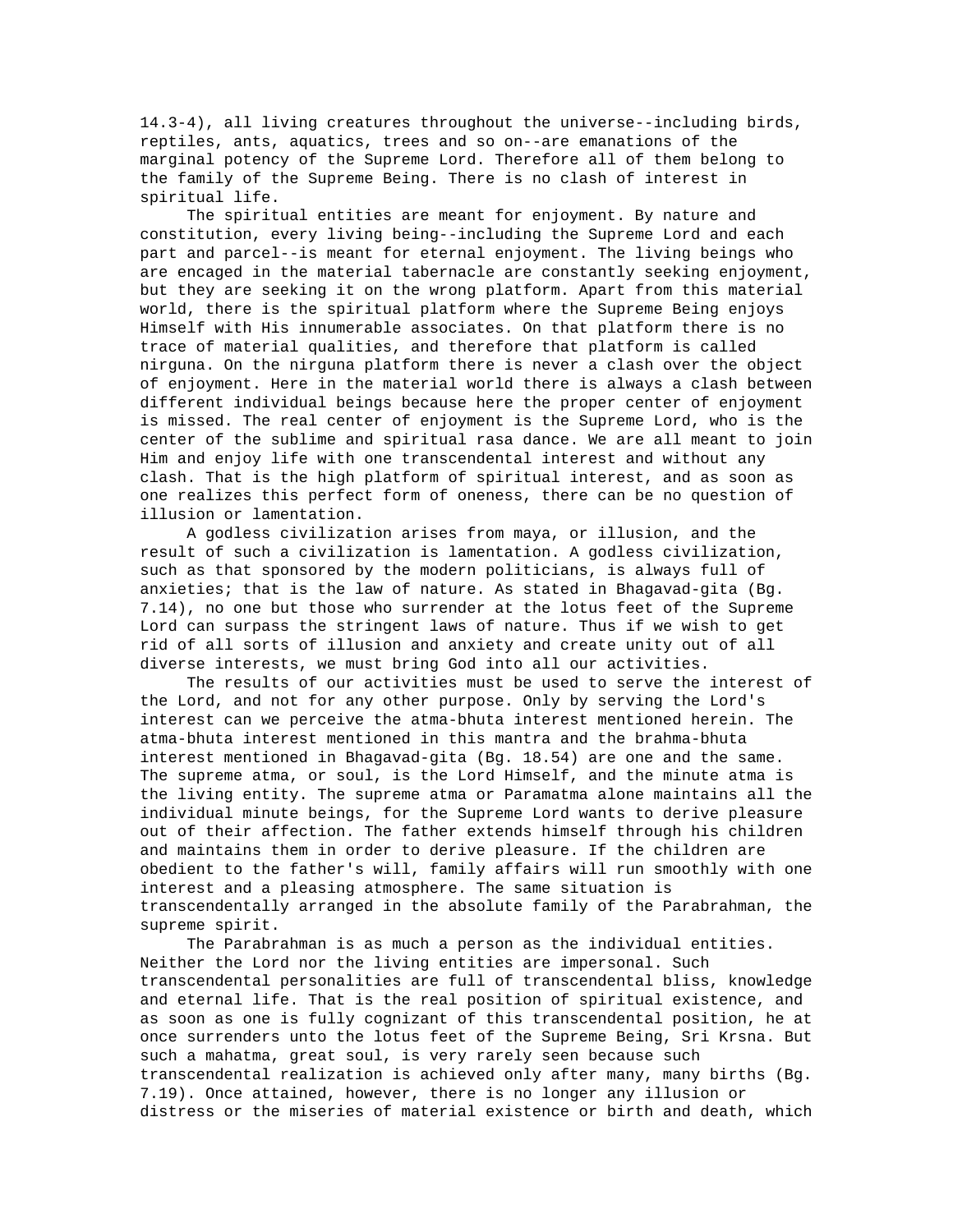14.3-4), all living creatures throughout the universe--including birds, reptiles, ants, aquatics, trees and so on--are emanations of the marginal potency of the Supreme Lord. Therefore all of them belong to the family of the Supreme Being. There is no clash of interest in spiritual life.

 The spiritual entities are meant for enjoyment. By nature and constitution, every living being--including the Supreme Lord and each part and parcel--is meant for eternal enjoyment. The living beings who are encaged in the material tabernacle are constantly seeking enjoyment, but they are seeking it on the wrong platform. Apart from this material world, there is the spiritual platform where the Supreme Being enjoys Himself with His innumerable associates. On that platform there is no trace of material qualities, and therefore that platform is called nirguna. On the nirguna platform there is never a clash over the object of enjoyment. Here in the material world there is always a clash between different individual beings because here the proper center of enjoyment is missed. The real center of enjoyment is the Supreme Lord, who is the center of the sublime and spiritual rasa dance. We are all meant to join Him and enjoy life with one transcendental interest and without any clash. That is the high platform of spiritual interest, and as soon as one realizes this perfect form of oneness, there can be no question of illusion or lamentation.

 A godless civilization arises from maya, or illusion, and the result of such a civilization is lamentation. A godless civilization, such as that sponsored by the modern politicians, is always full of anxieties; that is the law of nature. As stated in Bhagavad-gita (Bg. 7.14), no one but those who surrender at the lotus feet of the Supreme Lord can surpass the stringent laws of nature. Thus if we wish to get rid of all sorts of illusion and anxiety and create unity out of all diverse interests, we must bring God into all our activities.

 The results of our activities must be used to serve the interest of the Lord, and not for any other purpose. Only by serving the Lord's interest can we perceive the atma-bhuta interest mentioned herein. The atma-bhuta interest mentioned in this mantra and the brahma-bhuta interest mentioned in Bhagavad-gita (Bg. 18.54) are one and the same. The supreme atma, or soul, is the Lord Himself, and the minute atma is the living entity. The supreme atma or Paramatma alone maintains all the individual minute beings, for the Supreme Lord wants to derive pleasure out of their affection. The father extends himself through his children and maintains them in order to derive pleasure. If the children are obedient to the father's will, family affairs will run smoothly with one interest and a pleasing atmosphere. The same situation is transcendentally arranged in the absolute family of the Parabrahman, the supreme spirit.

 The Parabrahman is as much a person as the individual entities. Neither the Lord nor the living entities are impersonal. Such transcendental personalities are full of transcendental bliss, knowledge and eternal life. That is the real position of spiritual existence, and as soon as one is fully cognizant of this transcendental position, he at once surrenders unto the lotus feet of the Supreme Being, Sri Krsna. But such a mahatma, great soul, is very rarely seen because such transcendental realization is achieved only after many, many births (Bg. 7.19). Once attained, however, there is no longer any illusion or distress or the miseries of material existence or birth and death, which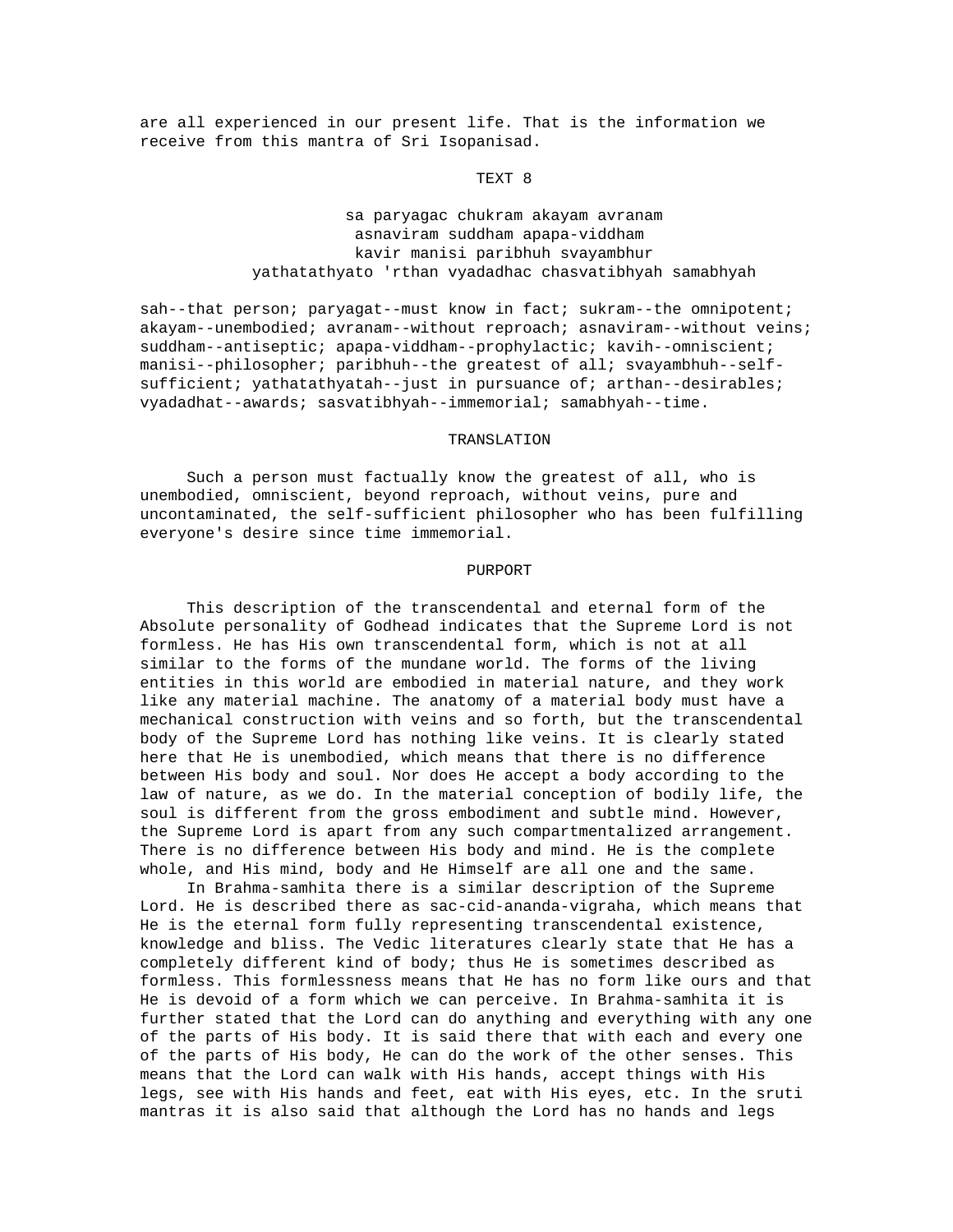are all experienced in our present life. That is the information we receive from this mantra of Sri Isopanisad.

## TEXT 8

# sa paryagac chukram akayam avranam asnaviram suddham apapa-viddham kavir manisi paribhuh svayambhur yathatathyato 'rthan vyadadhac chasvatibhyah samabhyah

sah--that person; paryagat--must know in fact; sukram--the omnipotent; akayam--unembodied; avranam--without reproach; asnaviram--without veins; suddham--antiseptic; apapa-viddham--prophylactic; kavih--omniscient; manisi--philosopher; paribhuh--the greatest of all; svayambhuh--self $sufficient; yathatathyatah--just in pursueance of; arthan--desirables;$ vyadadhat--awards; sasvatibhyah--immemorial; samabhyah--time.

### TRANSLATION

 Such a person must factually know the greatest of all, who is unembodied, omniscient, beyond reproach, without veins, pure and uncontaminated, the self-sufficient philosopher who has been fulfilling everyone's desire since time immemorial.

#### PURPORT

 This description of the transcendental and eternal form of the Absolute personality of Godhead indicates that the Supreme Lord is not formless. He has His own transcendental form, which is not at all similar to the forms of the mundane world. The forms of the living entities in this world are embodied in material nature, and they work like any material machine. The anatomy of a material body must have a mechanical construction with veins and so forth, but the transcendental body of the Supreme Lord has nothing like veins. It is clearly stated here that He is unembodied, which means that there is no difference between His body and soul. Nor does He accept a body according to the law of nature, as we do. In the material conception of bodily life, the soul is different from the gross embodiment and subtle mind. However, the Supreme Lord is apart from any such compartmentalized arrangement. There is no difference between His body and mind. He is the complete whole, and His mind, body and He Himself are all one and the same.

 In Brahma-samhita there is a similar description of the Supreme Lord. He is described there as sac-cid-ananda-vigraha, which means that He is the eternal form fully representing transcendental existence, knowledge and bliss. The Vedic literatures clearly state that He has a completely different kind of body; thus He is sometimes described as formless. This formlessness means that He has no form like ours and that He is devoid of a form which we can perceive. In Brahma-samhita it is further stated that the Lord can do anything and everything with any one of the parts of His body. It is said there that with each and every one of the parts of His body, He can do the work of the other senses. This means that the Lord can walk with His hands, accept things with His legs, see with His hands and feet, eat with His eyes, etc. In the sruti mantras it is also said that although the Lord has no hands and legs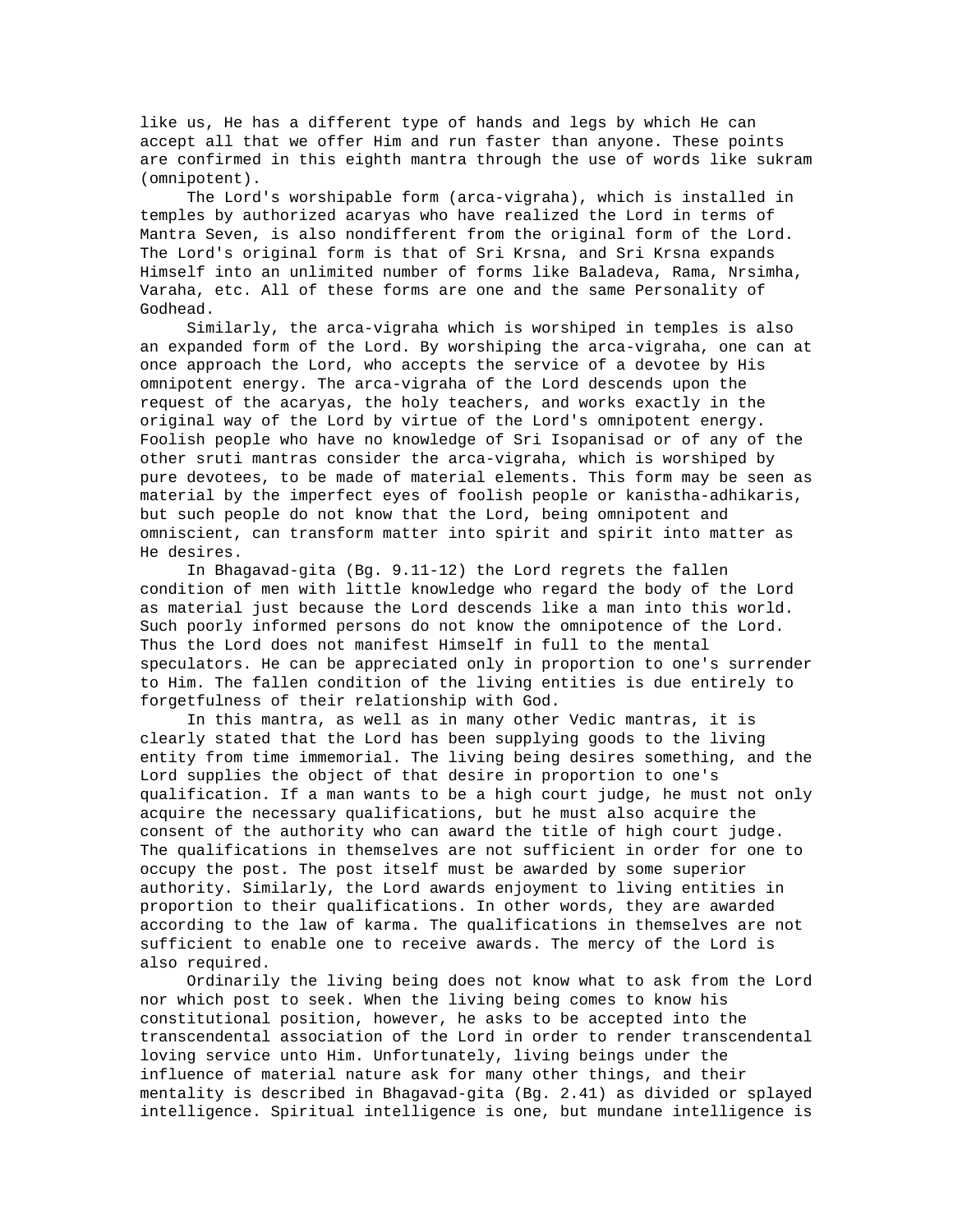like us, He has a different type of hands and legs by which He can accept all that we offer Him and run faster than anyone. These points are confirmed in this eighth mantra through the use of words like sukram (omnipotent).

 The Lord's worshipable form (arca-vigraha), which is installed in temples by authorized acaryas who have realized the Lord in terms of Mantra Seven, is also nondifferent from the original form of the Lord. The Lord's original form is that of Sri Krsna, and Sri Krsna expands Himself into an unlimited number of forms like Baladeva, Rama, Nrsimha, Varaha, etc. All of these forms are one and the same Personality of Godhead.

 Similarly, the arca-vigraha which is worshiped in temples is also an expanded form of the Lord. By worshiping the arca-vigraha, one can at once approach the Lord, who accepts the service of a devotee by His omnipotent energy. The arca-vigraha of the Lord descends upon the request of the acaryas, the holy teachers, and works exactly in the original way of the Lord by virtue of the Lord's omnipotent energy. Foolish people who have no knowledge of Sri Isopanisad or of any of the other sruti mantras consider the arca-vigraha, which is worshiped by pure devotees, to be made of material elements. This form may be seen as material by the imperfect eyes of foolish people or kanistha-adhikaris, but such people do not know that the Lord, being omnipotent and omniscient, can transform matter into spirit and spirit into matter as He desires.

 In Bhagavad-gita (Bg. 9.11-12) the Lord regrets the fallen condition of men with little knowledge who regard the body of the Lord as material just because the Lord descends like a man into this world. Such poorly informed persons do not know the omnipotence of the Lord. Thus the Lord does not manifest Himself in full to the mental speculators. He can be appreciated only in proportion to one's surrender to Him. The fallen condition of the living entities is due entirely to forgetfulness of their relationship with God.

 In this mantra, as well as in many other Vedic mantras, it is clearly stated that the Lord has been supplying goods to the living entity from time immemorial. The living being desires something, and the Lord supplies the object of that desire in proportion to one's qualification. If a man wants to be a high court judge, he must not only acquire the necessary qualifications, but he must also acquire the consent of the authority who can award the title of high court judge. The qualifications in themselves are not sufficient in order for one to occupy the post. The post itself must be awarded by some superior authority. Similarly, the Lord awards enjoyment to living entities in proportion to their qualifications. In other words, they are awarded according to the law of karma. The qualifications in themselves are not sufficient to enable one to receive awards. The mercy of the Lord is also required.

 Ordinarily the living being does not know what to ask from the Lord nor which post to seek. When the living being comes to know his constitutional position, however, he asks to be accepted into the transcendental association of the Lord in order to render transcendental loving service unto Him. Unfortunately, living beings under the influence of material nature ask for many other things, and their mentality is described in Bhagavad-gita (Bg. 2.41) as divided or splayed intelligence. Spiritual intelligence is one, but mundane intelligence is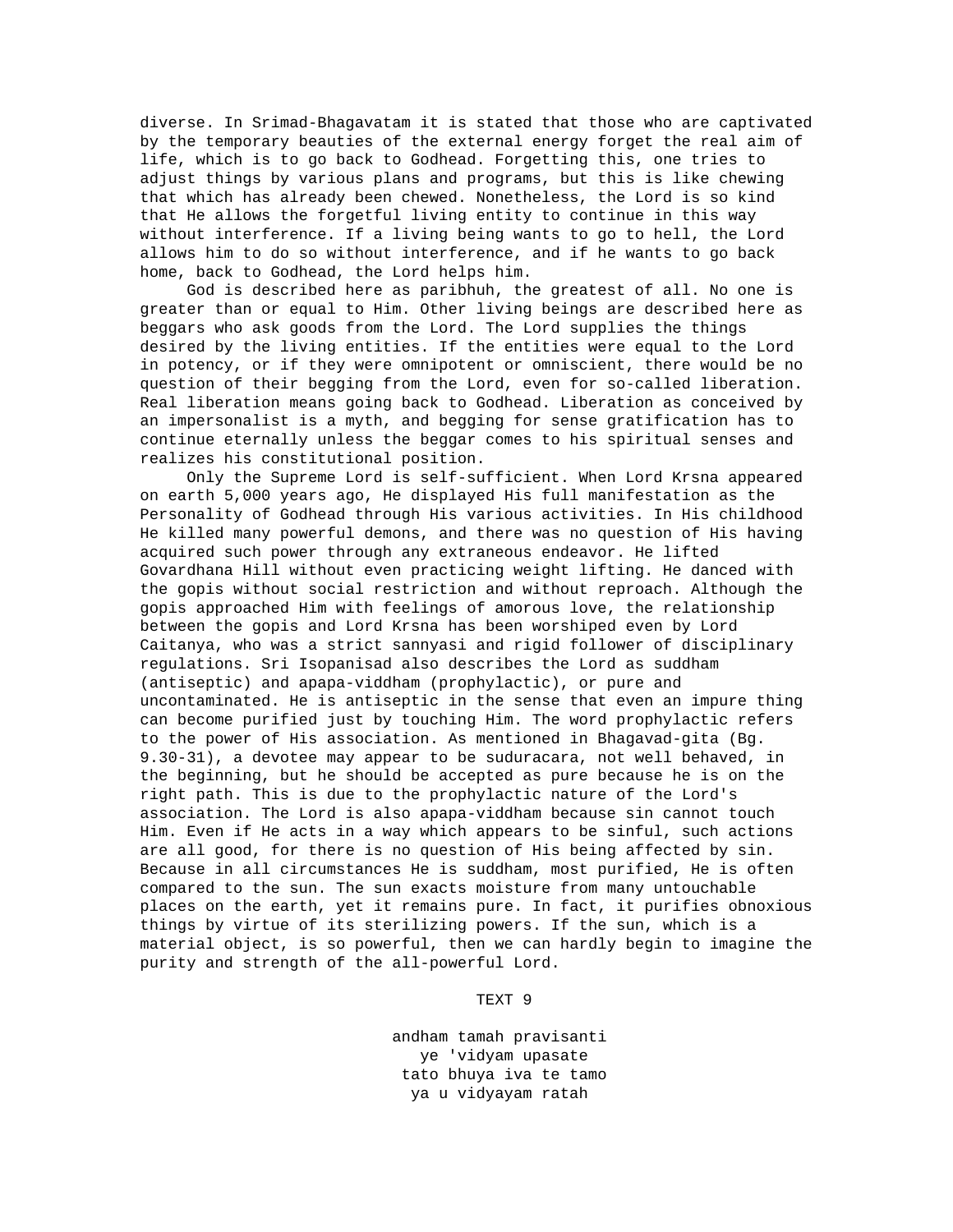diverse. In Srimad-Bhagavatam it is stated that those who are captivated by the temporary beauties of the external energy forget the real aim of life, which is to go back to Godhead. Forgetting this, one tries to adjust things by various plans and programs, but this is like chewing that which has already been chewed. Nonetheless, the Lord is so kind that He allows the forgetful living entity to continue in this way without interference. If a living being wants to go to hell, the Lord allows him to do so without interference, and if he wants to go back home, back to Godhead, the Lord helps him.

 God is described here as paribhuh, the greatest of all. No one is greater than or equal to Him. Other living beings are described here as beggars who ask goods from the Lord. The Lord supplies the things desired by the living entities. If the entities were equal to the Lord in potency, or if they were omnipotent or omniscient, there would be no question of their begging from the Lord, even for so-called liberation. Real liberation means going back to Godhead. Liberation as conceived by an impersonalist is a myth, and begging for sense gratification has to continue eternally unless the beggar comes to his spiritual senses and realizes his constitutional position.

 Only the Supreme Lord is self-sufficient. When Lord Krsna appeared on earth 5,000 years ago, He displayed His full manifestation as the Personality of Godhead through His various activities. In His childhood He killed many powerful demons, and there was no question of His having acquired such power through any extraneous endeavor. He lifted Govardhana Hill without even practicing weight lifting. He danced with the gopis without social restriction and without reproach. Although the gopis approached Him with feelings of amorous love, the relationship between the gopis and Lord Krsna has been worshiped even by Lord Caitanya, who was a strict sannyasi and rigid follower of disciplinary regulations. Sri Isopanisad also describes the Lord as suddham (antiseptic) and apapa-viddham (prophylactic), or pure and uncontaminated. He is antiseptic in the sense that even an impure thing can become purified just by touching Him. The word prophylactic refers to the power of His association. As mentioned in Bhagavad-gita (Bg. 9.30-31), a devotee may appear to be suduracara, not well behaved, in the beginning, but he should be accepted as pure because he is on the right path. This is due to the prophylactic nature of the Lord's association. The Lord is also apapa-viddham because sin cannot touch Him. Even if He acts in a way which appears to be sinful, such actions are all good, for there is no question of His being affected by sin. Because in all circumstances He is suddham, most purified, He is often compared to the sun. The sun exacts moisture from many untouchable places on the earth, yet it remains pure. In fact, it purifies obnoxious things by virtue of its sterilizing powers. If the sun, which is a material object, is so powerful, then we can hardly begin to imagine the purity and strength of the all-powerful Lord.

TEXT 9

 andham tamah pravisanti ye 'vidyam upasate tato bhuya iva te tamo ya u vidyayam ratah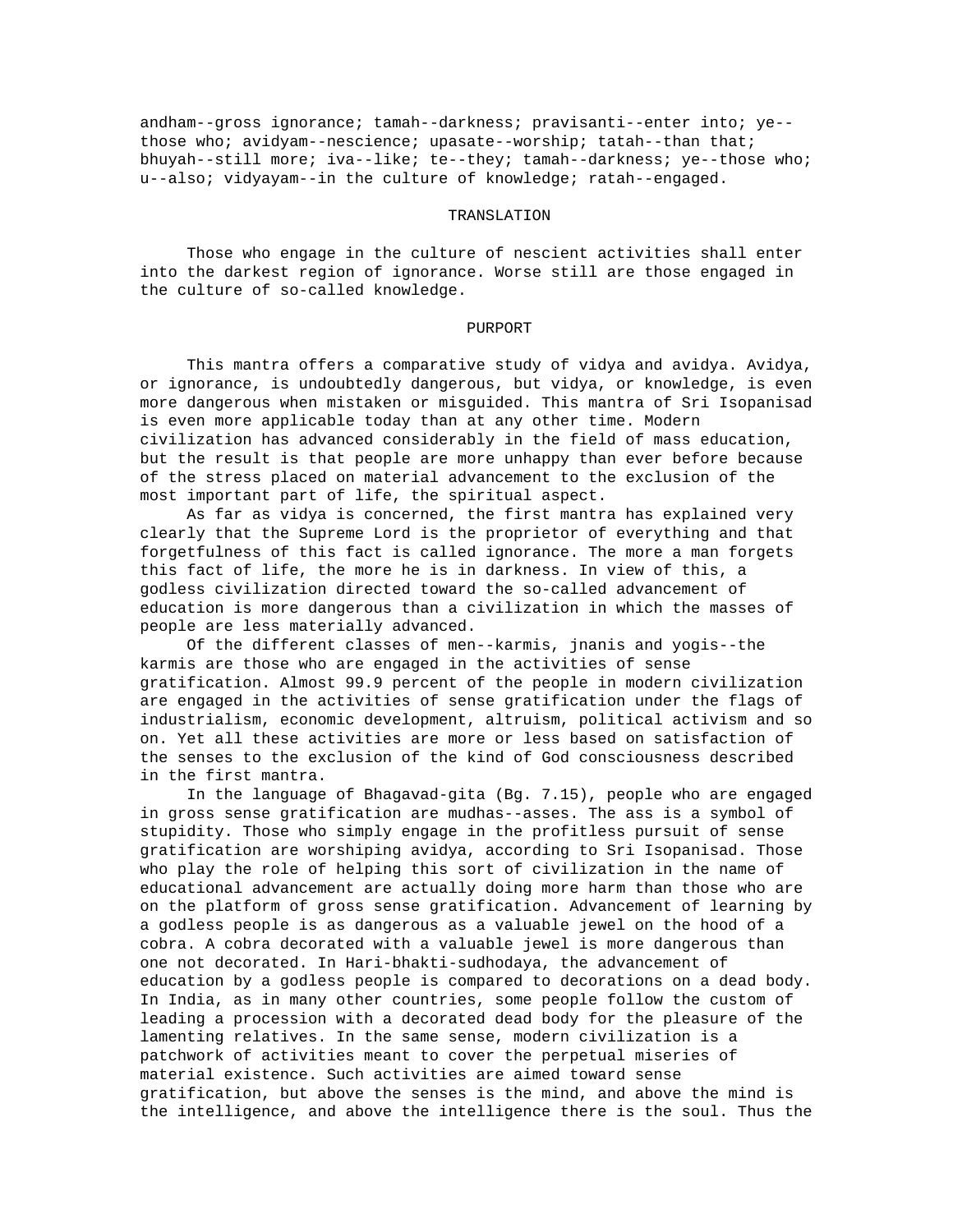andham--gross ignorance; tamah--darkness; pravisanti--enter into; ye- those who; avidyam--nescience; upasate--worship; tatah--than that; bhuyah--still more; iva--like; te--they; tamah--darkness; ye--those who; u--also; vidyayam--in the culture of knowledge; ratah--engaged.

## TRANSLATION

 Those who engage in the culture of nescient activities shall enter into the darkest region of ignorance. Worse still are those engaged in the culture of so-called knowledge.

#### PURPORT

 This mantra offers a comparative study of vidya and avidya. Avidya, or ignorance, is undoubtedly dangerous, but vidya, or knowledge, is even more dangerous when mistaken or misguided. This mantra of Sri Isopanisad is even more applicable today than at any other time. Modern civilization has advanced considerably in the field of mass education, but the result is that people are more unhappy than ever before because of the stress placed on material advancement to the exclusion of the most important part of life, the spiritual aspect.

 As far as vidya is concerned, the first mantra has explained very clearly that the Supreme Lord is the proprietor of everything and that forgetfulness of this fact is called ignorance. The more a man forgets this fact of life, the more he is in darkness. In view of this, a godless civilization directed toward the so-called advancement of education is more dangerous than a civilization in which the masses of people are less materially advanced.

 Of the different classes of men--karmis, jnanis and yogis--the karmis are those who are engaged in the activities of sense gratification. Almost 99.9 percent of the people in modern civilization are engaged in the activities of sense gratification under the flags of industrialism, economic development, altruism, political activism and so on. Yet all these activities are more or less based on satisfaction of the senses to the exclusion of the kind of God consciousness described in the first mantra.

 In the language of Bhagavad-gita (Bg. 7.15), people who are engaged in gross sense gratification are mudhas--asses. The ass is a symbol of stupidity. Those who simply engage in the profitless pursuit of sense gratification are worshiping avidya, according to Sri Isopanisad. Those who play the role of helping this sort of civilization in the name of educational advancement are actually doing more harm than those who are on the platform of gross sense gratification. Advancement of learning by a godless people is as dangerous as a valuable jewel on the hood of a cobra. A cobra decorated with a valuable jewel is more dangerous than one not decorated. In Hari-bhakti-sudhodaya, the advancement of education by a godless people is compared to decorations on a dead body. In India, as in many other countries, some people follow the custom of leading a procession with a decorated dead body for the pleasure of the lamenting relatives. In the same sense, modern civilization is a patchwork of activities meant to cover the perpetual miseries of material existence. Such activities are aimed toward sense gratification, but above the senses is the mind, and above the mind is the intelligence, and above the intelligence there is the soul. Thus the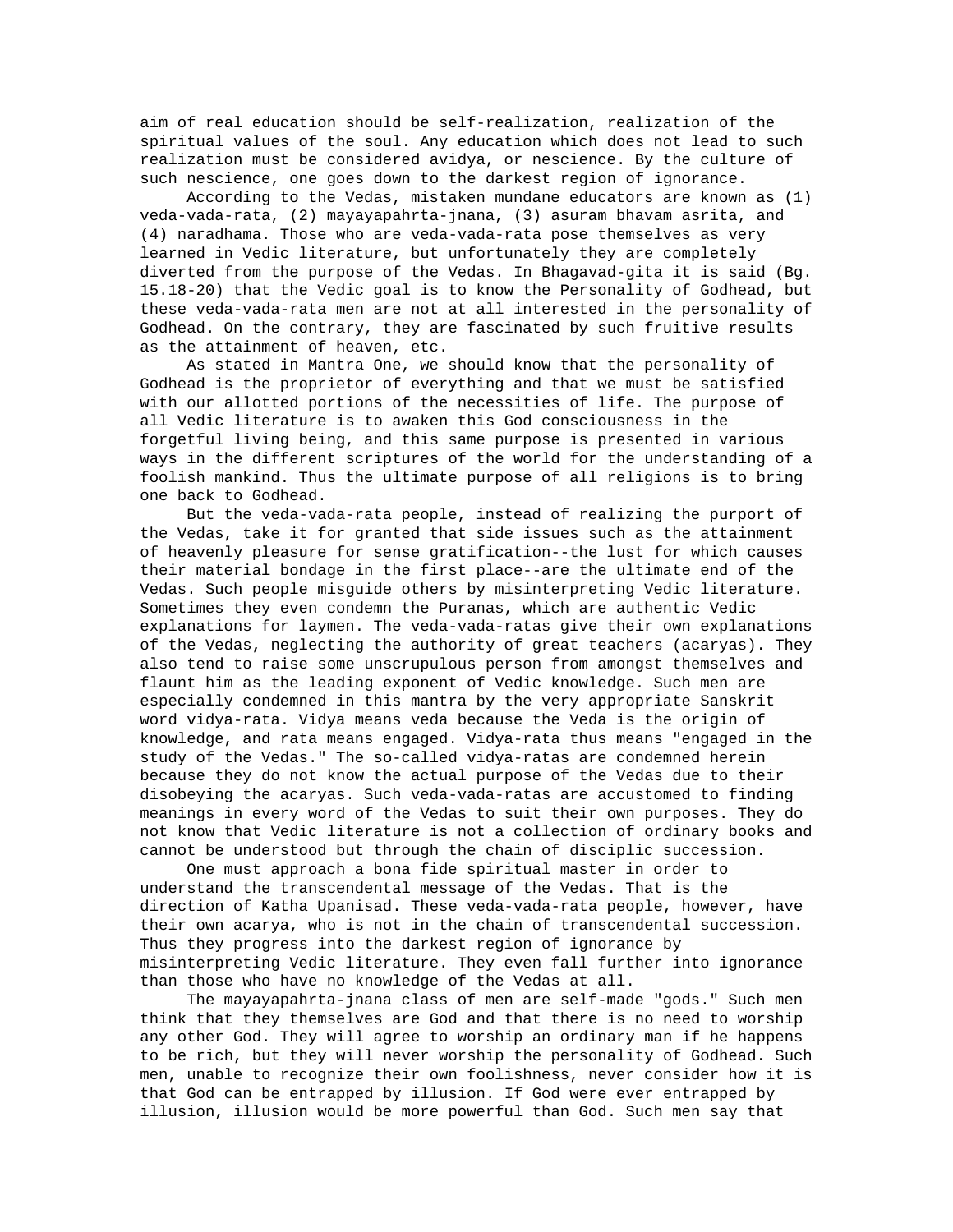aim of real education should be self-realization, realization of the spiritual values of the soul. Any education which does not lead to such realization must be considered avidya, or nescience. By the culture of such nescience, one goes down to the darkest region of ignorance.

 According to the Vedas, mistaken mundane educators are known as (1) veda-vada-rata, (2) mayayapahrta-jnana, (3) asuram bhavam asrita, and (4) naradhama. Those who are veda-vada-rata pose themselves as very learned in Vedic literature, but unfortunately they are completely diverted from the purpose of the Vedas. In Bhagavad-gita it is said (Bg. 15.18-20) that the Vedic goal is to know the Personality of Godhead, but these veda-vada-rata men are not at all interested in the personality of Godhead. On the contrary, they are fascinated by such fruitive results as the attainment of heaven, etc.

 As stated in Mantra One, we should know that the personality of Godhead is the proprietor of everything and that we must be satisfied with our allotted portions of the necessities of life. The purpose of all Vedic literature is to awaken this God consciousness in the forgetful living being, and this same purpose is presented in various ways in the different scriptures of the world for the understanding of a foolish mankind. Thus the ultimate purpose of all religions is to bring one back to Godhead.

 But the veda-vada-rata people, instead of realizing the purport of the Vedas, take it for granted that side issues such as the attainment of heavenly pleasure for sense gratification--the lust for which causes their material bondage in the first place--are the ultimate end of the Vedas. Such people misguide others by misinterpreting Vedic literature. Sometimes they even condemn the Puranas, which are authentic Vedic explanations for laymen. The veda-vada-ratas give their own explanations of the Vedas, neglecting the authority of great teachers (acaryas). They also tend to raise some unscrupulous person from amongst themselves and flaunt him as the leading exponent of Vedic knowledge. Such men are especially condemned in this mantra by the very appropriate Sanskrit word vidya-rata. Vidya means veda because the Veda is the origin of knowledge, and rata means engaged. Vidya-rata thus means "engaged in the study of the Vedas." The so-called vidya-ratas are condemned herein because they do not know the actual purpose of the Vedas due to their disobeying the acaryas. Such veda-vada-ratas are accustomed to finding meanings in every word of the Vedas to suit their own purposes. They do not know that Vedic literature is not a collection of ordinary books and cannot be understood but through the chain of disciplic succession.

 One must approach a bona fide spiritual master in order to understand the transcendental message of the Vedas. That is the direction of Katha Upanisad. These veda-vada-rata people, however, have their own acarya, who is not in the chain of transcendental succession. Thus they progress into the darkest region of ignorance by misinterpreting Vedic literature. They even fall further into ignorance than those who have no knowledge of the Vedas at all.

 The mayayapahrta-jnana class of men are self-made "gods." Such men think that they themselves are God and that there is no need to worship any other God. They will agree to worship an ordinary man if he happens to be rich, but they will never worship the personality of Godhead. Such men, unable to recognize their own foolishness, never consider how it is that God can be entrapped by illusion. If God were ever entrapped by illusion, illusion would be more powerful than God. Such men say that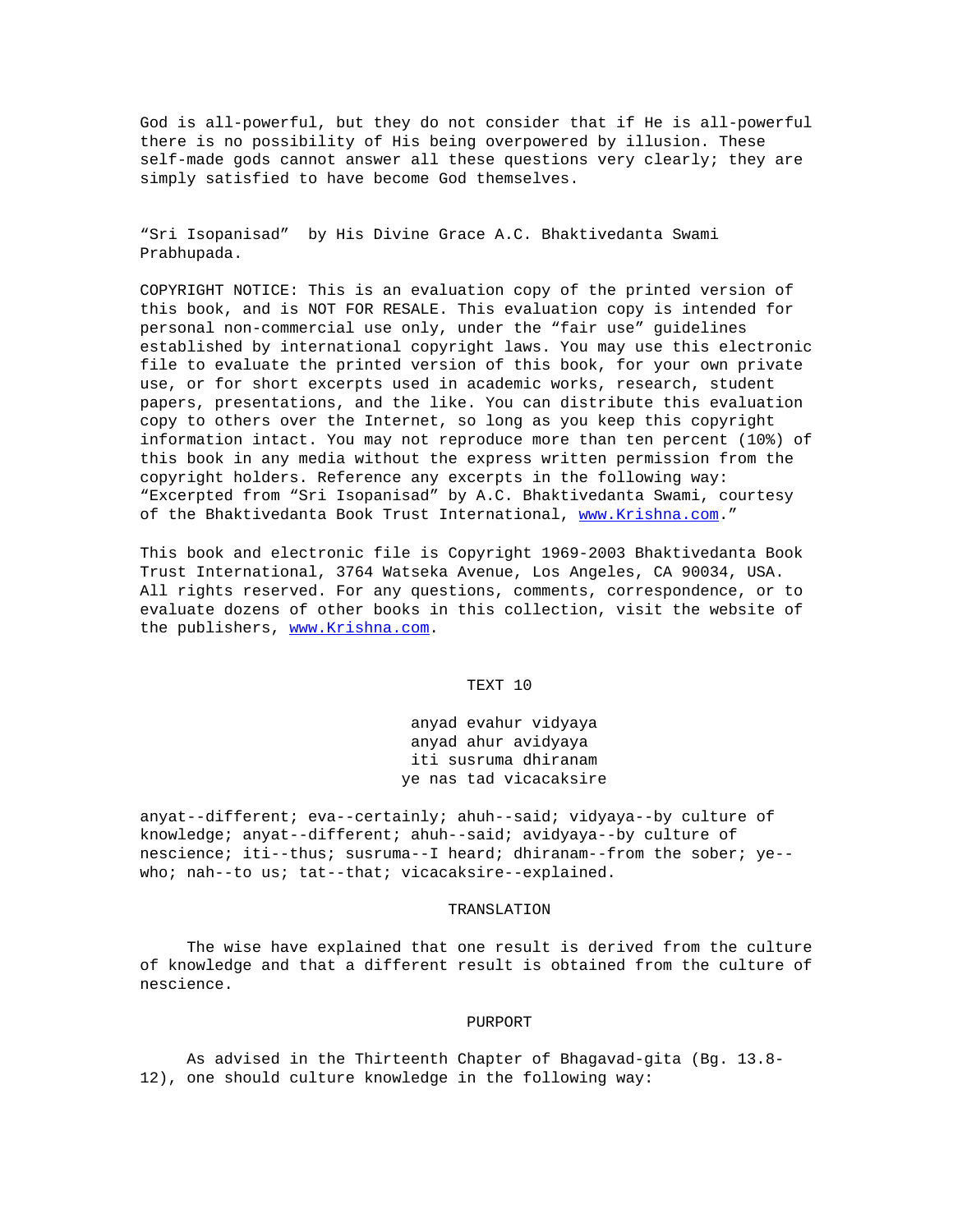God is all-powerful, but they do not consider that if He is all-powerful there is no possibility of His being overpowered by illusion. These self-made gods cannot answer all these questions very clearly; they are simply satisfied to have become God themselves.

"Sri Isopanisad" by His Divine Grace A.C. Bhaktivedanta Swami Prabhupada.

COPYRIGHT NOTICE: This is an evaluation copy of the printed version of this book, and is NOT FOR RESALE. This evaluation copy is intended for personal non-commercial use only, under the "fair use" guidelines established by international copyright laws. You may use this electronic file to evaluate the printed version of this book, for your own private use, or for short excerpts used in academic works, research, student papers, presentations, and the like. You can distribute this evaluation copy to others over the Internet, so long as you keep this copyright information intact. You may not reproduce more than ten percent (10%) of this book in any media without the express written permission from the copyright holders. Reference any excerpts in the following way: "Excerpted from "Sri Isopanisad" by A.C. Bhaktivedanta Swami, courtesy of the Bhaktivedanta Book Trust International, www.Krishna.com."

This book and electronic file is Copyright 1969-2003 Bhaktivedanta Book Trust International, 3764 Watseka Avenue, Los Angeles, CA 90034, USA. All rights reserved. For any questions, comments, correspondence, or to evaluate dozens of other books in this collection, visit the website of the publishers, www.Krishna.com.

TEXT 10

 anyad evahur vidyaya anyad ahur avidyaya iti susruma dhiranam ye nas tad vicacaksire

anyat--different; eva--certainly; ahuh--said; vidyaya--by culture of knowledge; anyat--different; ahuh--said; avidyaya--by culture of nescience; iti--thus; susruma--I heard; dhiranam--from the sober; ye- who; nah--to us; tat--that; vicacaksire--explained.

#### TRANSLATION

 The wise have explained that one result is derived from the culture of knowledge and that a different result is obtained from the culture of nescience.

#### PURPORT

 As advised in the Thirteenth Chapter of Bhagavad-gita (Bg. 13.8- 12), one should culture knowledge in the following way: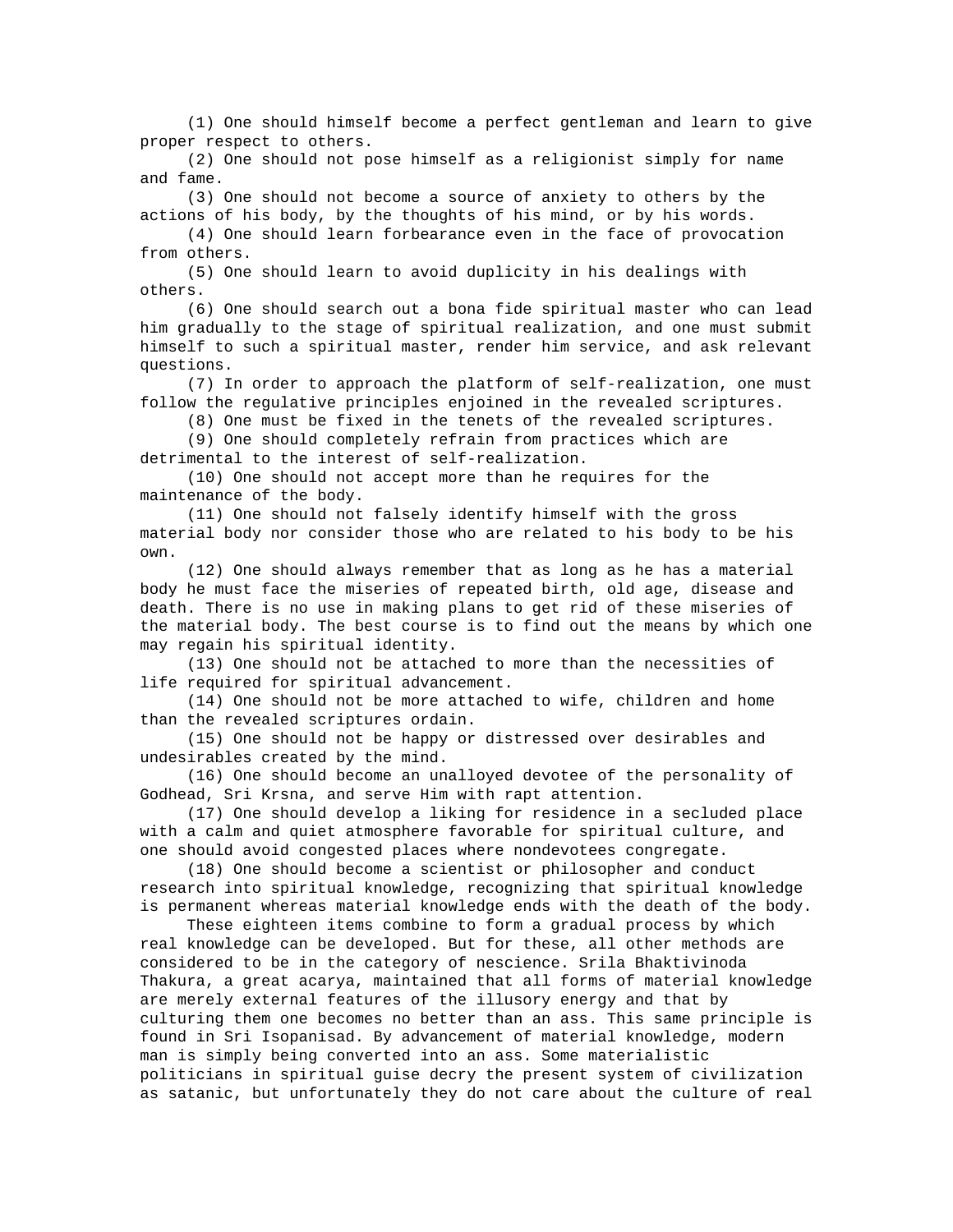(1) One should himself become a perfect gentleman and learn to give proper respect to others.

 (2) One should not pose himself as a religionist simply for name and fame.

 (3) One should not become a source of anxiety to others by the actions of his body, by the thoughts of his mind, or by his words.

 (4) One should learn forbearance even in the face of provocation from others.

 (5) One should learn to avoid duplicity in his dealings with others.

 (6) One should search out a bona fide spiritual master who can lead him gradually to the stage of spiritual realization, and one must submit himself to such a spiritual master, render him service, and ask relevant questions.

 (7) In order to approach the platform of self-realization, one must follow the regulative principles enjoined in the revealed scriptures.

(8) One must be fixed in the tenets of the revealed scriptures.

 (9) One should completely refrain from practices which are detrimental to the interest of self-realization.

 (10) One should not accept more than he requires for the maintenance of the body.

 (11) One should not falsely identify himself with the gross material body nor consider those who are related to his body to be his own.

 (12) One should always remember that as long as he has a material body he must face the miseries of repeated birth, old age, disease and death. There is no use in making plans to get rid of these miseries of the material body. The best course is to find out the means by which one may regain his spiritual identity.

 (13) One should not be attached to more than the necessities of life required for spiritual advancement.

 (14) One should not be more attached to wife, children and home than the revealed scriptures ordain.

 (15) One should not be happy or distressed over desirables and undesirables created by the mind.

 (16) One should become an unalloyed devotee of the personality of Godhead, Sri Krsna, and serve Him with rapt attention.

 (17) One should develop a liking for residence in a secluded place with a calm and quiet atmosphere favorable for spiritual culture, and one should avoid congested places where nondevotees congregate.

 (18) One should become a scientist or philosopher and conduct research into spiritual knowledge, recognizing that spiritual knowledge is permanent whereas material knowledge ends with the death of the body.

 These eighteen items combine to form a gradual process by which real knowledge can be developed. But for these, all other methods are considered to be in the category of nescience. Srila Bhaktivinoda Thakura, a great acarya, maintained that all forms of material knowledge are merely external features of the illusory energy and that by culturing them one becomes no better than an ass. This same principle is found in Sri Isopanisad. By advancement of material knowledge, modern man is simply being converted into an ass. Some materialistic politicians in spiritual guise decry the present system of civilization as satanic, but unfortunately they do not care about the culture of real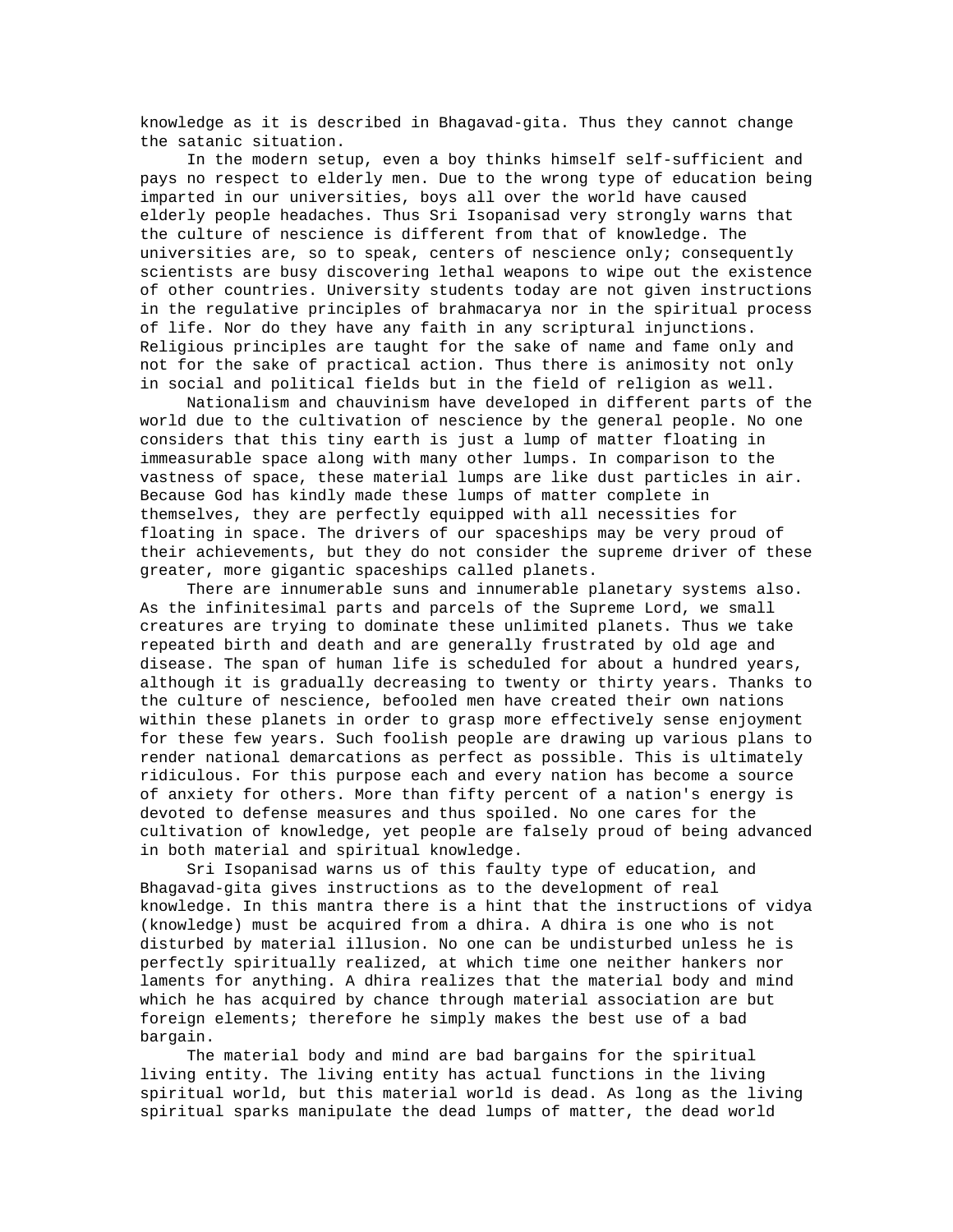knowledge as it is described in Bhagavad-gita. Thus they cannot change the satanic situation.

 In the modern setup, even a boy thinks himself self-sufficient and pays no respect to elderly men. Due to the wrong type of education being imparted in our universities, boys all over the world have caused elderly people headaches. Thus Sri Isopanisad very strongly warns that the culture of nescience is different from that of knowledge. The universities are, so to speak, centers of nescience only; consequently scientists are busy discovering lethal weapons to wipe out the existence of other countries. University students today are not given instructions in the regulative principles of brahmacarya nor in the spiritual process of life. Nor do they have any faith in any scriptural injunctions. Religious principles are taught for the sake of name and fame only and not for the sake of practical action. Thus there is animosity not only in social and political fields but in the field of religion as well.

 Nationalism and chauvinism have developed in different parts of the world due to the cultivation of nescience by the general people. No one considers that this tiny earth is just a lump of matter floating in immeasurable space along with many other lumps. In comparison to the vastness of space, these material lumps are like dust particles in air. Because God has kindly made these lumps of matter complete in themselves, they are perfectly equipped with all necessities for floating in space. The drivers of our spaceships may be very proud of their achievements, but they do not consider the supreme driver of these greater, more gigantic spaceships called planets.

 There are innumerable suns and innumerable planetary systems also. As the infinitesimal parts and parcels of the Supreme Lord, we small creatures are trying to dominate these unlimited planets. Thus we take repeated birth and death and are generally frustrated by old age and disease. The span of human life is scheduled for about a hundred years, although it is gradually decreasing to twenty or thirty years. Thanks to the culture of nescience, befooled men have created their own nations within these planets in order to grasp more effectively sense enjoyment for these few years. Such foolish people are drawing up various plans to render national demarcations as perfect as possible. This is ultimately ridiculous. For this purpose each and every nation has become a source of anxiety for others. More than fifty percent of a nation's energy is devoted to defense measures and thus spoiled. No one cares for the cultivation of knowledge, yet people are falsely proud of being advanced in both material and spiritual knowledge.

 Sri Isopanisad warns us of this faulty type of education, and Bhagavad-gita gives instructions as to the development of real knowledge. In this mantra there is a hint that the instructions of vidya (knowledge) must be acquired from a dhira. A dhira is one who is not disturbed by material illusion. No one can be undisturbed unless he is perfectly spiritually realized, at which time one neither hankers nor laments for anything. A dhira realizes that the material body and mind which he has acquired by chance through material association are but foreign elements; therefore he simply makes the best use of a bad bargain.

 The material body and mind are bad bargains for the spiritual living entity. The living entity has actual functions in the living spiritual world, but this material world is dead. As long as the living spiritual sparks manipulate the dead lumps of matter, the dead world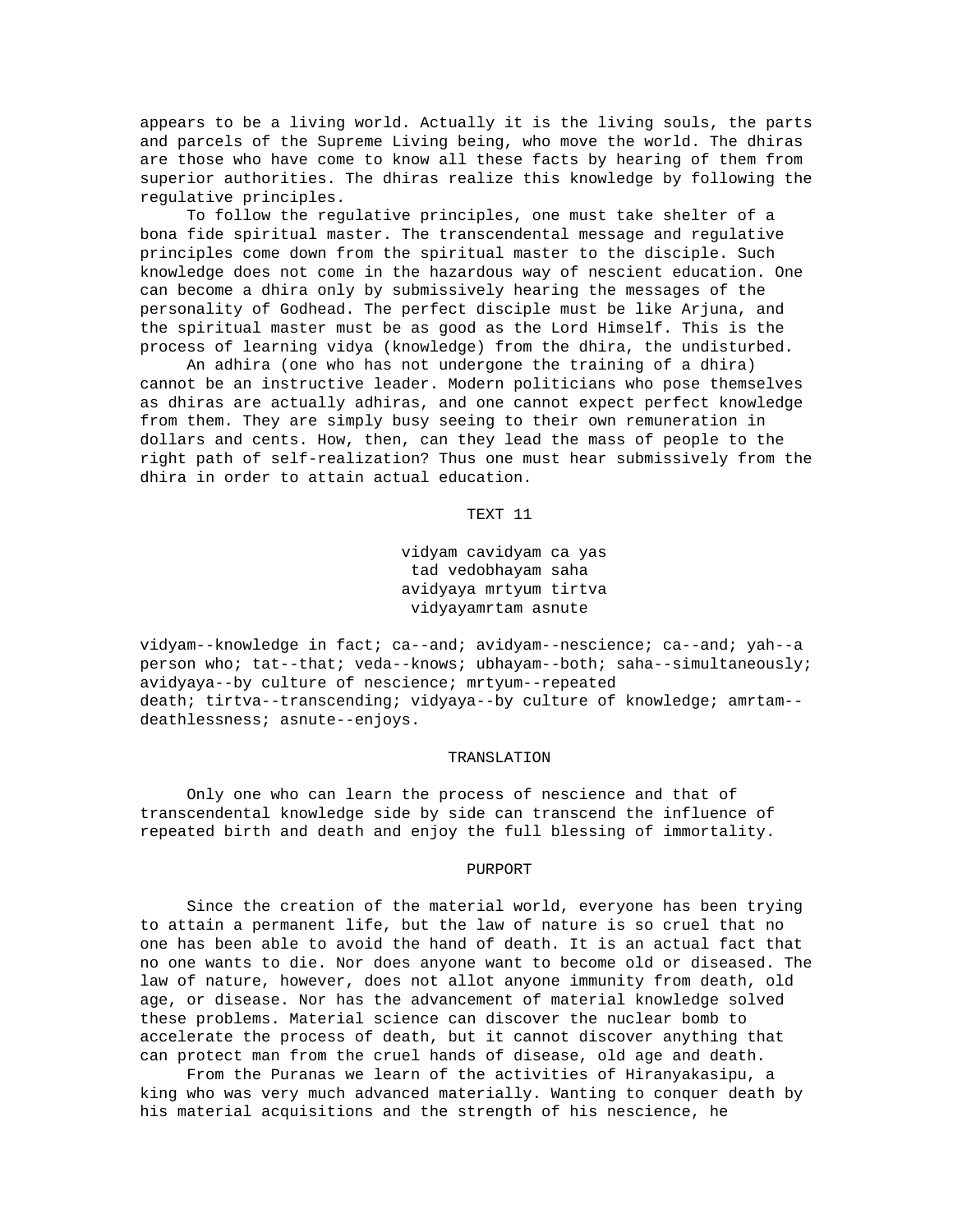appears to be a living world. Actually it is the living souls, the parts and parcels of the Supreme Living being, who move the world. The dhiras are those who have come to know all these facts by hearing of them from superior authorities. The dhiras realize this knowledge by following the regulative principles.

 To follow the regulative principles, one must take shelter of a bona fide spiritual master. The transcendental message and regulative principles come down from the spiritual master to the disciple. Such knowledge does not come in the hazardous way of nescient education. One can become a dhira only by submissively hearing the messages of the personality of Godhead. The perfect disciple must be like Arjuna, and the spiritual master must be as good as the Lord Himself. This is the process of learning vidya (knowledge) from the dhira, the undisturbed.

 An adhira (one who has not undergone the training of a dhira) cannot be an instructive leader. Modern politicians who pose themselves as dhiras are actually adhiras, and one cannot expect perfect knowledge from them. They are simply busy seeing to their own remuneration in dollars and cents. How, then, can they lead the mass of people to the right path of self-realization? Thus one must hear submissively from the dhira in order to attain actual education.

TEXT 11

 vidyam cavidyam ca yas tad vedobhayam saha avidyaya mrtyum tirtva vidyayamrtam asnute

vidyam--knowledge in fact; ca--and; avidyam--nescience; ca--and; yah--a person who; tat--that; veda--knows; ubhayam--both; saha--simultaneously; avidyaya--by culture of nescience; mrtyum--repeated death; tirtva--transcending; vidyaya--by culture of knowledge; amrtam- deathlessness; asnute--enjoys.

## TRANSLATION

 Only one who can learn the process of nescience and that of transcendental knowledge side by side can transcend the influence of repeated birth and death and enjoy the full blessing of immortality.

#### PURPORT

 Since the creation of the material world, everyone has been trying to attain a permanent life, but the law of nature is so cruel that no one has been able to avoid the hand of death. It is an actual fact that no one wants to die. Nor does anyone want to become old or diseased. The law of nature, however, does not allot anyone immunity from death, old age, or disease. Nor has the advancement of material knowledge solved these problems. Material science can discover the nuclear bomb to accelerate the process of death, but it cannot discover anything that can protect man from the cruel hands of disease, old age and death.

 From the Puranas we learn of the activities of Hiranyakasipu, a king who was very much advanced materially. Wanting to conquer death by his material acquisitions and the strength of his nescience, he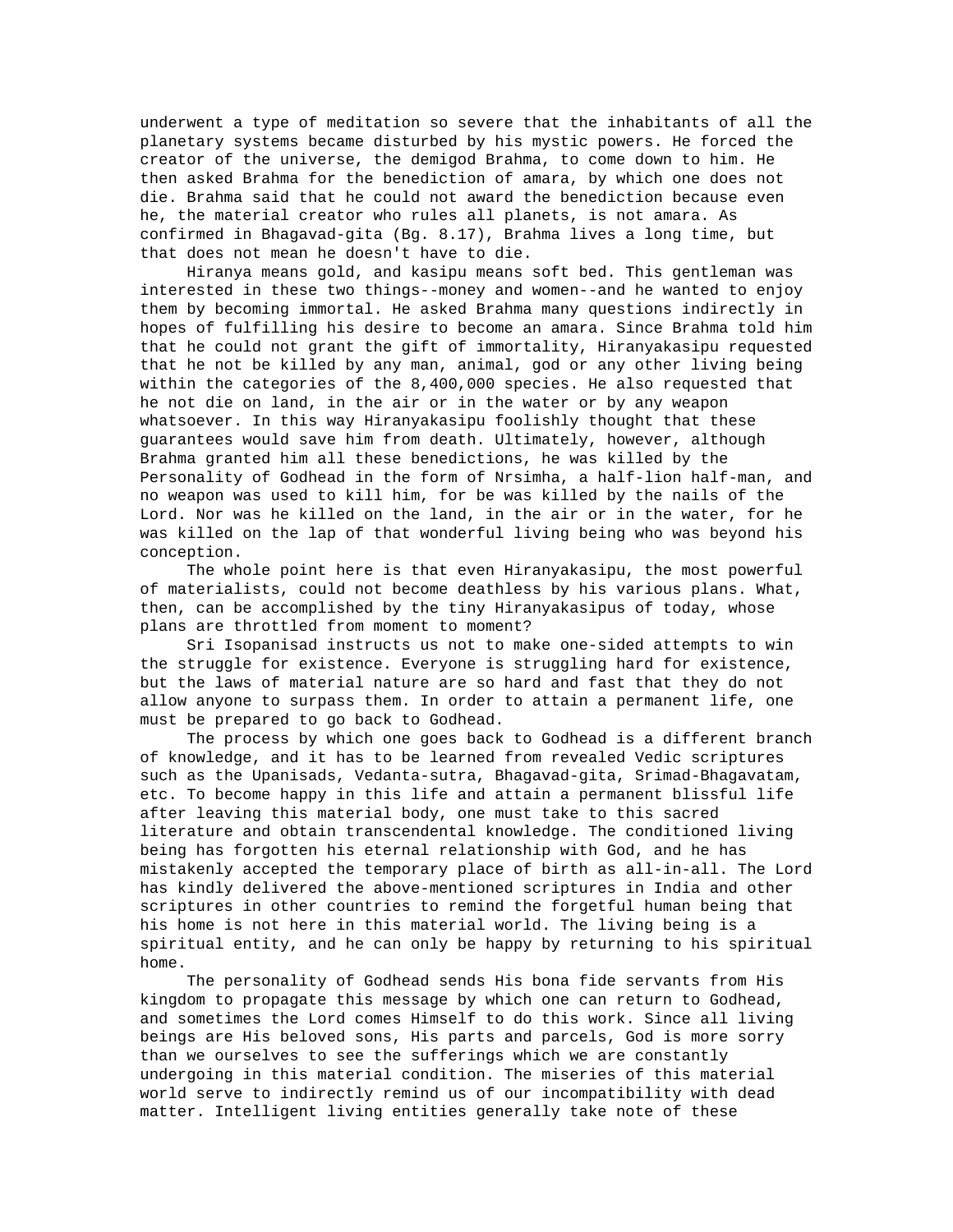underwent a type of meditation so severe that the inhabitants of all the planetary systems became disturbed by his mystic powers. He forced the creator of the universe, the demigod Brahma, to come down to him. He then asked Brahma for the benediction of amara, by which one does not die. Brahma said that he could not award the benediction because even he, the material creator who rules all planets, is not amara. As confirmed in Bhagavad-gita (Bg. 8.17), Brahma lives a long time, but that does not mean he doesn't have to die.

 Hiranya means gold, and kasipu means soft bed. This gentleman was interested in these two things--money and women--and he wanted to enjoy them by becoming immortal. He asked Brahma many questions indirectly in hopes of fulfilling his desire to become an amara. Since Brahma told him that he could not grant the gift of immortality, Hiranyakasipu requested that he not be killed by any man, animal, god or any other living being within the categories of the 8,400,000 species. He also requested that he not die on land, in the air or in the water or by any weapon whatsoever. In this way Hiranyakasipu foolishly thought that these guarantees would save him from death. Ultimately, however, although Brahma granted him all these benedictions, he was killed by the Personality of Godhead in the form of Nrsimha, a half-lion half-man, and no weapon was used to kill him, for be was killed by the nails of the Lord. Nor was he killed on the land, in the air or in the water, for he was killed on the lap of that wonderful living being who was beyond his conception.

 The whole point here is that even Hiranyakasipu, the most powerful of materialists, could not become deathless by his various plans. What, then, can be accomplished by the tiny Hiranyakasipus of today, whose plans are throttled from moment to moment?

 Sri Isopanisad instructs us not to make one-sided attempts to win the struggle for existence. Everyone is struggling hard for existence, but the laws of material nature are so hard and fast that they do not allow anyone to surpass them. In order to attain a permanent life, one must be prepared to go back to Godhead.

 The process by which one goes back to Godhead is a different branch of knowledge, and it has to be learned from revealed Vedic scriptures such as the Upanisads, Vedanta-sutra, Bhagavad-gita, Srimad-Bhagavatam, etc. To become happy in this life and attain a permanent blissful life after leaving this material body, one must take to this sacred literature and obtain transcendental knowledge. The conditioned living being has forgotten his eternal relationship with God, and he has mistakenly accepted the temporary place of birth as all-in-all. The Lord has kindly delivered the above-mentioned scriptures in India and other scriptures in other countries to remind the forgetful human being that his home is not here in this material world. The living being is a spiritual entity, and he can only be happy by returning to his spiritual home.

 The personality of Godhead sends His bona fide servants from His kingdom to propagate this message by which one can return to Godhead, and sometimes the Lord comes Himself to do this work. Since all living beings are His beloved sons, His parts and parcels, God is more sorry than we ourselves to see the sufferings which we are constantly undergoing in this material condition. The miseries of this material world serve to indirectly remind us of our incompatibility with dead matter. Intelligent living entities generally take note of these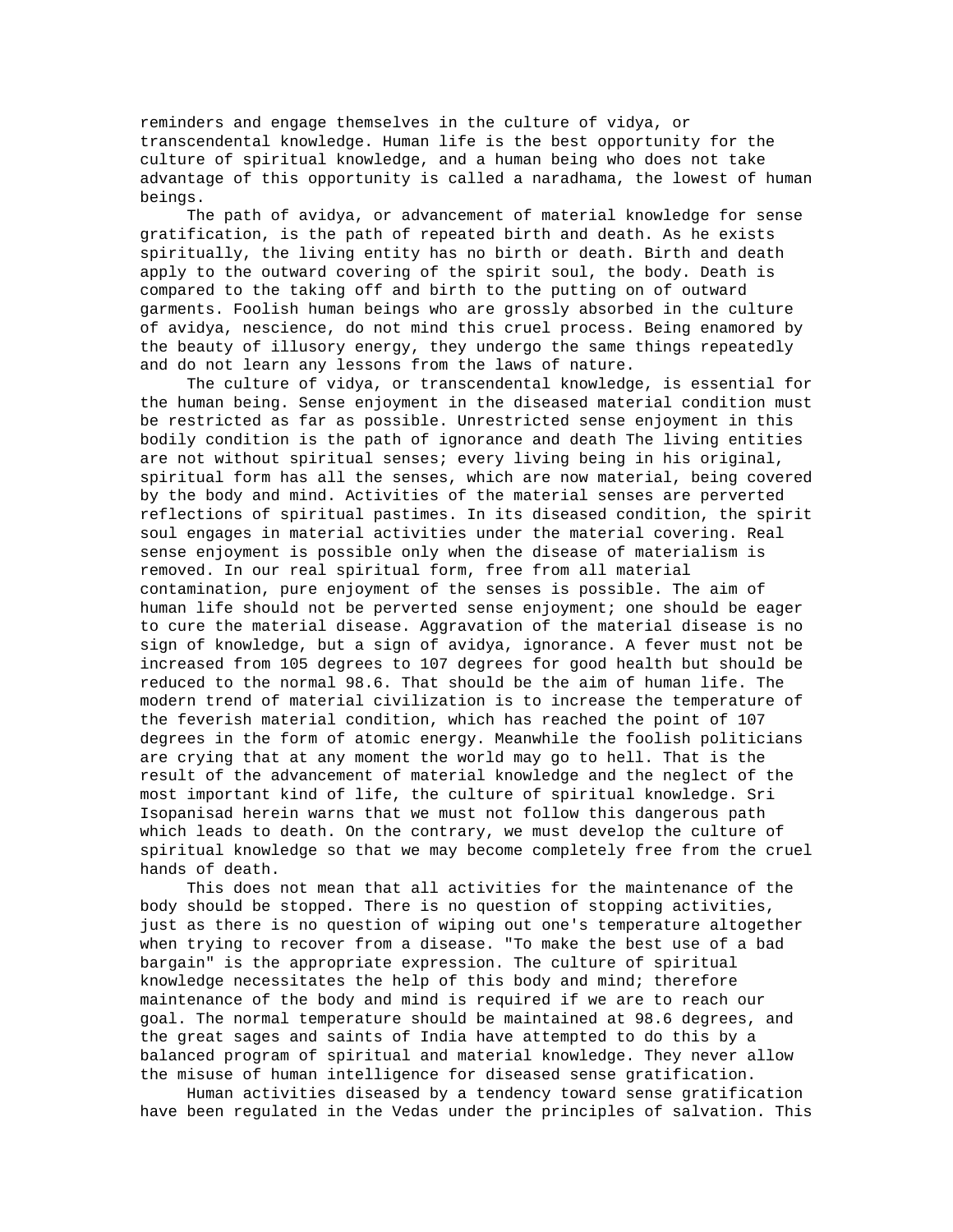reminders and engage themselves in the culture of vidya, or transcendental knowledge. Human life is the best opportunity for the culture of spiritual knowledge, and a human being who does not take advantage of this opportunity is called a naradhama, the lowest of human beings.

 The path of avidya, or advancement of material knowledge for sense gratification, is the path of repeated birth and death. As he exists spiritually, the living entity has no birth or death. Birth and death apply to the outward covering of the spirit soul, the body. Death is compared to the taking off and birth to the putting on of outward garments. Foolish human beings who are grossly absorbed in the culture of avidya, nescience, do not mind this cruel process. Being enamored by the beauty of illusory energy, they undergo the same things repeatedly and do not learn any lessons from the laws of nature.

 The culture of vidya, or transcendental knowledge, is essential for the human being. Sense enjoyment in the diseased material condition must be restricted as far as possible. Unrestricted sense enjoyment in this bodily condition is the path of ignorance and death The living entities are not without spiritual senses; every living being in his original, spiritual form has all the senses, which are now material, being covered by the body and mind. Activities of the material senses are perverted reflections of spiritual pastimes. In its diseased condition, the spirit soul engages in material activities under the material covering. Real sense enjoyment is possible only when the disease of materialism is removed. In our real spiritual form, free from all material contamination, pure enjoyment of the senses is possible. The aim of human life should not be perverted sense enjoyment; one should be eager to cure the material disease. Aggravation of the material disease is no sign of knowledge, but a sign of avidya, ignorance. A fever must not be increased from 105 degrees to 107 degrees for good health but should be reduced to the normal 98.6. That should be the aim of human life. The modern trend of material civilization is to increase the temperature of the feverish material condition, which has reached the point of 107 degrees in the form of atomic energy. Meanwhile the foolish politicians are crying that at any moment the world may go to hell. That is the result of the advancement of material knowledge and the neglect of the most important kind of life, the culture of spiritual knowledge. Sri Isopanisad herein warns that we must not follow this dangerous path which leads to death. On the contrary, we must develop the culture of spiritual knowledge so that we may become completely free from the cruel hands of death.

 This does not mean that all activities for the maintenance of the body should be stopped. There is no question of stopping activities, just as there is no question of wiping out one's temperature altogether when trying to recover from a disease. "To make the best use of a bad bargain" is the appropriate expression. The culture of spiritual knowledge necessitates the help of this body and mind; therefore maintenance of the body and mind is required if we are to reach our goal. The normal temperature should be maintained at 98.6 degrees, and the great sages and saints of India have attempted to do this by a balanced program of spiritual and material knowledge. They never allow the misuse of human intelligence for diseased sense gratification.

 Human activities diseased by a tendency toward sense gratification have been regulated in the Vedas under the principles of salvation. This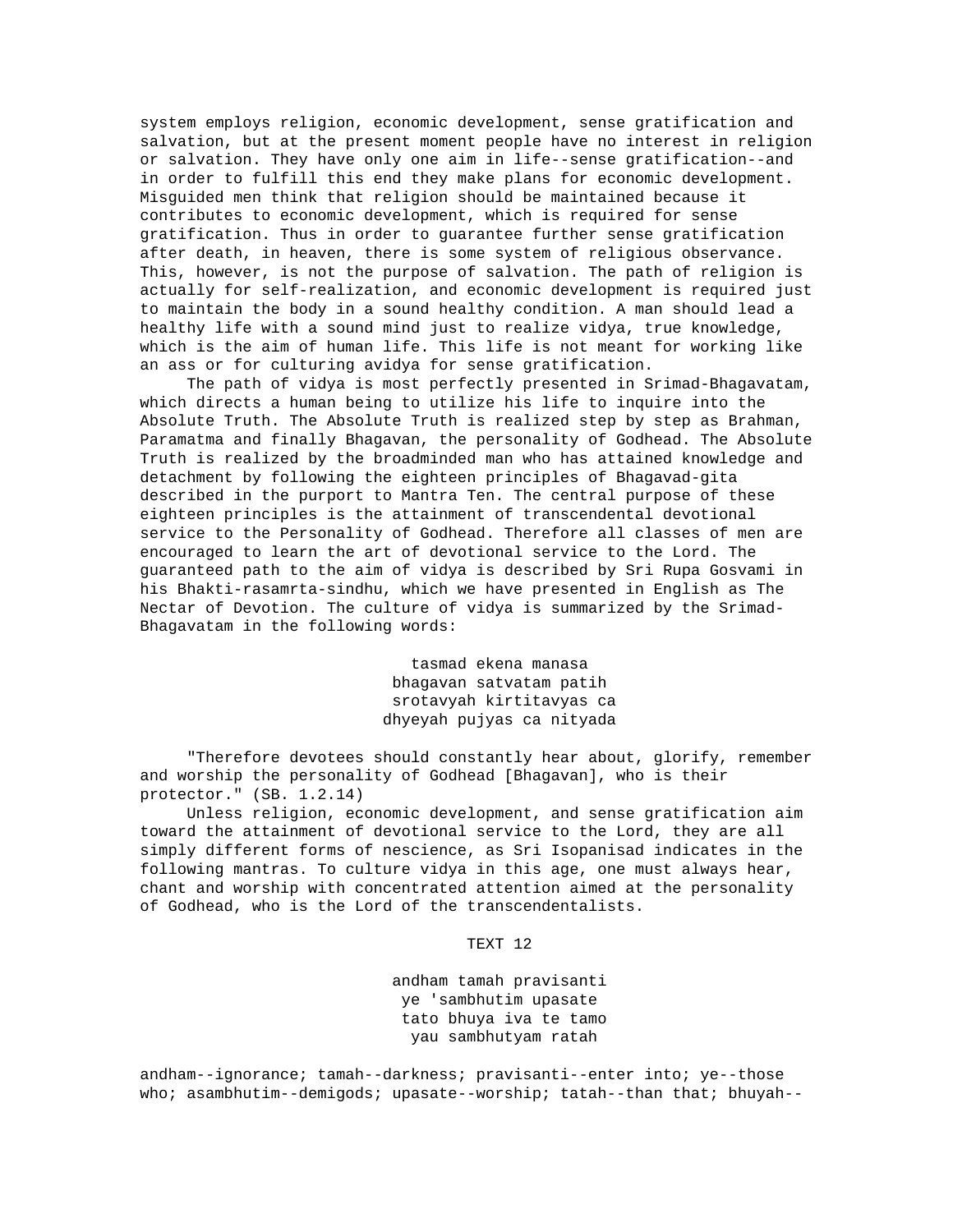system employs religion, economic development, sense gratification and salvation, but at the present moment people have no interest in religion or salvation. They have only one aim in life--sense gratification--and in order to fulfill this end they make plans for economic development. Misguided men think that religion should be maintained because it contributes to economic development, which is required for sense gratification. Thus in order to guarantee further sense gratification after death, in heaven, there is some system of religious observance. This, however, is not the purpose of salvation. The path of religion is actually for self-realization, and economic development is required just to maintain the body in a sound healthy condition. A man should lead a healthy life with a sound mind just to realize vidya, true knowledge, which is the aim of human life. This life is not meant for working like an ass or for culturing avidya for sense gratification.

 The path of vidya is most perfectly presented in Srimad-Bhagavatam, which directs a human being to utilize his life to inquire into the Absolute Truth. The Absolute Truth is realized step by step as Brahman, Paramatma and finally Bhagavan, the personality of Godhead. The Absolute Truth is realized by the broadminded man who has attained knowledge and detachment by following the eighteen principles of Bhagavad-gita described in the purport to Mantra Ten. The central purpose of these eighteen principles is the attainment of transcendental devotional service to the Personality of Godhead. Therefore all classes of men are encouraged to learn the art of devotional service to the Lord. The guaranteed path to the aim of vidya is described by Sri Rupa Gosvami in his Bhakti-rasamrta-sindhu, which we have presented in English as The Nectar of Devotion. The culture of vidya is summarized by the Srimad-Bhagavatam in the following words:

> tasmad ekena manasa bhagavan satvatam patih srotavyah kirtitavyas ca dhyeyah pujyas ca nityada

 "Therefore devotees should constantly hear about, glorify, remember and worship the personality of Godhead [Bhagavan], who is their protector." (SB. 1.2.14)

 Unless religion, economic development, and sense gratification aim toward the attainment of devotional service to the Lord, they are all simply different forms of nescience, as Sri Isopanisad indicates in the following mantras. To culture vidya in this age, one must always hear, chant and worship with concentrated attention aimed at the personality of Godhead, who is the Lord of the transcendentalists.

TEXT 12

 andham tamah pravisanti ye 'sambhutim upasate tato bhuya iva te tamo yau sambhutyam ratah

andham--ignorance; tamah--darkness; pravisanti--enter into; ye--those who; asambhutim--demigods; upasate--worship; tatah--than that; bhuyah--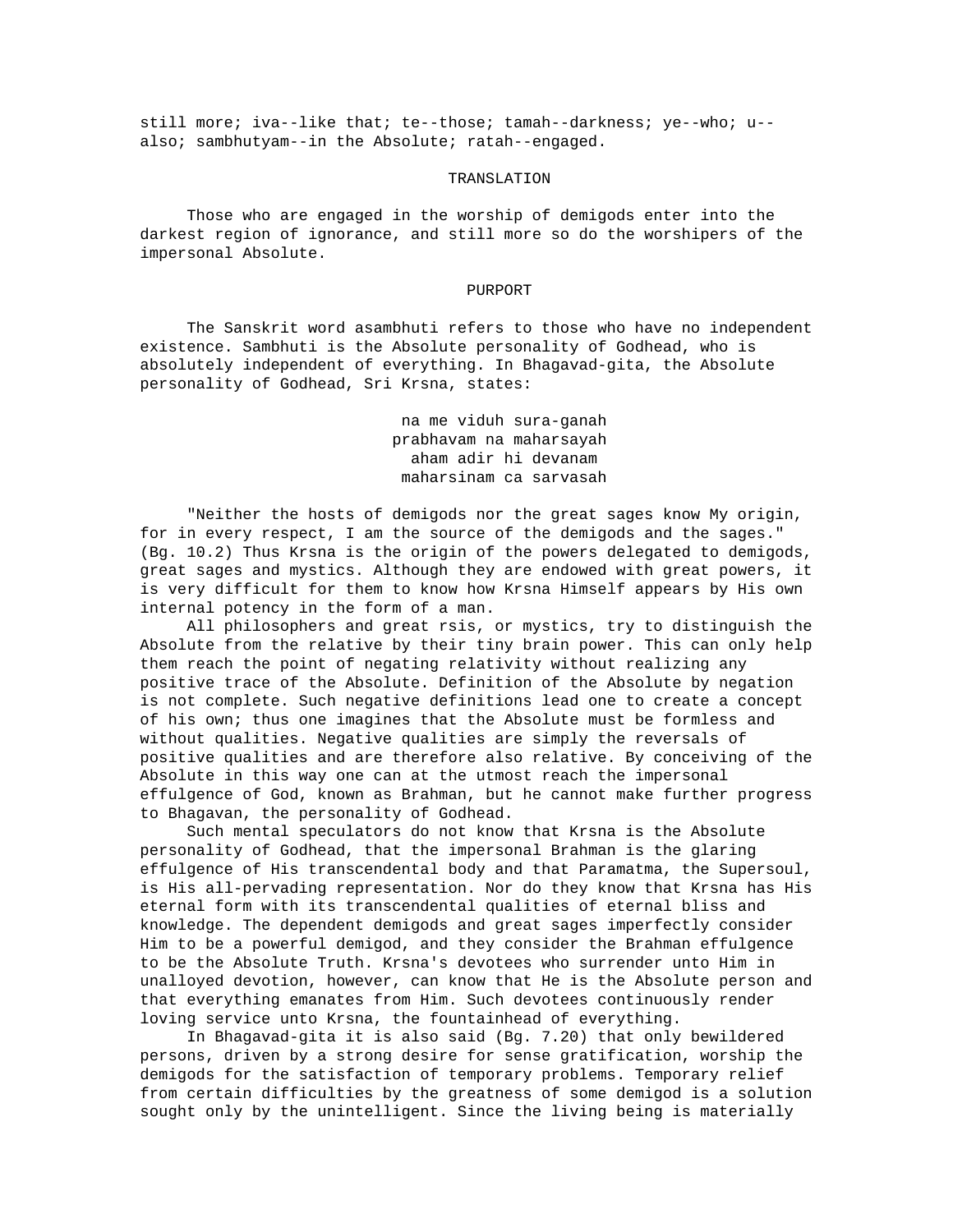still more; iva--like that; te--those; tamah--darkness; ye--who; u- also; sambhutyam--in the Absolute; ratah--engaged.

#### TRANSLATION

 Those who are engaged in the worship of demigods enter into the darkest region of ignorance, and still more so do the worshipers of the impersonal Absolute.

#### PURPORT

 The Sanskrit word asambhuti refers to those who have no independent existence. Sambhuti is the Absolute personality of Godhead, who is absolutely independent of everything. In Bhagavad-gita, the Absolute personality of Godhead, Sri Krsna, states:

> na me viduh sura-ganah prabhavam na maharsayah aham adir hi devanam maharsinam ca sarvasah

 "Neither the hosts of demigods nor the great sages know My origin, for in every respect, I am the source of the demigods and the sages." (Bg. 10.2) Thus Krsna is the origin of the powers delegated to demigods, great sages and mystics. Although they are endowed with great powers, it is very difficult for them to know how Krsna Himself appears by His own internal potency in the form of a man.

 All philosophers and great rsis, or mystics, try to distinguish the Absolute from the relative by their tiny brain power. This can only help them reach the point of negating relativity without realizing any positive trace of the Absolute. Definition of the Absolute by negation is not complete. Such negative definitions lead one to create a concept of his own; thus one imagines that the Absolute must be formless and without qualities. Negative qualities are simply the reversals of positive qualities and are therefore also relative. By conceiving of the Absolute in this way one can at the utmost reach the impersonal effulgence of God, known as Brahman, but he cannot make further progress to Bhagavan, the personality of Godhead.

 Such mental speculators do not know that Krsna is the Absolute personality of Godhead, that the impersonal Brahman is the glaring effulgence of His transcendental body and that Paramatma, the Supersoul, is His all-pervading representation. Nor do they know that Krsna has His eternal form with its transcendental qualities of eternal bliss and knowledge. The dependent demigods and great sages imperfectly consider Him to be a powerful demigod, and they consider the Brahman effulgence to be the Absolute Truth. Krsna's devotees who surrender unto Him in unalloyed devotion, however, can know that He is the Absolute person and that everything emanates from Him. Such devotees continuously render loving service unto Krsna, the fountainhead of everything.

 In Bhagavad-gita it is also said (Bg. 7.20) that only bewildered persons, driven by a strong desire for sense gratification, worship the demigods for the satisfaction of temporary problems. Temporary relief from certain difficulties by the greatness of some demigod is a solution sought only by the unintelligent. Since the living being is materially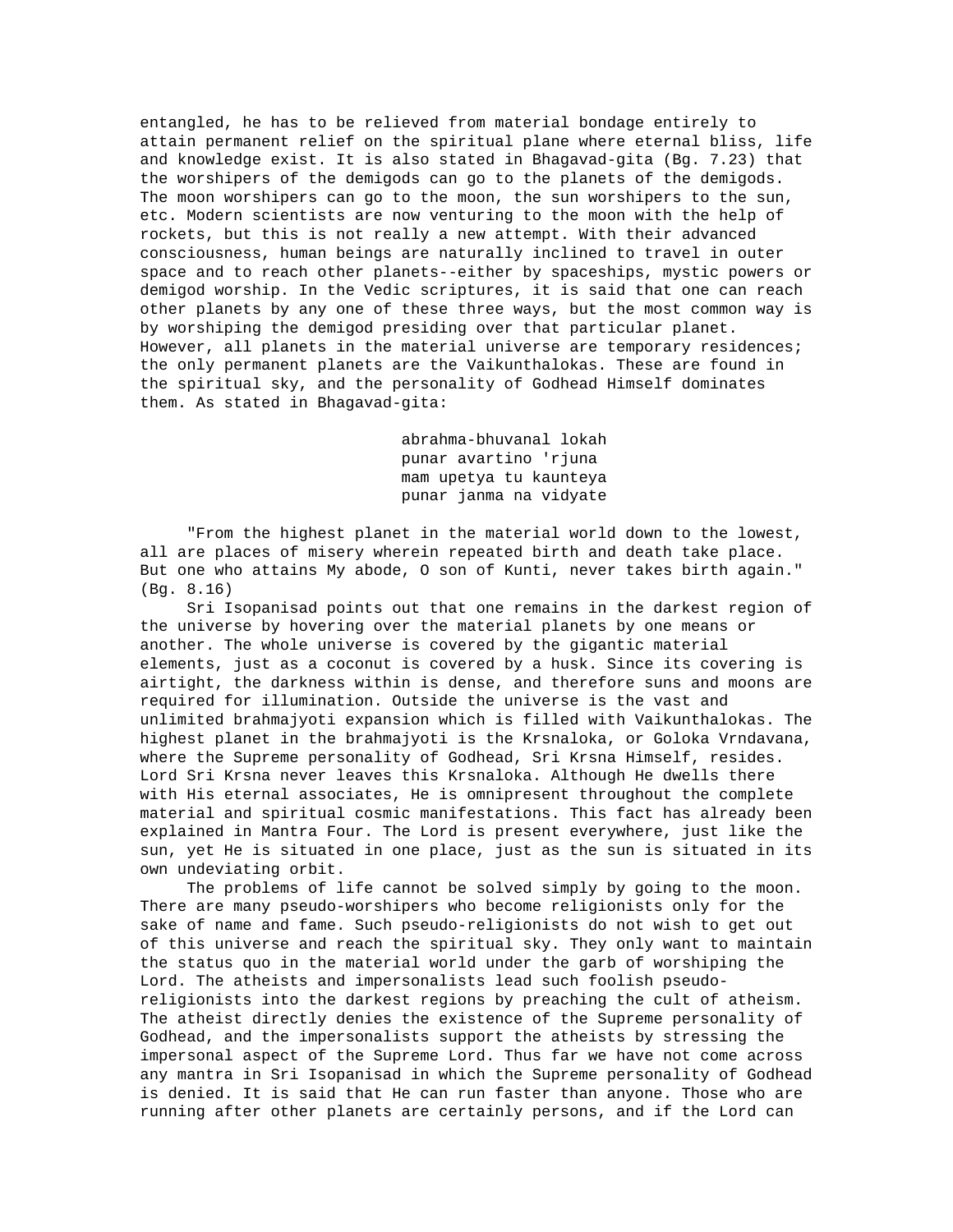entangled, he has to be relieved from material bondage entirely to attain permanent relief on the spiritual plane where eternal bliss, life and knowledge exist. It is also stated in Bhagavad-gita (Bg. 7.23) that the worshipers of the demigods can go to the planets of the demigods. The moon worshipers can go to the moon, the sun worshipers to the sun, etc. Modern scientists are now venturing to the moon with the help of rockets, but this is not really a new attempt. With their advanced consciousness, human beings are naturally inclined to travel in outer space and to reach other planets--either by spaceships, mystic powers or demigod worship. In the Vedic scriptures, it is said that one can reach other planets by any one of these three ways, but the most common way is by worshiping the demigod presiding over that particular planet. However, all planets in the material universe are temporary residences; the only permanent planets are the Vaikunthalokas. These are found in the spiritual sky, and the personality of Godhead Himself dominates them. As stated in Bhagavad-gita:

> abrahma-bhuvanal lokah punar avartino 'rjuna mam upetya tu kaunteya punar janma na vidyate

 "From the highest planet in the material world down to the lowest, all are places of misery wherein repeated birth and death take place. But one who attains My abode, O son of Kunti, never takes birth again." (Bg. 8.16)

 Sri Isopanisad points out that one remains in the darkest region of the universe by hovering over the material planets by one means or another. The whole universe is covered by the gigantic material elements, just as a coconut is covered by a husk. Since its covering is airtight, the darkness within is dense, and therefore suns and moons are required for illumination. Outside the universe is the vast and unlimited brahmajyoti expansion which is filled with Vaikunthalokas. The highest planet in the brahmajyoti is the Krsnaloka, or Goloka Vrndavana, where the Supreme personality of Godhead, Sri Krsna Himself, resides. Lord Sri Krsna never leaves this Krsnaloka. Although He dwells there with His eternal associates, He is omnipresent throughout the complete material and spiritual cosmic manifestations. This fact has already been explained in Mantra Four. The Lord is present everywhere, just like the sun, yet He is situated in one place, just as the sun is situated in its own undeviating orbit.

 The problems of life cannot be solved simply by going to the moon. There are many pseudo-worshipers who become religionists only for the sake of name and fame. Such pseudo-religionists do not wish to get out of this universe and reach the spiritual sky. They only want to maintain the status quo in the material world under the garb of worshiping the Lord. The atheists and impersonalists lead such foolish pseudoreligionists into the darkest regions by preaching the cult of atheism. The atheist directly denies the existence of the Supreme personality of Godhead, and the impersonalists support the atheists by stressing the impersonal aspect of the Supreme Lord. Thus far we have not come across any mantra in Sri Isopanisad in which the Supreme personality of Godhead is denied. It is said that He can run faster than anyone. Those who are running after other planets are certainly persons, and if the Lord can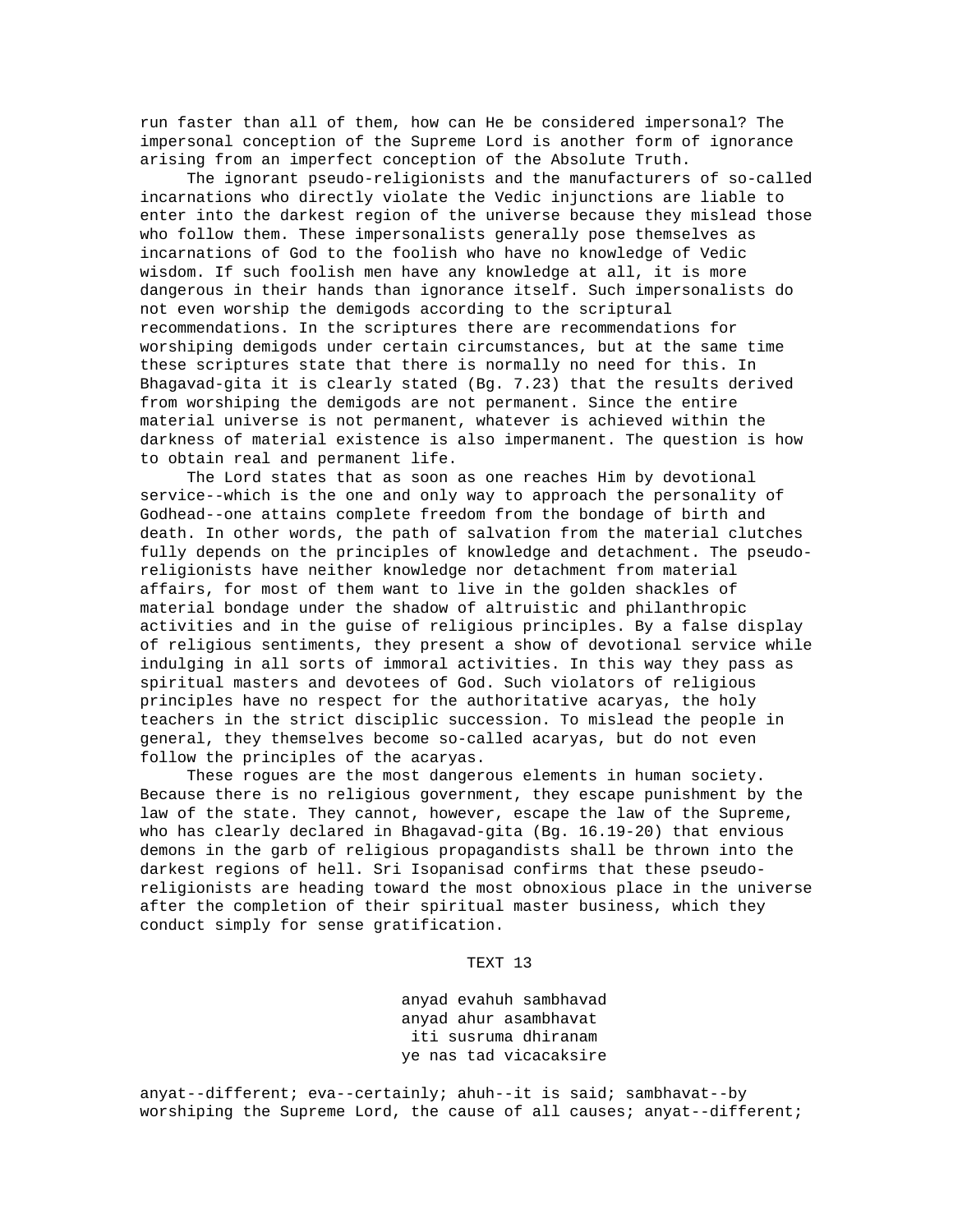run faster than all of them, how can He be considered impersonal? The impersonal conception of the Supreme Lord is another form of ignorance arising from an imperfect conception of the Absolute Truth.

 The ignorant pseudo-religionists and the manufacturers of so-called incarnations who directly violate the Vedic injunctions are liable to enter into the darkest region of the universe because they mislead those who follow them. These impersonalists generally pose themselves as incarnations of God to the foolish who have no knowledge of Vedic wisdom. If such foolish men have any knowledge at all, it is more dangerous in their hands than ignorance itself. Such impersonalists do not even worship the demigods according to the scriptural recommendations. In the scriptures there are recommendations for worshiping demigods under certain circumstances, but at the same time these scriptures state that there is normally no need for this. In Bhagavad-gita it is clearly stated (Bg. 7.23) that the results derived from worshiping the demigods are not permanent. Since the entire material universe is not permanent, whatever is achieved within the darkness of material existence is also impermanent. The question is how to obtain real and permanent life.

 The Lord states that as soon as one reaches Him by devotional service--which is the one and only way to approach the personality of Godhead--one attains complete freedom from the bondage of birth and death. In other words, the path of salvation from the material clutches fully depends on the principles of knowledge and detachment. The pseudoreligionists have neither knowledge nor detachment from material affairs, for most of them want to live in the golden shackles of material bondage under the shadow of altruistic and philanthropic activities and in the guise of religious principles. By a false display of religious sentiments, they present a show of devotional service while indulging in all sorts of immoral activities. In this way they pass as spiritual masters and devotees of God. Such violators of religious principles have no respect for the authoritative acaryas, the holy teachers in the strict disciplic succession. To mislead the people in general, they themselves become so-called acaryas, but do not even follow the principles of the acaryas.

 These rogues are the most dangerous elements in human society. Because there is no religious government, they escape punishment by the law of the state. They cannot, however, escape the law of the Supreme, who has clearly declared in Bhagavad-gita (Bg. 16.19-20) that envious demons in the garb of religious propagandists shall be thrown into the darkest regions of hell. Sri Isopanisad confirms that these pseudoreligionists are heading toward the most obnoxious place in the universe after the completion of their spiritual master business, which they conduct simply for sense gratification.

TEXT 13

 anyad evahuh sambhavad anyad ahur asambhavat iti susruma dhiranam ye nas tad vicacaksire

anyat--different; eva--certainly; ahuh--it is said; sambhavat--by worshiping the Supreme Lord, the cause of all causes; anyat--different;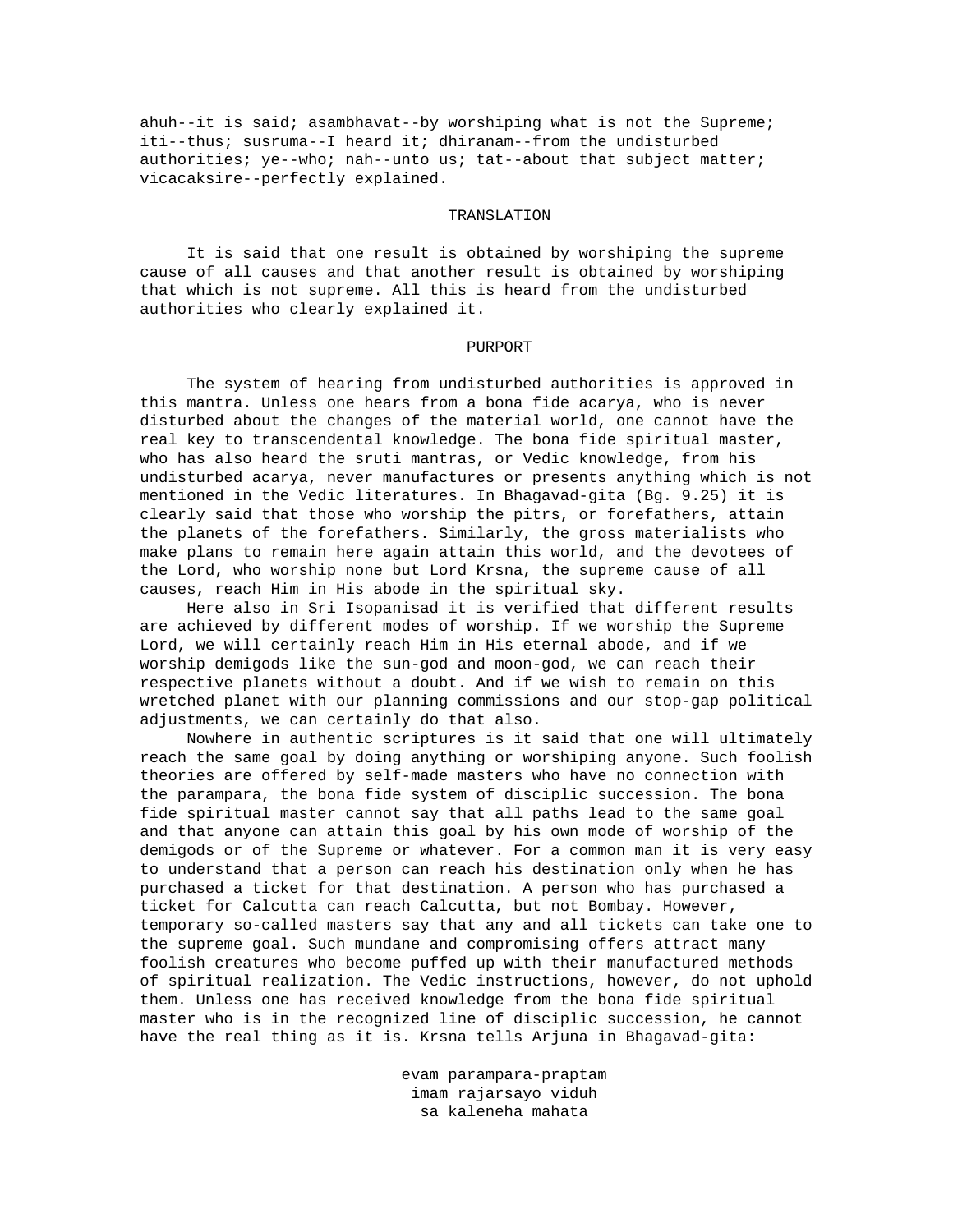ahuh--it is said; asambhavat--by worshiping what is not the Supreme; iti--thus; susruma--I heard it; dhiranam--from the undisturbed authorities; ye--who; nah--unto us; tat--about that subject matter; vicacaksire--perfectly explained.

#### TRANSLATION

 It is said that one result is obtained by worshiping the supreme cause of all causes and that another result is obtained by worshiping that which is not supreme. All this is heard from the undisturbed authorities who clearly explained it.

#### PURPORT

 The system of hearing from undisturbed authorities is approved in this mantra. Unless one hears from a bona fide acarya, who is never disturbed about the changes of the material world, one cannot have the real key to transcendental knowledge. The bona fide spiritual master, who has also heard the sruti mantras, or Vedic knowledge, from his undisturbed acarya, never manufactures or presents anything which is not mentioned in the Vedic literatures. In Bhagavad-gita (Bg. 9.25) it is clearly said that those who worship the pitrs, or forefathers, attain the planets of the forefathers. Similarly, the gross materialists who make plans to remain here again attain this world, and the devotees of the Lord, who worship none but Lord Krsna, the supreme cause of all causes, reach Him in His abode in the spiritual sky.

 Here also in Sri Isopanisad it is verified that different results are achieved by different modes of worship. If we worship the Supreme Lord, we will certainly reach Him in His eternal abode, and if we worship demigods like the sun-god and moon-god, we can reach their respective planets without a doubt. And if we wish to remain on this wretched planet with our planning commissions and our stop-gap political adjustments, we can certainly do that also.

 Nowhere in authentic scriptures is it said that one will ultimately reach the same goal by doing anything or worshiping anyone. Such foolish theories are offered by self-made masters who have no connection with the parampara, the bona fide system of disciplic succession. The bona fide spiritual master cannot say that all paths lead to the same goal and that anyone can attain this goal by his own mode of worship of the demigods or of the Supreme or whatever. For a common man it is very easy to understand that a person can reach his destination only when he has purchased a ticket for that destination. A person who has purchased a ticket for Calcutta can reach Calcutta, but not Bombay. However, temporary so-called masters say that any and all tickets can take one to the supreme goal. Such mundane and compromising offers attract many foolish creatures who become puffed up with their manufactured methods of spiritual realization. The Vedic instructions, however, do not uphold them. Unless one has received knowledge from the bona fide spiritual master who is in the recognized line of disciplic succession, he cannot have the real thing as it is. Krsna tells Arjuna in Bhagavad-gita:

> evam parampara-praptam imam rajarsayo viduh sa kaleneha mahata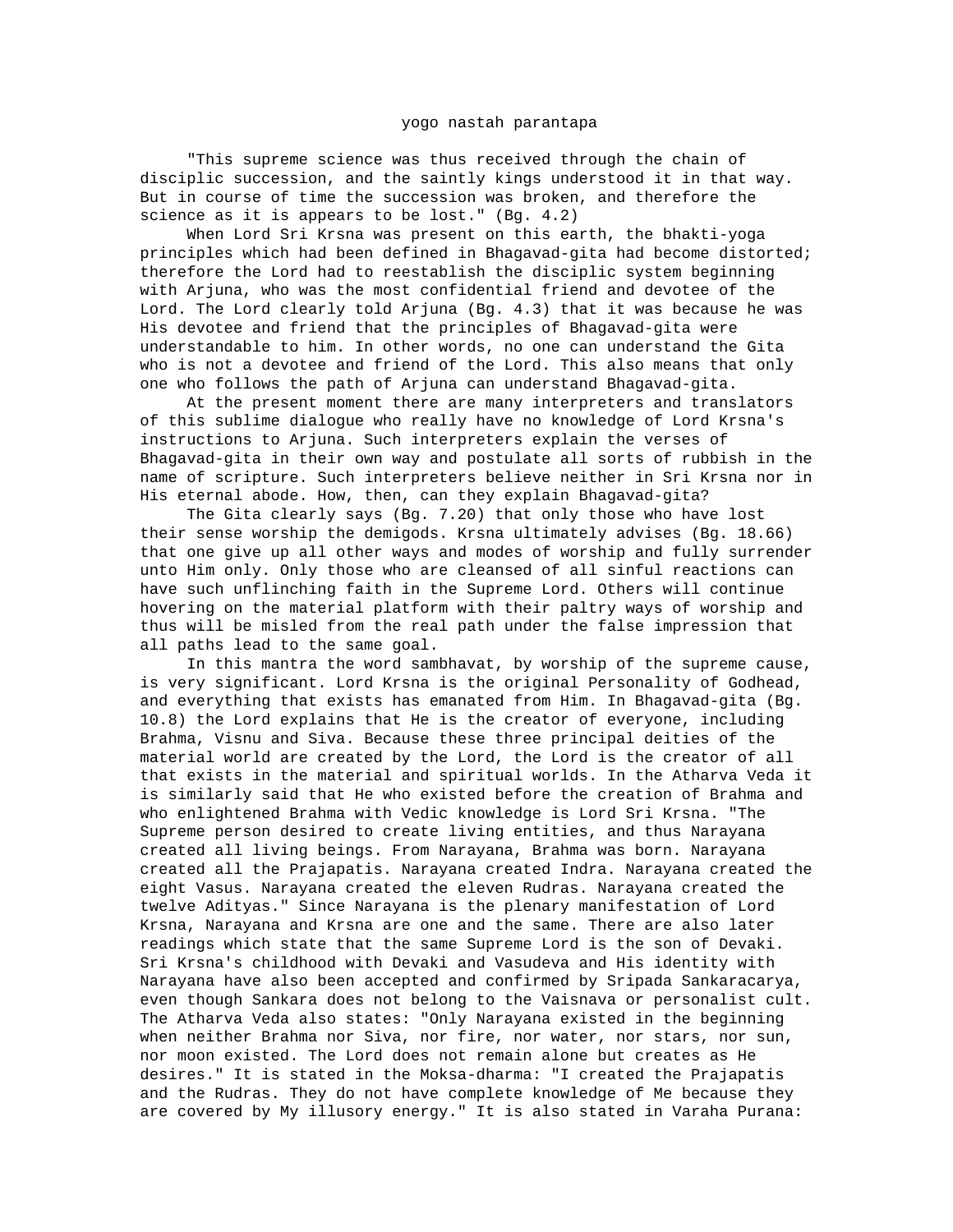### yogo nastah parantapa

 "This supreme science was thus received through the chain of disciplic succession, and the saintly kings understood it in that way. But in course of time the succession was broken, and therefore the science as it is appears to be lost." (Bg. 4.2)

 When Lord Sri Krsna was present on this earth, the bhakti-yoga principles which had been defined in Bhagavad-gita had become distorted; therefore the Lord had to reestablish the disciplic system beginning with Arjuna, who was the most confidential friend and devotee of the Lord. The Lord clearly told Arjuna (Bg. 4.3) that it was because he was His devotee and friend that the principles of Bhagavad-gita were understandable to him. In other words, no one can understand the Gita who is not a devotee and friend of the Lord. This also means that only one who follows the path of Arjuna can understand Bhagavad-gita.

 At the present moment there are many interpreters and translators of this sublime dialogue who really have no knowledge of Lord Krsna's instructions to Arjuna. Such interpreters explain the verses of Bhagavad-gita in their own way and postulate all sorts of rubbish in the name of scripture. Such interpreters believe neither in Sri Krsna nor in His eternal abode. How, then, can they explain Bhagavad-gita?

 The Gita clearly says (Bg. 7.20) that only those who have lost their sense worship the demigods. Krsna ultimately advises (Bg. 18.66) that one give up all other ways and modes of worship and fully surrender unto Him only. Only those who are cleansed of all sinful reactions can have such unflinching faith in the Supreme Lord. Others will continue hovering on the material platform with their paltry ways of worship and thus will be misled from the real path under the false impression that all paths lead to the same goal.

 In this mantra the word sambhavat, by worship of the supreme cause, is very significant. Lord Krsna is the original Personality of Godhead, and everything that exists has emanated from Him. In Bhagavad-gita (Bg. 10.8) the Lord explains that He is the creator of everyone, including Brahma, Visnu and Siva. Because these three principal deities of the material world are created by the Lord, the Lord is the creator of all that exists in the material and spiritual worlds. In the Atharva Veda it is similarly said that He who existed before the creation of Brahma and who enlightened Brahma with Vedic knowledge is Lord Sri Krsna. "The Supreme person desired to create living entities, and thus Narayana created all living beings. From Narayana, Brahma was born. Narayana created all the Prajapatis. Narayana created Indra. Narayana created the eight Vasus. Narayana created the eleven Rudras. Narayana created the twelve Adityas." Since Narayana is the plenary manifestation of Lord Krsna, Narayana and Krsna are one and the same. There are also later readings which state that the same Supreme Lord is the son of Devaki. Sri Krsna's childhood with Devaki and Vasudeva and His identity with Narayana have also been accepted and confirmed by Sripada Sankaracarya, even though Sankara does not belong to the Vaisnava or personalist cult. The Atharva Veda also states: "Only Narayana existed in the beginning when neither Brahma nor Siva, nor fire, nor water, nor stars, nor sun, nor moon existed. The Lord does not remain alone but creates as He desires." It is stated in the Moksa-dharma: "I created the Prajapatis and the Rudras. They do not have complete knowledge of Me because they are covered by My illusory energy." It is also stated in Varaha Purana: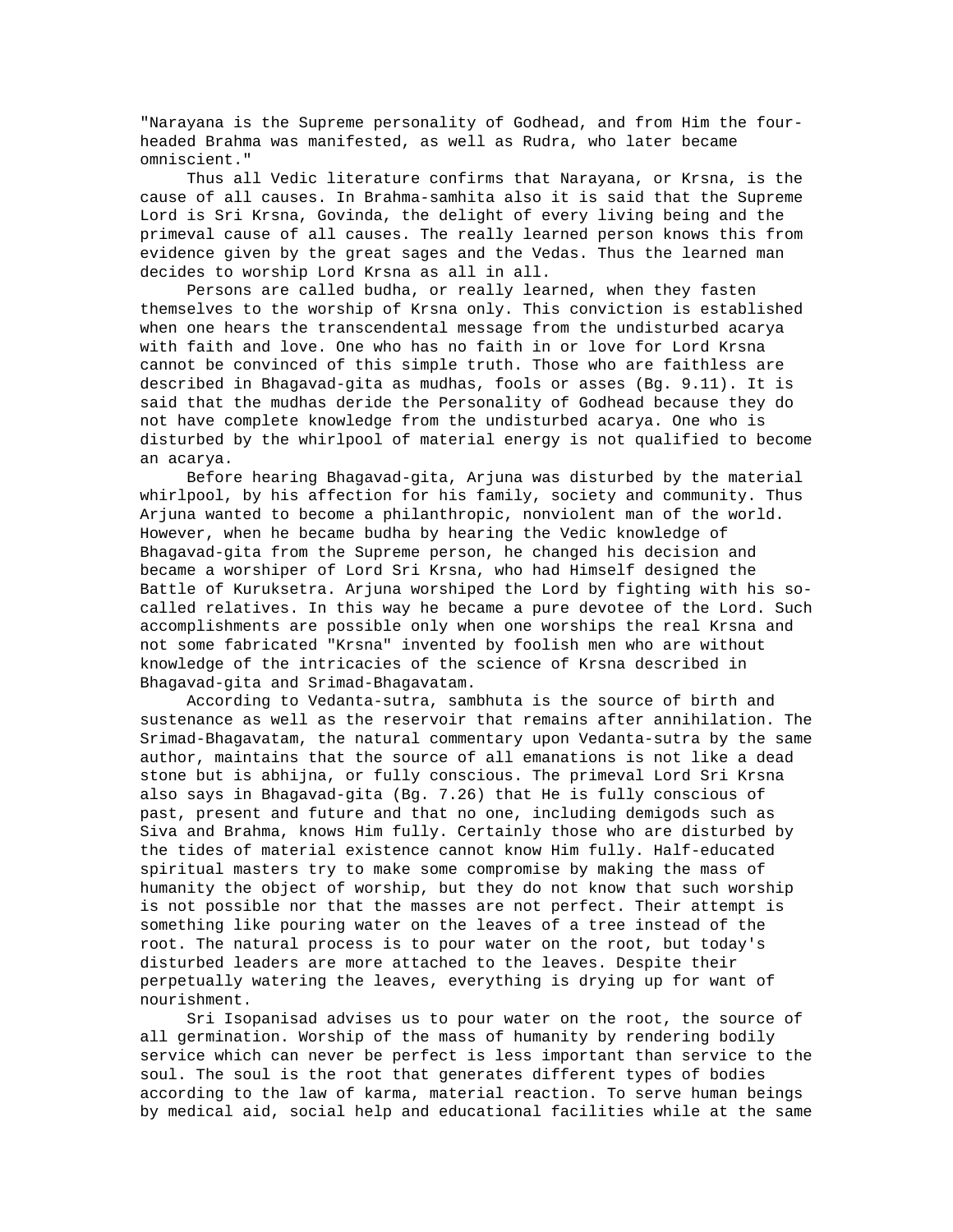"Narayana is the Supreme personality of Godhead, and from Him the fourheaded Brahma was manifested, as well as Rudra, who later became omniscient."

 Thus all Vedic literature confirms that Narayana, or Krsna, is the cause of all causes. In Brahma-samhita also it is said that the Supreme Lord is Sri Krsna, Govinda, the delight of every living being and the primeval cause of all causes. The really learned person knows this from evidence given by the great sages and the Vedas. Thus the learned man decides to worship Lord Krsna as all in all.

 Persons are called budha, or really learned, when they fasten themselves to the worship of Krsna only. This conviction is established when one hears the transcendental message from the undisturbed acarya with faith and love. One who has no faith in or love for Lord Krsna cannot be convinced of this simple truth. Those who are faithless are described in Bhagavad-gita as mudhas, fools or asses (Bg. 9.11). It is said that the mudhas deride the Personality of Godhead because they do not have complete knowledge from the undisturbed acarya. One who is disturbed by the whirlpool of material energy is not qualified to become an acarya.

 Before hearing Bhagavad-gita, Arjuna was disturbed by the material whirlpool, by his affection for his family, society and community. Thus Arjuna wanted to become a philanthropic, nonviolent man of the world. However, when he became budha by hearing the Vedic knowledge of Bhagavad-gita from the Supreme person, he changed his decision and became a worshiper of Lord Sri Krsna, who had Himself designed the Battle of Kuruksetra. Arjuna worshiped the Lord by fighting with his socalled relatives. In this way he became a pure devotee of the Lord. Such accomplishments are possible only when one worships the real Krsna and not some fabricated "Krsna" invented by foolish men who are without knowledge of the intricacies of the science of Krsna described in Bhagavad-gita and Srimad-Bhagavatam.

 According to Vedanta-sutra, sambhuta is the source of birth and sustenance as well as the reservoir that remains after annihilation. The Srimad-Bhagavatam, the natural commentary upon Vedanta-sutra by the same author, maintains that the source of all emanations is not like a dead stone but is abhijna, or fully conscious. The primeval Lord Sri Krsna also says in Bhagavad-gita (Bg. 7.26) that He is fully conscious of past, present and future and that no one, including demigods such as Siva and Brahma, knows Him fully. Certainly those who are disturbed by the tides of material existence cannot know Him fully. Half-educated spiritual masters try to make some compromise by making the mass of humanity the object of worship, but they do not know that such worship is not possible nor that the masses are not perfect. Their attempt is something like pouring water on the leaves of a tree instead of the root. The natural process is to pour water on the root, but today's disturbed leaders are more attached to the leaves. Despite their perpetually watering the leaves, everything is drying up for want of nourishment.

 Sri Isopanisad advises us to pour water on the root, the source of all germination. Worship of the mass of humanity by rendering bodily service which can never be perfect is less important than service to the soul. The soul is the root that generates different types of bodies according to the law of karma, material reaction. To serve human beings by medical aid, social help and educational facilities while at the same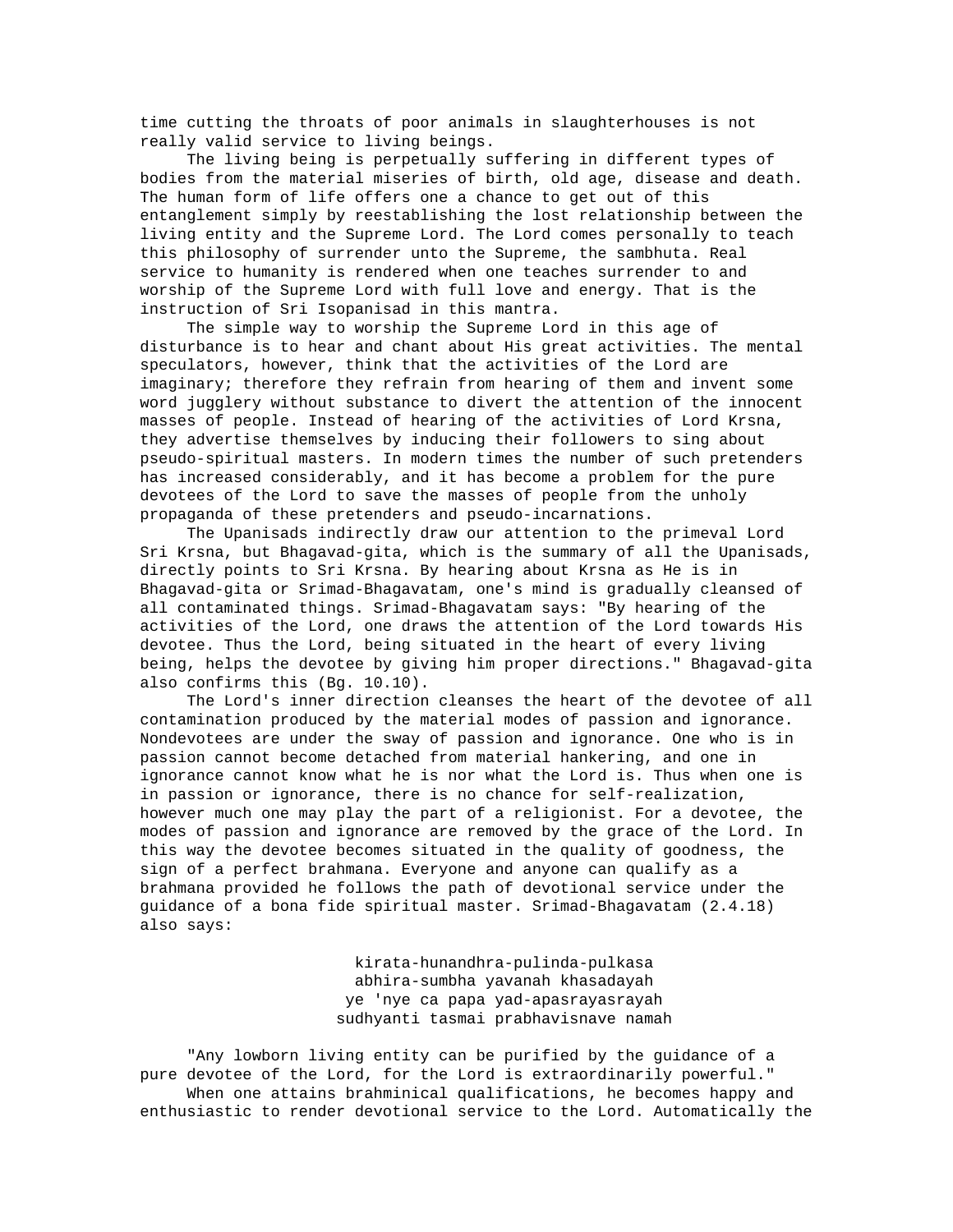time cutting the throats of poor animals in slaughterhouses is not really valid service to living beings.

 The living being is perpetually suffering in different types of bodies from the material miseries of birth, old age, disease and death. The human form of life offers one a chance to get out of this entanglement simply by reestablishing the lost relationship between the living entity and the Supreme Lord. The Lord comes personally to teach this philosophy of surrender unto the Supreme, the sambhuta. Real service to humanity is rendered when one teaches surrender to and worship of the Supreme Lord with full love and energy. That is the instruction of Sri Isopanisad in this mantra.

 The simple way to worship the Supreme Lord in this age of disturbance is to hear and chant about His great activities. The mental speculators, however, think that the activities of the Lord are imaginary; therefore they refrain from hearing of them and invent some word jugglery without substance to divert the attention of the innocent masses of people. Instead of hearing of the activities of Lord Krsna, they advertise themselves by inducing their followers to sing about pseudo-spiritual masters. In modern times the number of such pretenders has increased considerably, and it has become a problem for the pure devotees of the Lord to save the masses of people from the unholy propaganda of these pretenders and pseudo-incarnations.

 The Upanisads indirectly draw our attention to the primeval Lord Sri Krsna, but Bhagavad-gita, which is the summary of all the Upanisads, directly points to Sri Krsna. By hearing about Krsna as He is in Bhagavad-gita or Srimad-Bhagavatam, one's mind is gradually cleansed of all contaminated things. Srimad-Bhagavatam says: "By hearing of the activities of the Lord, one draws the attention of the Lord towards His devotee. Thus the Lord, being situated in the heart of every living being, helps the devotee by giving him proper directions." Bhagavad-gita also confirms this (Bg. 10.10).

 The Lord's inner direction cleanses the heart of the devotee of all contamination produced by the material modes of passion and ignorance. Nondevotees are under the sway of passion and ignorance. One who is in passion cannot become detached from material hankering, and one in ignorance cannot know what he is nor what the Lord is. Thus when one is in passion or ignorance, there is no chance for self-realization, however much one may play the part of a religionist. For a devotee, the modes of passion and ignorance are removed by the grace of the Lord. In this way the devotee becomes situated in the quality of goodness, the sign of a perfect brahmana. Everyone and anyone can qualify as a brahmana provided he follows the path of devotional service under the guidance of a bona fide spiritual master. Srimad-Bhagavatam (2.4.18) also says:

> kirata-hunandhra-pulinda-pulkasa abhira-sumbha yavanah khasadayah ye 'nye ca papa yad-apasrayasrayah sudhyanti tasmai prabhavisnave namah

 "Any lowborn living entity can be purified by the guidance of a pure devotee of the Lord, for the Lord is extraordinarily powerful." When one attains brahminical qualifications, he becomes happy and enthusiastic to render devotional service to the Lord. Automatically the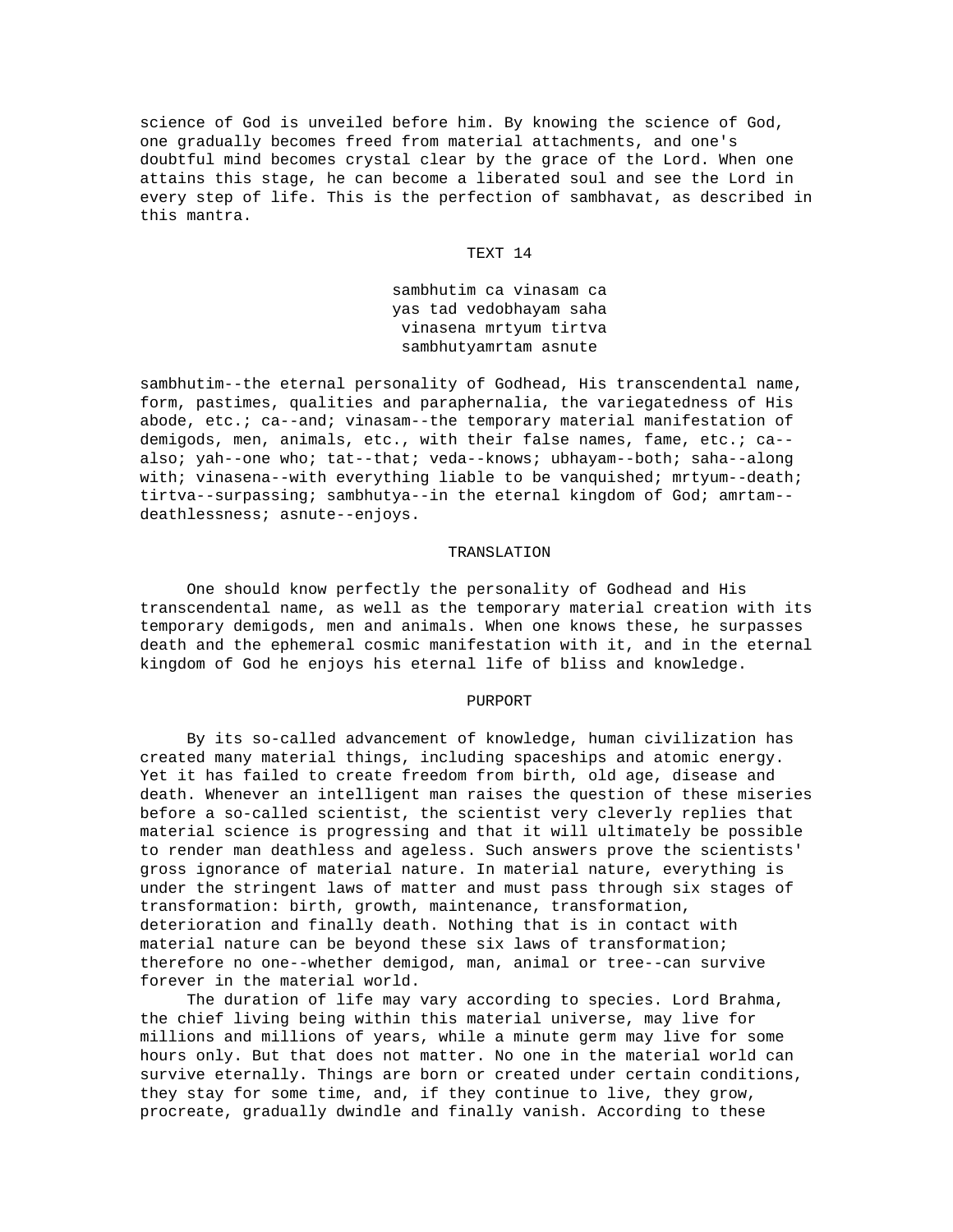science of God is unveiled before him. By knowing the science of God, one gradually becomes freed from material attachments, and one's doubtful mind becomes crystal clear by the grace of the Lord. When one attains this stage, he can become a liberated soul and see the Lord in every step of life. This is the perfection of sambhavat, as described in this mantra.

TEXT 14

 sambhutim ca vinasam ca yas tad vedobhayam saha vinasena mrtyum tirtva sambhutyamrtam asnute

sambhutim--the eternal personality of Godhead, His transcendental name, form, pastimes, qualities and paraphernalia, the variegatedness of His abode, etc.; ca--and; vinasam--the temporary material manifestation of demigods, men, animals, etc., with their false names, fame, etc.; ca-also; yah--one who; tat--that; veda--knows; ubhayam--both; saha--along with; vinasena--with everything liable to be vanquished; mrtyum--death; tirtva--surpassing; sambhutya--in the eternal kingdom of God; amrtam- deathlessness; asnute--enjoys.

### TRANSLATION

 One should know perfectly the personality of Godhead and His transcendental name, as well as the temporary material creation with its temporary demigods, men and animals. When one knows these, he surpasses death and the ephemeral cosmic manifestation with it, and in the eternal kingdom of God he enjoys his eternal life of bliss and knowledge.

#### PURPORT

 By its so-called advancement of knowledge, human civilization has created many material things, including spaceships and atomic energy. Yet it has failed to create freedom from birth, old age, disease and death. Whenever an intelligent man raises the question of these miseries before a so-called scientist, the scientist very cleverly replies that material science is progressing and that it will ultimately be possible to render man deathless and ageless. Such answers prove the scientists' gross ignorance of material nature. In material nature, everything is under the stringent laws of matter and must pass through six stages of transformation: birth, growth, maintenance, transformation, deterioration and finally death. Nothing that is in contact with material nature can be beyond these six laws of transformation; therefore no one--whether demigod, man, animal or tree--can survive forever in the material world.

 The duration of life may vary according to species. Lord Brahma, the chief living being within this material universe, may live for millions and millions of years, while a minute germ may live for some hours only. But that does not matter. No one in the material world can survive eternally. Things are born or created under certain conditions, they stay for some time, and, if they continue to live, they grow, procreate, gradually dwindle and finally vanish. According to these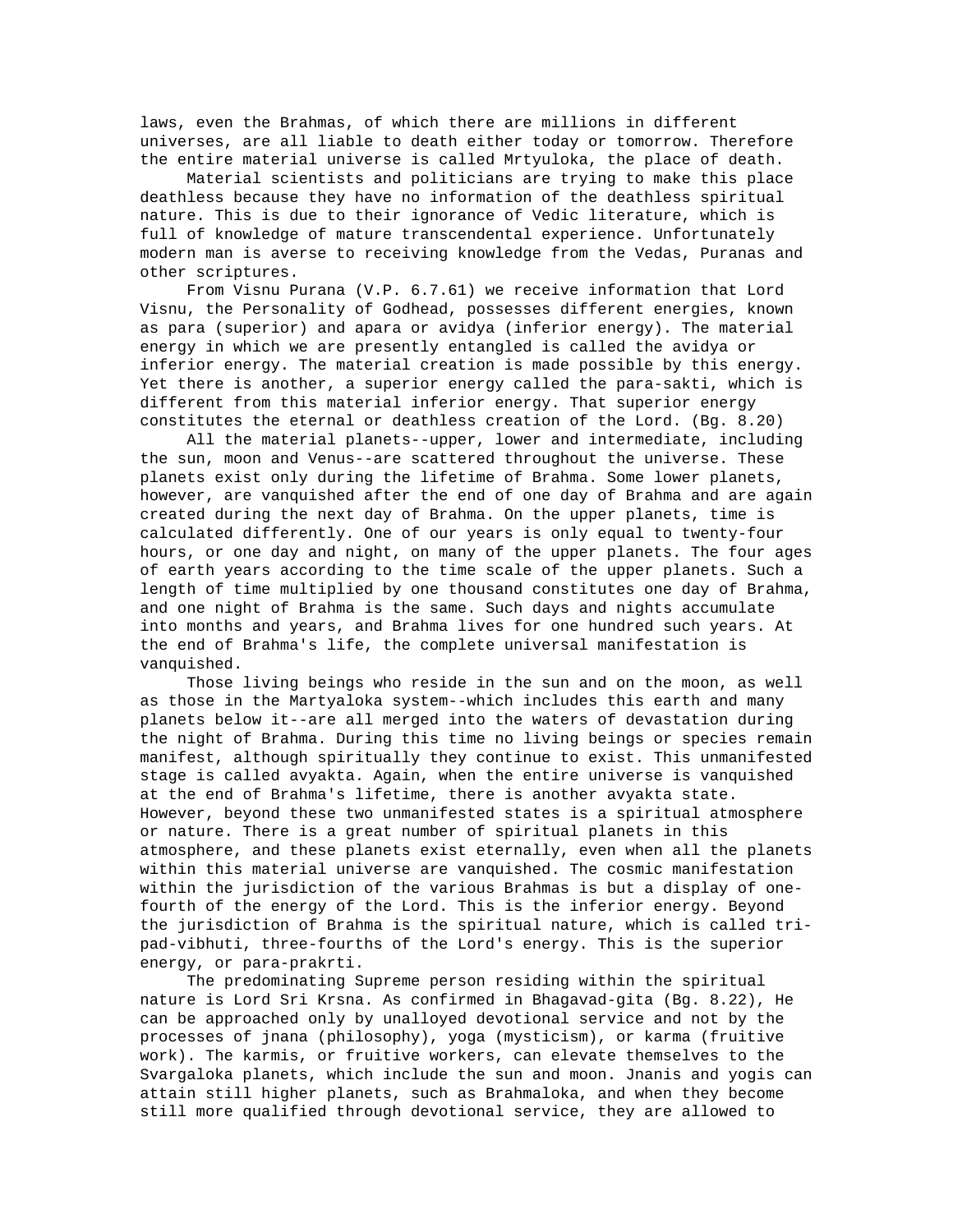laws, even the Brahmas, of which there are millions in different universes, are all liable to death either today or tomorrow. Therefore the entire material universe is called Mrtyuloka, the place of death.

 Material scientists and politicians are trying to make this place deathless because they have no information of the deathless spiritual nature. This is due to their ignorance of Vedic literature, which is full of knowledge of mature transcendental experience. Unfortunately modern man is averse to receiving knowledge from the Vedas, Puranas and other scriptures.

 From Visnu Purana (V.P. 6.7.61) we receive information that Lord Visnu, the Personality of Godhead, possesses different energies, known as para (superior) and apara or avidya (inferior energy). The material energy in which we are presently entangled is called the avidya or inferior energy. The material creation is made possible by this energy. Yet there is another, a superior energy called the para-sakti, which is different from this material inferior energy. That superior energy constitutes the eternal or deathless creation of the Lord. (Bg. 8.20)

 All the material planets--upper, lower and intermediate, including the sun, moon and Venus--are scattered throughout the universe. These planets exist only during the lifetime of Brahma. Some lower planets, however, are vanquished after the end of one day of Brahma and are again created during the next day of Brahma. On the upper planets, time is calculated differently. One of our years is only equal to twenty-four hours, or one day and night, on many of the upper planets. The four ages of earth years according to the time scale of the upper planets. Such a length of time multiplied by one thousand constitutes one day of Brahma, and one night of Brahma is the same. Such days and nights accumulate into months and years, and Brahma lives for one hundred such years. At the end of Brahma's life, the complete universal manifestation is vanquished.

 Those living beings who reside in the sun and on the moon, as well as those in the Martyaloka system--which includes this earth and many planets below it--are all merged into the waters of devastation during the night of Brahma. During this time no living beings or species remain manifest, although spiritually they continue to exist. This unmanifested stage is called avyakta. Again, when the entire universe is vanquished at the end of Brahma's lifetime, there is another avyakta state. However, beyond these two unmanifested states is a spiritual atmosphere or nature. There is a great number of spiritual planets in this atmosphere, and these planets exist eternally, even when all the planets within this material universe are vanquished. The cosmic manifestation within the jurisdiction of the various Brahmas is but a display of onefourth of the energy of the Lord. This is the inferior energy. Beyond the jurisdiction of Brahma is the spiritual nature, which is called tripad-vibhuti, three-fourths of the Lord's energy. This is the superior energy, or para-prakrti.

 The predominating Supreme person residing within the spiritual nature is Lord Sri Krsna. As confirmed in Bhagavad-gita (Bg. 8.22), He can be approached only by unalloyed devotional service and not by the processes of jnana (philosophy), yoga (mysticism), or karma (fruitive work). The karmis, or fruitive workers, can elevate themselves to the Svargaloka planets, which include the sun and moon. Jnanis and yogis can attain still higher planets, such as Brahmaloka, and when they become still more qualified through devotional service, they are allowed to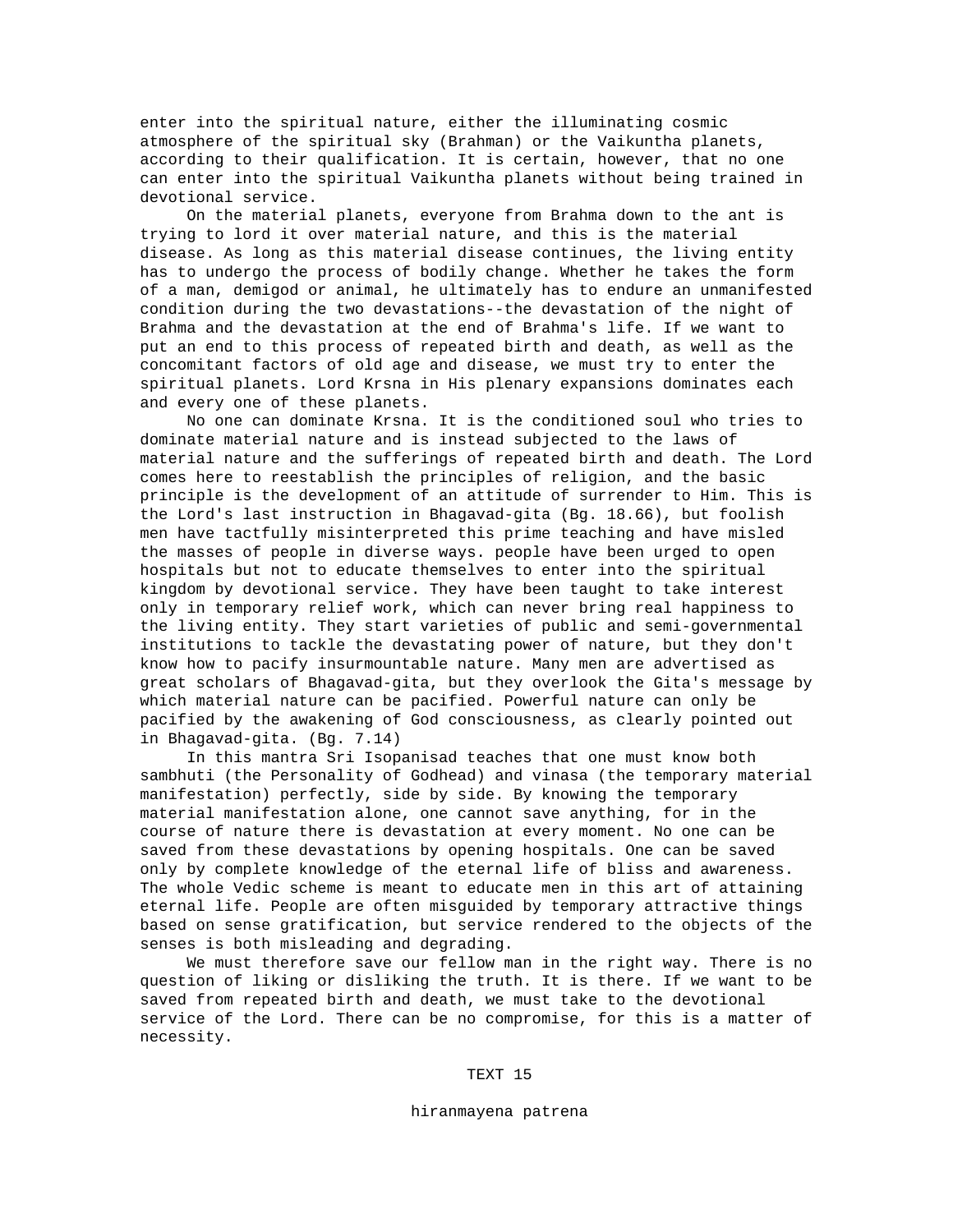enter into the spiritual nature, either the illuminating cosmic atmosphere of the spiritual sky (Brahman) or the Vaikuntha planets, according to their qualification. It is certain, however, that no one can enter into the spiritual Vaikuntha planets without being trained in devotional service.

 On the material planets, everyone from Brahma down to the ant is trying to lord it over material nature, and this is the material disease. As long as this material disease continues, the living entity has to undergo the process of bodily change. Whether he takes the form of a man, demigod or animal, he ultimately has to endure an unmanifested condition during the two devastations--the devastation of the night of Brahma and the devastation at the end of Brahma's life. If we want to put an end to this process of repeated birth and death, as well as the concomitant factors of old age and disease, we must try to enter the spiritual planets. Lord Krsna in His plenary expansions dominates each and every one of these planets.

 No one can dominate Krsna. It is the conditioned soul who tries to dominate material nature and is instead subjected to the laws of material nature and the sufferings of repeated birth and death. The Lord comes here to reestablish the principles of religion, and the basic principle is the development of an attitude of surrender to Him. This is the Lord's last instruction in Bhagavad-gita (Bg. 18.66), but foolish men have tactfully misinterpreted this prime teaching and have misled the masses of people in diverse ways. people have been urged to open hospitals but not to educate themselves to enter into the spiritual kingdom by devotional service. They have been taught to take interest only in temporary relief work, which can never bring real happiness to the living entity. They start varieties of public and semi-governmental institutions to tackle the devastating power of nature, but they don't know how to pacify insurmountable nature. Many men are advertised as great scholars of Bhagavad-gita, but they overlook the Gita's message by which material nature can be pacified. Powerful nature can only be pacified by the awakening of God consciousness, as clearly pointed out in Bhagavad-gita. (Bg. 7.14)

 In this mantra Sri Isopanisad teaches that one must know both sambhuti (the Personality of Godhead) and vinasa (the temporary material manifestation) perfectly, side by side. By knowing the temporary material manifestation alone, one cannot save anything, for in the course of nature there is devastation at every moment. No one can be saved from these devastations by opening hospitals. One can be saved only by complete knowledge of the eternal life of bliss and awareness. The whole Vedic scheme is meant to educate men in this art of attaining eternal life. People are often misguided by temporary attractive things based on sense gratification, but service rendered to the objects of the senses is both misleading and degrading.

 We must therefore save our fellow man in the right way. There is no question of liking or disliking the truth. It is there. If we want to be saved from repeated birth and death, we must take to the devotional service of the Lord. There can be no compromise, for this is a matter of necessity.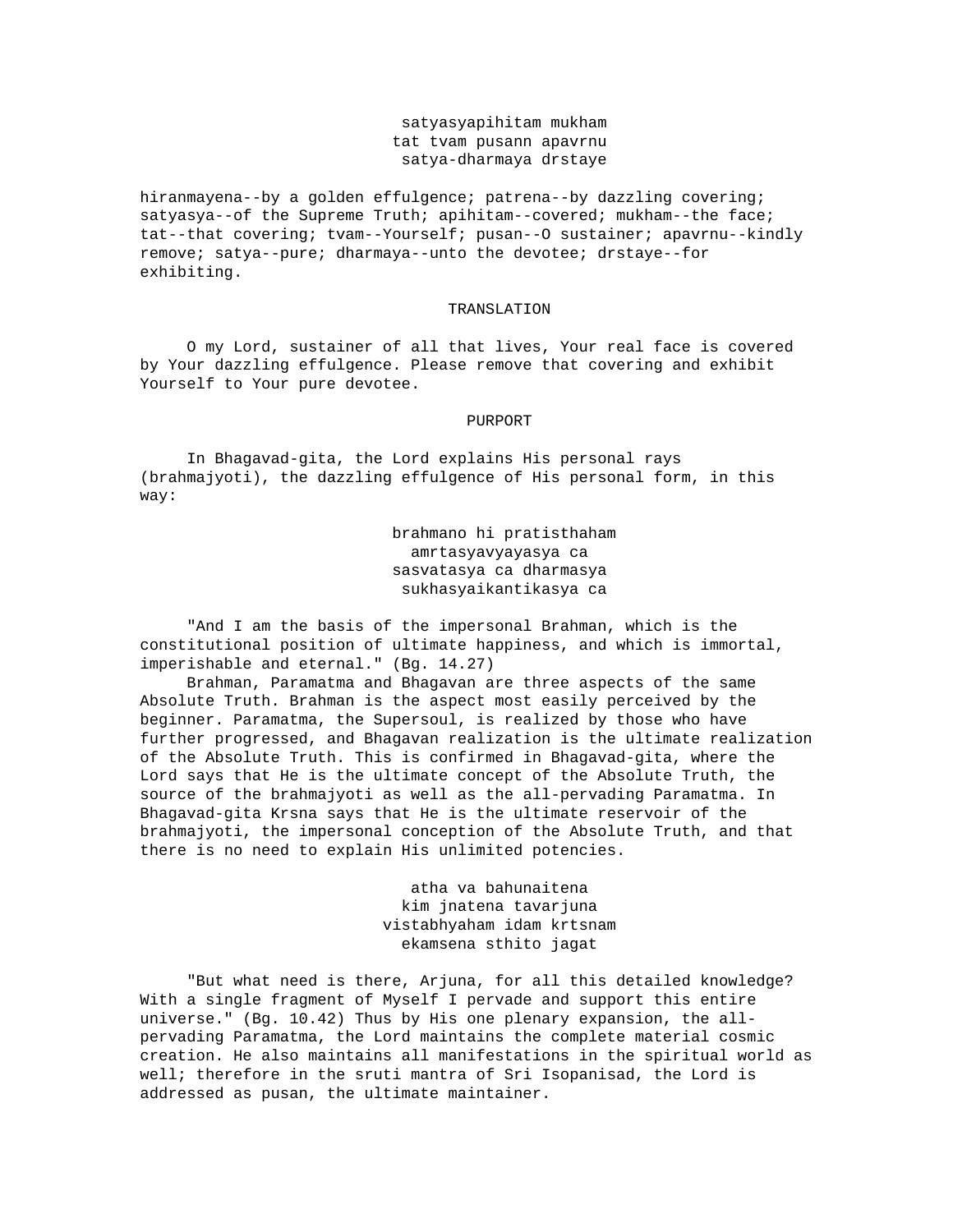# satyasyapihitam mukham tat tvam pusann apavrnu satya-dharmaya drstaye

hiranmayena--by a golden effulgence; patrena--by dazzling covering; satyasya--of the Supreme Truth; apihitam--covered; mukham--the face; tat--that covering; tvam--Yourself; pusan--O sustainer; apavrnu--kindly remove; satya--pure; dharmaya--unto the devotee; drstaye--for exhibiting.

## TRANSLATION

 O my Lord, sustainer of all that lives, Your real face is covered by Your dazzling effulgence. Please remove that covering and exhibit Yourself to Your pure devotee.

### PURPORT

 In Bhagavad-gita, the Lord explains His personal rays (brahmajyoti), the dazzling effulgence of His personal form, in this way:

> brahmano hi pratisthaham amrtasyavyayasya ca sasvatasya ca dharmasya sukhasyaikantikasya ca

 "And I am the basis of the impersonal Brahman, which is the constitutional position of ultimate happiness, and which is immortal, imperishable and eternal." (Bg. 14.27)

 Brahman, Paramatma and Bhagavan are three aspects of the same Absolute Truth. Brahman is the aspect most easily perceived by the beginner. Paramatma, the Supersoul, is realized by those who have further progressed, and Bhagavan realization is the ultimate realization of the Absolute Truth. This is confirmed in Bhagavad-gita, where the Lord says that He is the ultimate concept of the Absolute Truth, the source of the brahmajyoti as well as the all-pervading Paramatma. In Bhagavad-gita Krsna says that He is the ultimate reservoir of the brahmajyoti, the impersonal conception of the Absolute Truth, and that there is no need to explain His unlimited potencies.

> atha va bahunaitena kim jnatena tavarjuna vistabhyaham idam krtsnam ekamsena sthito jagat

 "But what need is there, Arjuna, for all this detailed knowledge? With a single fragment of Myself I pervade and support this entire universe." (Bg. 10.42) Thus by His one plenary expansion, the allpervading Paramatma, the Lord maintains the complete material cosmic creation. He also maintains all manifestations in the spiritual world as well; therefore in the sruti mantra of Sri Isopanisad, the Lord is addressed as pusan, the ultimate maintainer.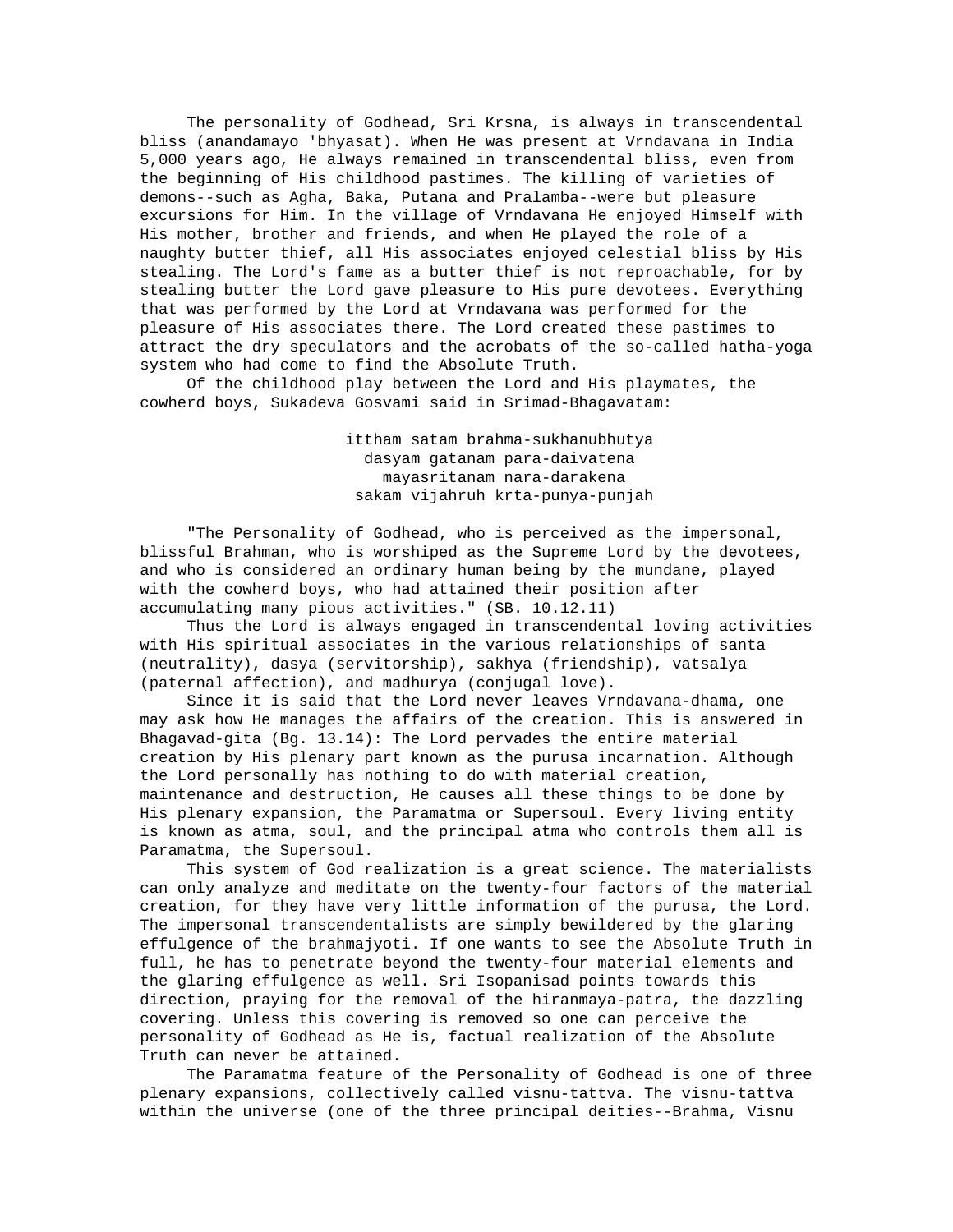The personality of Godhead, Sri Krsna, is always in transcendental bliss (anandamayo 'bhyasat). When He was present at Vrndavana in India 5,000 years ago, He always remained in transcendental bliss, even from the beginning of His childhood pastimes. The killing of varieties of demons--such as Agha, Baka, Putana and Pralamba--were but pleasure excursions for Him. In the village of Vrndavana He enjoyed Himself with His mother, brother and friends, and when He played the role of a naughty butter thief, all His associates enjoyed celestial bliss by His stealing. The Lord's fame as a butter thief is not reproachable, for by stealing butter the Lord gave pleasure to His pure devotees. Everything that was performed by the Lord at Vrndavana was performed for the pleasure of His associates there. The Lord created these pastimes to attract the dry speculators and the acrobats of the so-called hatha-yoga system who had come to find the Absolute Truth.

 Of the childhood play between the Lord and His playmates, the cowherd boys, Sukadeva Gosvami said in Srimad-Bhagavatam:

> ittham satam brahma-sukhanubhutya dasyam gatanam para-daivatena mayasritanam nara-darakena sakam vijahruh krta-punya-punjah

 "The Personality of Godhead, who is perceived as the impersonal, blissful Brahman, who is worshiped as the Supreme Lord by the devotees, and who is considered an ordinary human being by the mundane, played with the cowherd boys, who had attained their position after accumulating many pious activities." (SB. 10.12.11)

 Thus the Lord is always engaged in transcendental loving activities with His spiritual associates in the various relationships of santa (neutrality), dasya (servitorship), sakhya (friendship), vatsalya (paternal affection), and madhurya (conjugal love).

 Since it is said that the Lord never leaves Vrndavana-dhama, one may ask how He manages the affairs of the creation. This is answered in Bhagavad-gita (Bg. 13.14): The Lord pervades the entire material creation by His plenary part known as the purusa incarnation. Although the Lord personally has nothing to do with material creation, maintenance and destruction, He causes all these things to be done by His plenary expansion, the Paramatma or Supersoul. Every living entity is known as atma, soul, and the principal atma who controls them all is Paramatma, the Supersoul.

 This system of God realization is a great science. The materialists can only analyze and meditate on the twenty-four factors of the material creation, for they have very little information of the purusa, the Lord. The impersonal transcendentalists are simply bewildered by the glaring effulgence of the brahmajyoti. If one wants to see the Absolute Truth in full, he has to penetrate beyond the twenty-four material elements and the glaring effulgence as well. Sri Isopanisad points towards this direction, praying for the removal of the hiranmaya-patra, the dazzling covering. Unless this covering is removed so one can perceive the personality of Godhead as He is, factual realization of the Absolute Truth can never be attained.

 The Paramatma feature of the Personality of Godhead is one of three plenary expansions, collectively called visnu-tattva. The visnu-tattva within the universe (one of the three principal deities--Brahma, Visnu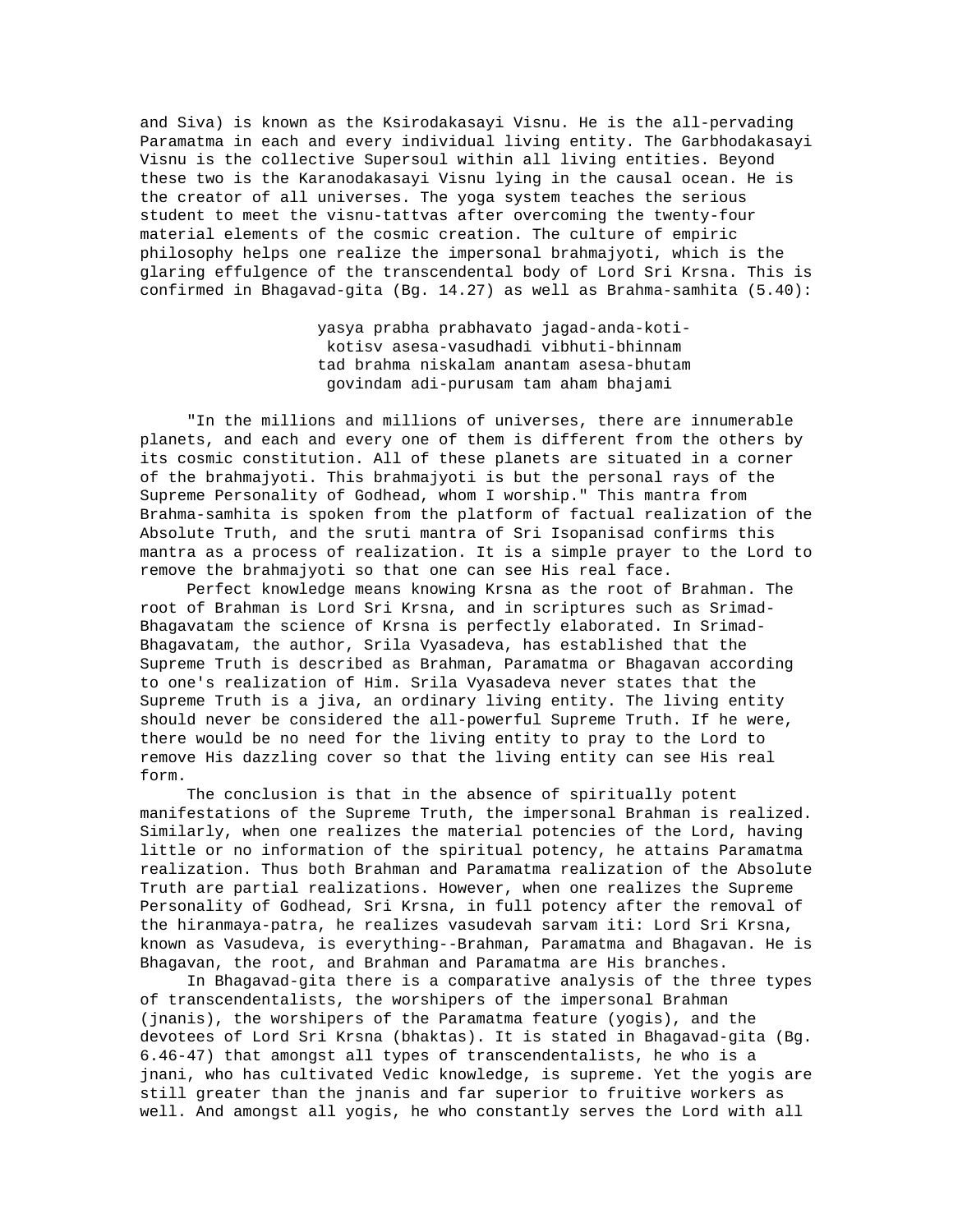and Siva) is known as the Ksirodakasayi Visnu. He is the all-pervading Paramatma in each and every individual living entity. The Garbhodakasayi Visnu is the collective Supersoul within all living entities. Beyond these two is the Karanodakasayi Visnu lying in the causal ocean. He is the creator of all universes. The yoga system teaches the serious student to meet the visnu-tattvas after overcoming the twenty-four material elements of the cosmic creation. The culture of empiric philosophy helps one realize the impersonal brahmajyoti, which is the glaring effulgence of the transcendental body of Lord Sri Krsna. This is confirmed in Bhagavad-gita (Bg. 14.27) as well as Brahma-samhita (5.40):

> yasya prabha prabhavato jagad-anda-koti kotisv asesa-vasudhadi vibhuti-bhinnam tad brahma niskalam anantam asesa-bhutam govindam adi-purusam tam aham bhajami

 "In the millions and millions of universes, there are innumerable planets, and each and every one of them is different from the others by its cosmic constitution. All of these planets are situated in a corner of the brahmajyoti. This brahmajyoti is but the personal rays of the Supreme Personality of Godhead, whom I worship." This mantra from Brahma-samhita is spoken from the platform of factual realization of the Absolute Truth, and the sruti mantra of Sri Isopanisad confirms this mantra as a process of realization. It is a simple prayer to the Lord to remove the brahmajyoti so that one can see His real face.

 Perfect knowledge means knowing Krsna as the root of Brahman. The root of Brahman is Lord Sri Krsna, and in scriptures such as Srimad-Bhagavatam the science of Krsna is perfectly elaborated. In Srimad-Bhagavatam, the author, Srila Vyasadeva, has established that the Supreme Truth is described as Brahman, Paramatma or Bhagavan according to one's realization of Him. Srila Vyasadeva never states that the Supreme Truth is a jiva, an ordinary living entity. The living entity should never be considered the all-powerful Supreme Truth. If he were, there would be no need for the living entity to pray to the Lord to remove His dazzling cover so that the living entity can see His real form.

 The conclusion is that in the absence of spiritually potent manifestations of the Supreme Truth, the impersonal Brahman is realized. Similarly, when one realizes the material potencies of the Lord, having little or no information of the spiritual potency, he attains Paramatma realization. Thus both Brahman and Paramatma realization of the Absolute Truth are partial realizations. However, when one realizes the Supreme Personality of Godhead, Sri Krsna, in full potency after the removal of the hiranmaya-patra, he realizes vasudevah sarvam iti: Lord Sri Krsna, known as Vasudeva, is everything--Brahman, Paramatma and Bhagavan. He is Bhagavan, the root, and Brahman and Paramatma are His branches.

 In Bhagavad-gita there is a comparative analysis of the three types of transcendentalists, the worshipers of the impersonal Brahman (jnanis), the worshipers of the Paramatma feature (yogis), and the devotees of Lord Sri Krsna (bhaktas). It is stated in Bhagavad-gita (Bg. 6.46-47) that amongst all types of transcendentalists, he who is a jnani, who has cultivated Vedic knowledge, is supreme. Yet the yogis are still greater than the jnanis and far superior to fruitive workers as well. And amongst all yogis, he who constantly serves the Lord with all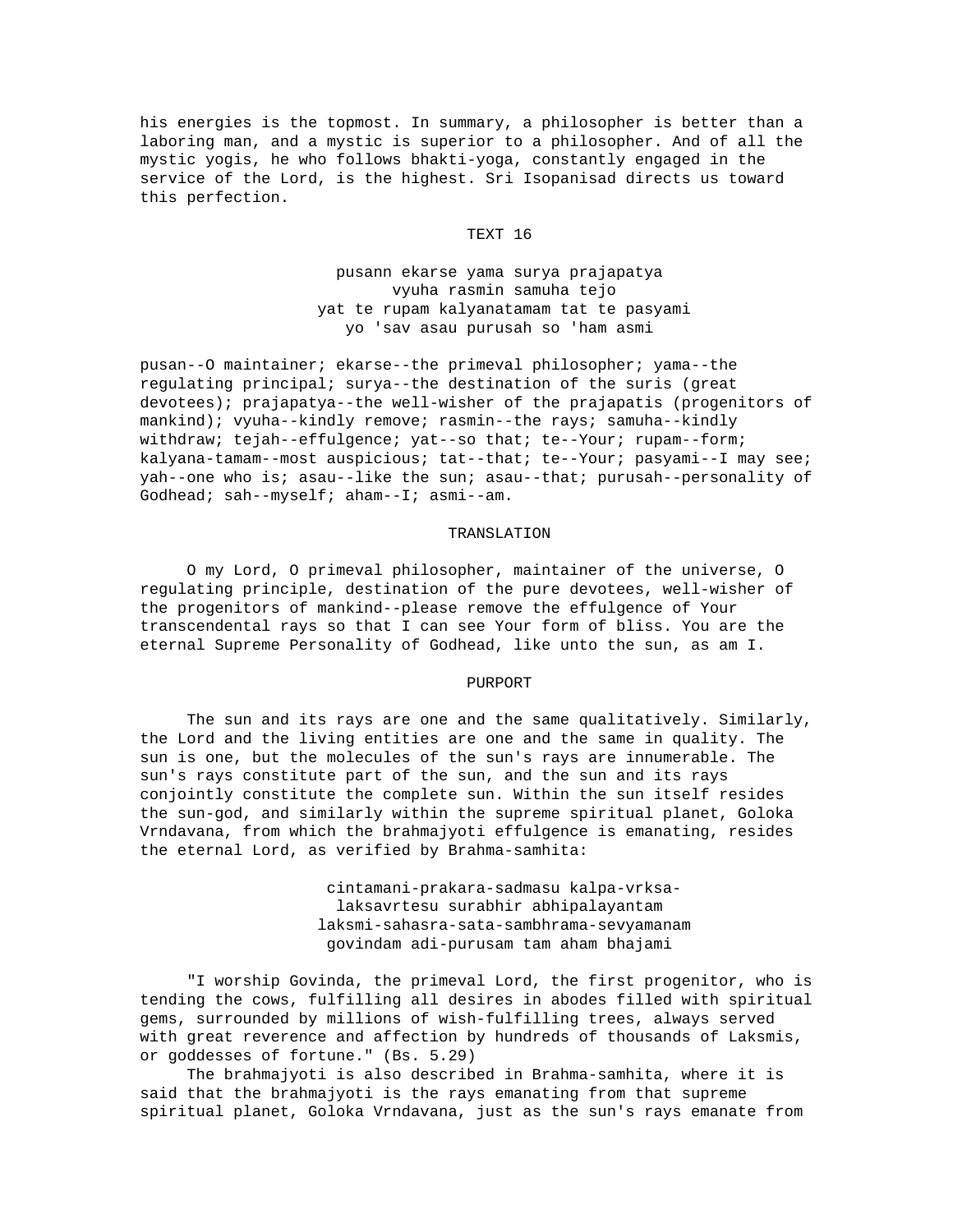his energies is the topmost. In summary, a philosopher is better than a laboring man, and a mystic is superior to a philosopher. And of all the mystic yogis, he who follows bhakti-yoga, constantly engaged in the service of the Lord, is the highest. Sri Isopanisad directs us toward this perfection.

## TEXT 16

# pusann ekarse yama surya prajapatya vyuha rasmin samuha tejo yat te rupam kalyanatamam tat te pasyami yo 'sav asau purusah so 'ham asmi

pusan--O maintainer; ekarse--the primeval philosopher; yama--the regulating principal; surya--the destination of the suris (great devotees); prajapatya--the well-wisher of the prajapatis (progenitors of mankind); vyuha--kindly remove; rasmin--the rays; samuha--kindly withdraw; tejah--effulgence; yat--so that; te--Your; rupam--form; kalyana-tamam--most auspicious; tat--that; te--Your; pasyami--I may see; yah--one who is; asau--like the sun; asau--that; purusah--personality of Godhead; sah--myself; aham--I; asmi--am.

#### TRANSLATION

 O my Lord, O primeval philosopher, maintainer of the universe, O regulating principle, destination of the pure devotees, well-wisher of the progenitors of mankind--please remove the effulgence of Your transcendental rays so that I can see Your form of bliss. You are the eternal Supreme Personality of Godhead, like unto the sun, as am I.

### PURPORT

 The sun and its rays are one and the same qualitatively. Similarly, the Lord and the living entities are one and the same in quality. The sun is one, but the molecules of the sun's rays are innumerable. The sun's rays constitute part of the sun, and the sun and its rays conjointly constitute the complete sun. Within the sun itself resides the sun-god, and similarly within the supreme spiritual planet, Goloka Vrndavana, from which the brahmajyoti effulgence is emanating, resides the eternal Lord, as verified by Brahma-samhita:

> cintamani-prakara-sadmasu kalpa-vrksa laksavrtesu surabhir abhipalayantam laksmi-sahasra-sata-sambhrama-sevyamanam govindam adi-purusam tam aham bhajami

 "I worship Govinda, the primeval Lord, the first progenitor, who is tending the cows, fulfilling all desires in abodes filled with spiritual gems, surrounded by millions of wish-fulfilling trees, always served with great reverence and affection by hundreds of thousands of Laksmis, or goddesses of fortune." (Bs. 5.29)

 The brahmajyoti is also described in Brahma-samhita, where it is said that the brahmajyoti is the rays emanating from that supreme spiritual planet, Goloka Vrndavana, just as the sun's rays emanate from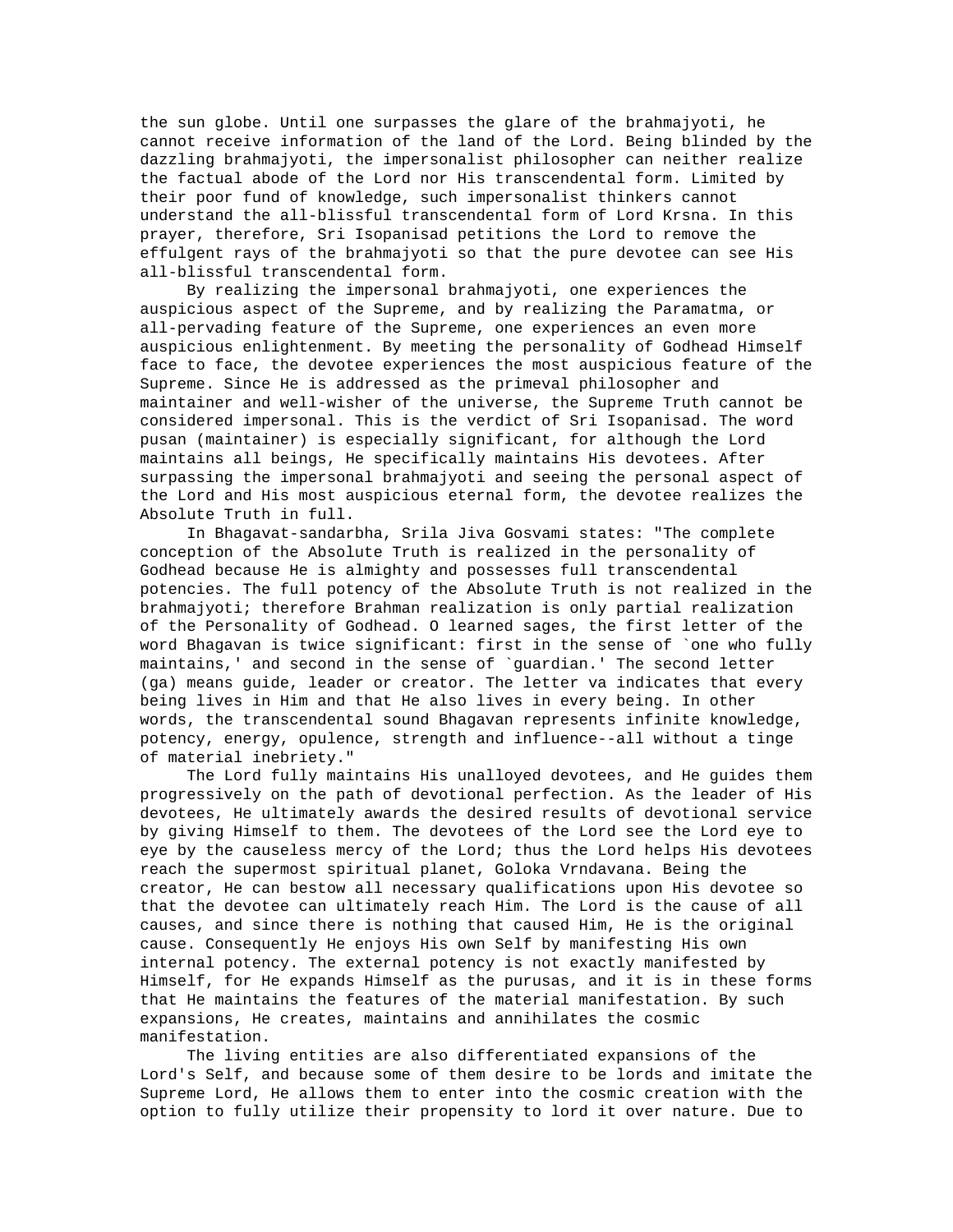the sun globe. Until one surpasses the glare of the brahmajyoti, he cannot receive information of the land of the Lord. Being blinded by the dazzling brahmajyoti, the impersonalist philosopher can neither realize the factual abode of the Lord nor His transcendental form. Limited by their poor fund of knowledge, such impersonalist thinkers cannot understand the all-blissful transcendental form of Lord Krsna. In this prayer, therefore, Sri Isopanisad petitions the Lord to remove the effulgent rays of the brahmajyoti so that the pure devotee can see His all-blissful transcendental form.

 By realizing the impersonal brahmajyoti, one experiences the auspicious aspect of the Supreme, and by realizing the Paramatma, or all-pervading feature of the Supreme, one experiences an even more auspicious enlightenment. By meeting the personality of Godhead Himself face to face, the devotee experiences the most auspicious feature of the Supreme. Since He is addressed as the primeval philosopher and maintainer and well-wisher of the universe, the Supreme Truth cannot be considered impersonal. This is the verdict of Sri Isopanisad. The word pusan (maintainer) is especially significant, for although the Lord maintains all beings, He specifically maintains His devotees. After surpassing the impersonal brahmajyoti and seeing the personal aspect of the Lord and His most auspicious eternal form, the devotee realizes the Absolute Truth in full.

 In Bhagavat-sandarbha, Srila Jiva Gosvami states: "The complete conception of the Absolute Truth is realized in the personality of Godhead because He is almighty and possesses full transcendental potencies. The full potency of the Absolute Truth is not realized in the brahmajyoti; therefore Brahman realization is only partial realization of the Personality of Godhead. O learned sages, the first letter of the word Bhagavan is twice significant: first in the sense of `one who fully maintains,' and second in the sense of `guardian.' The second letter (ga) means guide, leader or creator. The letter va indicates that every being lives in Him and that He also lives in every being. In other words, the transcendental sound Bhagavan represents infinite knowledge, potency, energy, opulence, strength and influence--all without a tinge of material inebriety."

 The Lord fully maintains His unalloyed devotees, and He guides them progressively on the path of devotional perfection. As the leader of His devotees, He ultimately awards the desired results of devotional service by giving Himself to them. The devotees of the Lord see the Lord eye to eye by the causeless mercy of the Lord; thus the Lord helps His devotees reach the supermost spiritual planet, Goloka Vrndavana. Being the creator, He can bestow all necessary qualifications upon His devotee so that the devotee can ultimately reach Him. The Lord is the cause of all causes, and since there is nothing that caused Him, He is the original cause. Consequently He enjoys His own Self by manifesting His own internal potency. The external potency is not exactly manifested by Himself, for He expands Himself as the purusas, and it is in these forms that He maintains the features of the material manifestation. By such expansions, He creates, maintains and annihilates the cosmic manifestation.

 The living entities are also differentiated expansions of the Lord's Self, and because some of them desire to be lords and imitate the Supreme Lord, He allows them to enter into the cosmic creation with the option to fully utilize their propensity to lord it over nature. Due to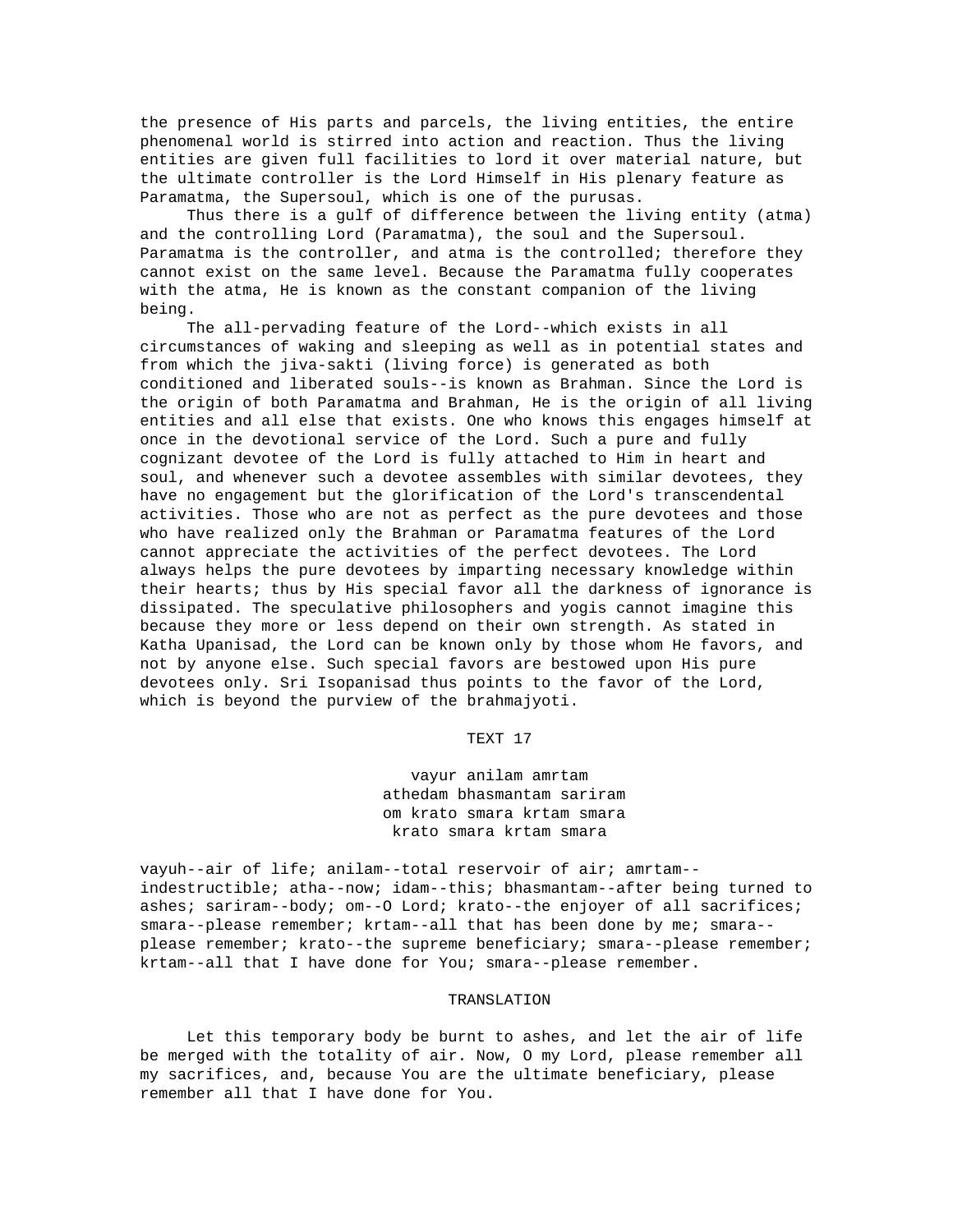the presence of His parts and parcels, the living entities, the entire phenomenal world is stirred into action and reaction. Thus the living entities are given full facilities to lord it over material nature, but the ultimate controller is the Lord Himself in His plenary feature as Paramatma, the Supersoul, which is one of the purusas.

 Thus there is a gulf of difference between the living entity (atma) and the controlling Lord (Paramatma), the soul and the Supersoul. Paramatma is the controller, and atma is the controlled; therefore they cannot exist on the same level. Because the Paramatma fully cooperates with the atma, He is known as the constant companion of the living being.

 The all-pervading feature of the Lord--which exists in all circumstances of waking and sleeping as well as in potential states and from which the jiva-sakti (living force) is generated as both conditioned and liberated souls--is known as Brahman. Since the Lord is the origin of both Paramatma and Brahman, He is the origin of all living entities and all else that exists. One who knows this engages himself at once in the devotional service of the Lord. Such a pure and fully cognizant devotee of the Lord is fully attached to Him in heart and soul, and whenever such a devotee assembles with similar devotees, they have no engagement but the glorification of the Lord's transcendental activities. Those who are not as perfect as the pure devotees and those who have realized only the Brahman or Paramatma features of the Lord cannot appreciate the activities of the perfect devotees. The Lord always helps the pure devotees by imparting necessary knowledge within their hearts; thus by His special favor all the darkness of ignorance is dissipated. The speculative philosophers and yogis cannot imagine this because they more or less depend on their own strength. As stated in Katha Upanisad, the Lord can be known only by those whom He favors, and not by anyone else. Such special favors are bestowed upon His pure devotees only. Sri Isopanisad thus points to the favor of the Lord, which is beyond the purview of the brahmajyoti.

TEXT 17

 vayur anilam amrtam athedam bhasmantam sariram om krato smara krtam smara krato smara krtam smara

vayuh--air of life; anilam--total reservoir of air; amrtam- indestructible; atha--now; idam--this; bhasmantam--after being turned to ashes; sariram--body; om--O Lord; krato--the enjoyer of all sacrifices; smara--please remember; krtam--all that has been done by me; smara- please remember; krato--the supreme beneficiary; smara--please remember; krtam--all that I have done for You; smara--please remember.

## TRANSLATION

 Let this temporary body be burnt to ashes, and let the air of life be merged with the totality of air. Now, O my Lord, please remember all my sacrifices, and, because You are the ultimate beneficiary, please remember all that I have done for You.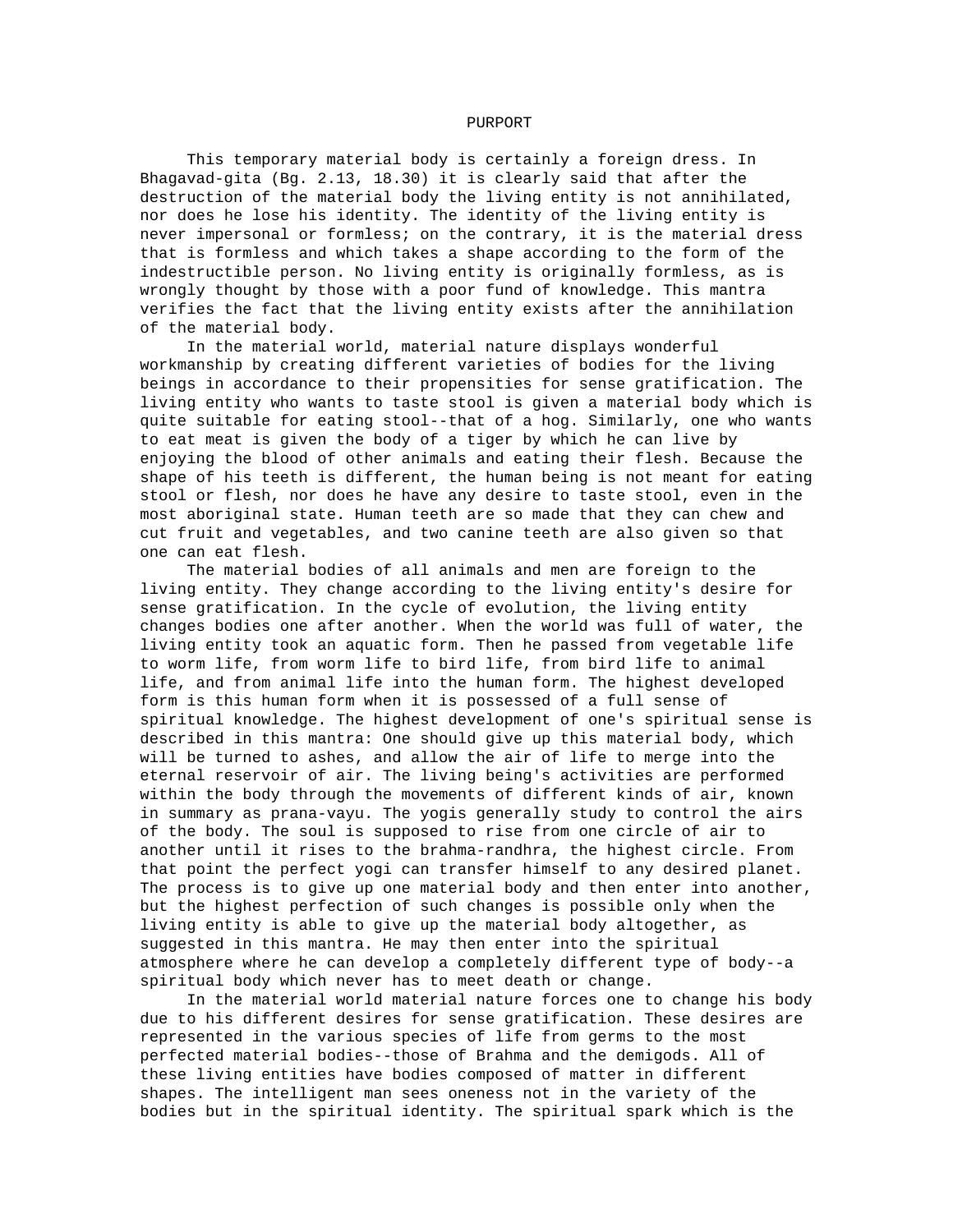#### PURPORT

 This temporary material body is certainly a foreign dress. In Bhagavad-gita (Bg. 2.13, 18.30) it is clearly said that after the destruction of the material body the living entity is not annihilated, nor does he lose his identity. The identity of the living entity is never impersonal or formless; on the contrary, it is the material dress that is formless and which takes a shape according to the form of the indestructible person. No living entity is originally formless, as is wrongly thought by those with a poor fund of knowledge. This mantra verifies the fact that the living entity exists after the annihilation of the material body.

 In the material world, material nature displays wonderful workmanship by creating different varieties of bodies for the living beings in accordance to their propensities for sense gratification. The living entity who wants to taste stool is given a material body which is quite suitable for eating stool--that of a hog. Similarly, one who wants to eat meat is given the body of a tiger by which he can live by enjoying the blood of other animals and eating their flesh. Because the shape of his teeth is different, the human being is not meant for eating stool or flesh, nor does he have any desire to taste stool, even in the most aboriginal state. Human teeth are so made that they can chew and cut fruit and vegetables, and two canine teeth are also given so that one can eat flesh.

 The material bodies of all animals and men are foreign to the living entity. They change according to the living entity's desire for sense gratification. In the cycle of evolution, the living entity changes bodies one after another. When the world was full of water, the living entity took an aquatic form. Then he passed from vegetable life to worm life, from worm life to bird life, from bird life to animal life, and from animal life into the human form. The highest developed form is this human form when it is possessed of a full sense of spiritual knowledge. The highest development of one's spiritual sense is described in this mantra: One should give up this material body, which will be turned to ashes, and allow the air of life to merge into the eternal reservoir of air. The living being's activities are performed within the body through the movements of different kinds of air, known in summary as prana-vayu. The yogis generally study to control the airs of the body. The soul is supposed to rise from one circle of air to another until it rises to the brahma-randhra, the highest circle. From that point the perfect yogi can transfer himself to any desired planet. The process is to give up one material body and then enter into another, but the highest perfection of such changes is possible only when the living entity is able to give up the material body altogether, as suggested in this mantra. He may then enter into the spiritual atmosphere where he can develop a completely different type of body--a spiritual body which never has to meet death or change.

 In the material world material nature forces one to change his body due to his different desires for sense gratification. These desires are represented in the various species of life from germs to the most perfected material bodies--those of Brahma and the demigods. All of these living entities have bodies composed of matter in different shapes. The intelligent man sees oneness not in the variety of the bodies but in the spiritual identity. The spiritual spark which is the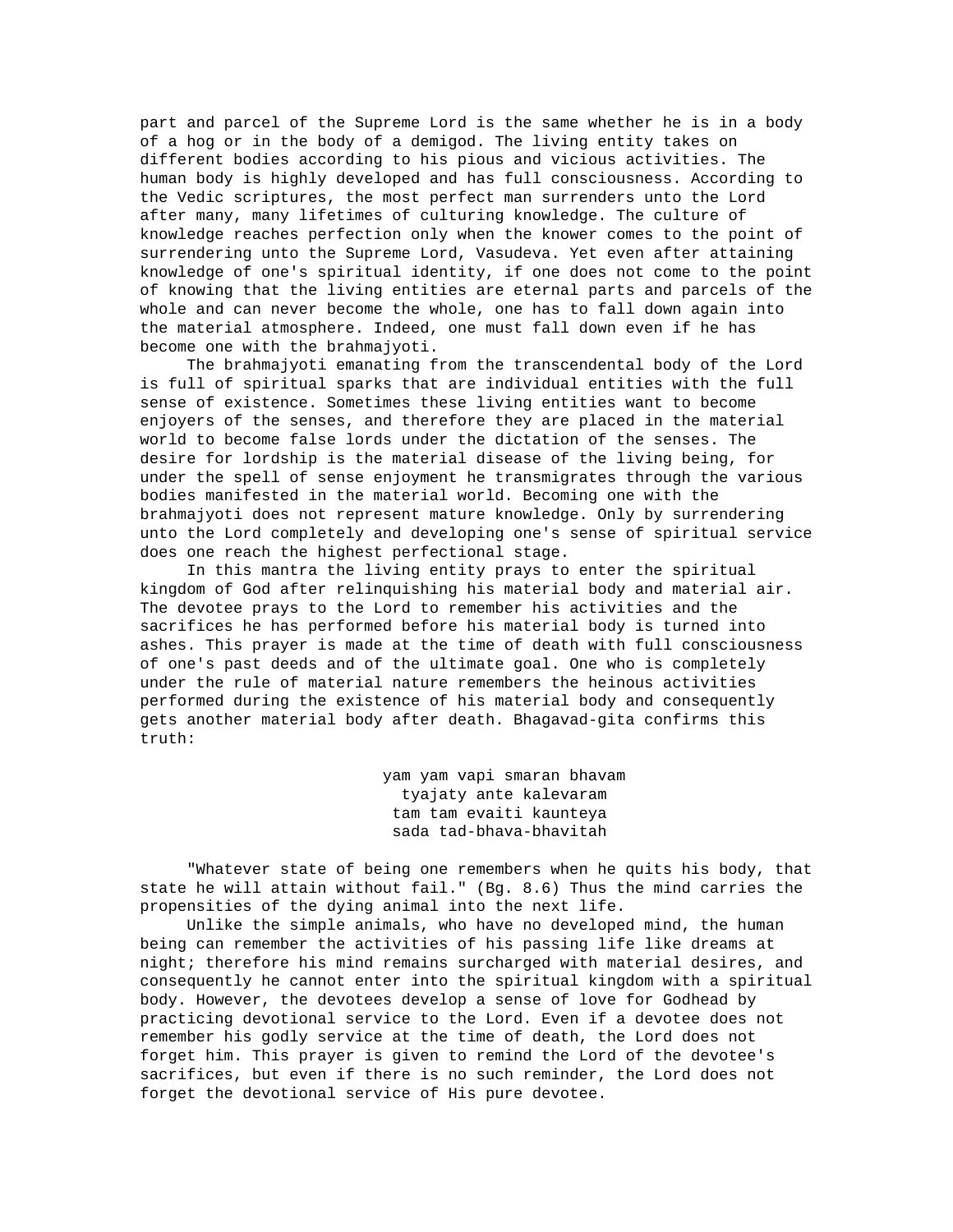part and parcel of the Supreme Lord is the same whether he is in a body of a hog or in the body of a demigod. The living entity takes on different bodies according to his pious and vicious activities. The human body is highly developed and has full consciousness. According to the Vedic scriptures, the most perfect man surrenders unto the Lord after many, many lifetimes of culturing knowledge. The culture of knowledge reaches perfection only when the knower comes to the point of surrendering unto the Supreme Lord, Vasudeva. Yet even after attaining knowledge of one's spiritual identity, if one does not come to the point of knowing that the living entities are eternal parts and parcels of the whole and can never become the whole, one has to fall down again into the material atmosphere. Indeed, one must fall down even if he has become one with the brahmajyoti.

 The brahmajyoti emanating from the transcendental body of the Lord is full of spiritual sparks that are individual entities with the full sense of existence. Sometimes these living entities want to become enjoyers of the senses, and therefore they are placed in the material world to become false lords under the dictation of the senses. The desire for lordship is the material disease of the living being, for under the spell of sense enjoyment he transmigrates through the various bodies manifested in the material world. Becoming one with the brahmajyoti does not represent mature knowledge. Only by surrendering unto the Lord completely and developing one's sense of spiritual service does one reach the highest perfectional stage.

 In this mantra the living entity prays to enter the spiritual kingdom of God after relinquishing his material body and material air. The devotee prays to the Lord to remember his activities and the sacrifices he has performed before his material body is turned into ashes. This prayer is made at the time of death with full consciousness of one's past deeds and of the ultimate goal. One who is completely under the rule of material nature remembers the heinous activities performed during the existence of his material body and consequently gets another material body after death. Bhagavad-gita confirms this truth:

> yam yam vapi smaran bhavam tyajaty ante kalevaram tam tam evaiti kaunteya sada tad-bhava-bhavitah

 "Whatever state of being one remembers when he quits his body, that state he will attain without fail." (Bg. 8.6) Thus the mind carries the propensities of the dying animal into the next life.

 Unlike the simple animals, who have no developed mind, the human being can remember the activities of his passing life like dreams at night; therefore his mind remains surcharged with material desires, and consequently he cannot enter into the spiritual kingdom with a spiritual body. However, the devotees develop a sense of love for Godhead by practicing devotional service to the Lord. Even if a devotee does not remember his godly service at the time of death, the Lord does not forget him. This prayer is given to remind the Lord of the devotee's sacrifices, but even if there is no such reminder, the Lord does not forget the devotional service of His pure devotee.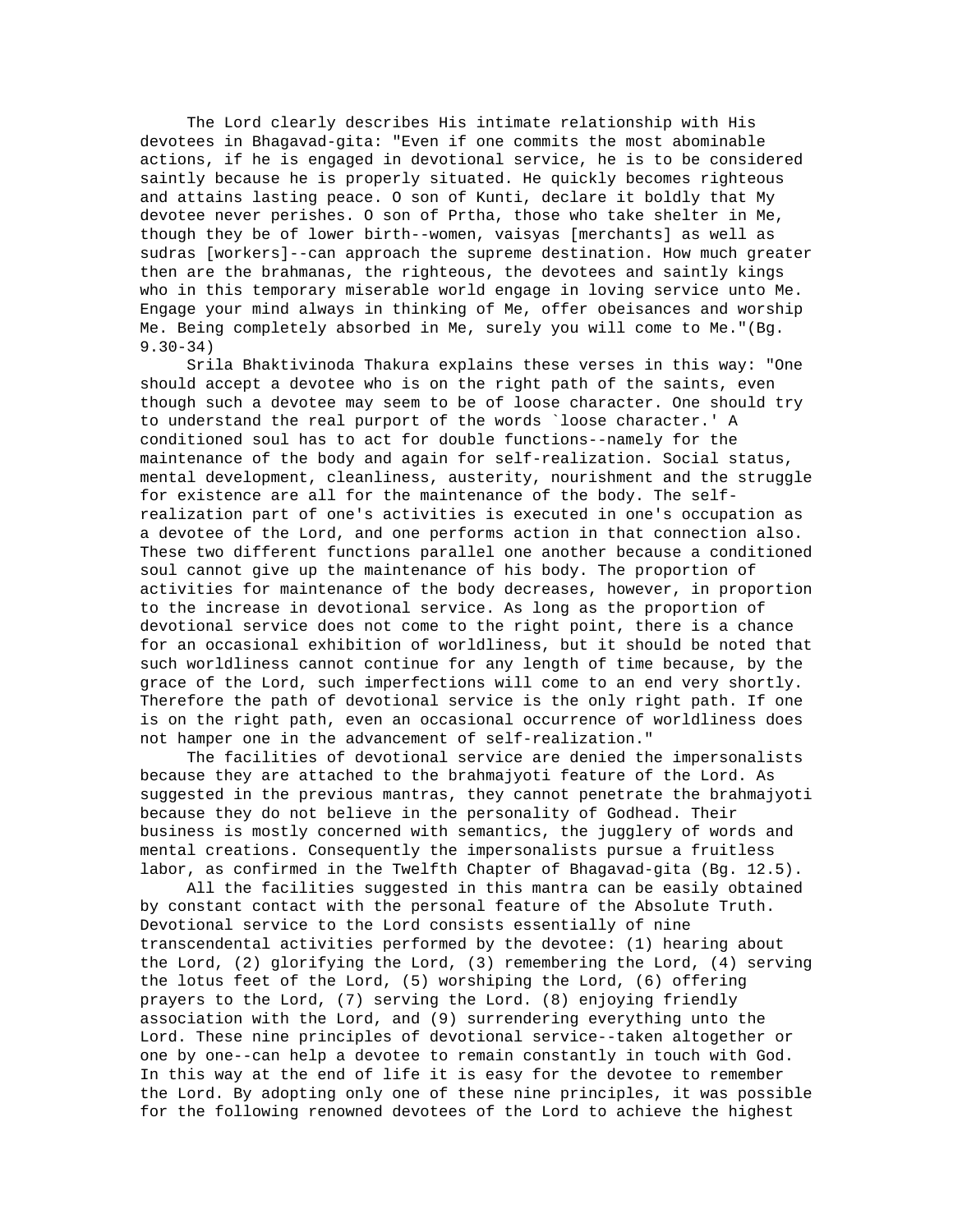The Lord clearly describes His intimate relationship with His devotees in Bhagavad-gita: "Even if one commits the most abominable actions, if he is engaged in devotional service, he is to be considered saintly because he is properly situated. He quickly becomes righteous and attains lasting peace. O son of Kunti, declare it boldly that My devotee never perishes. O son of Prtha, those who take shelter in Me, though they be of lower birth--women, vaisyas [merchants] as well as sudras [workers]--can approach the supreme destination. How much greater then are the brahmanas, the righteous, the devotees and saintly kings who in this temporary miserable world engage in loving service unto Me. Engage your mind always in thinking of Me, offer obeisances and worship Me. Being completely absorbed in Me, surely you will come to Me."(Bg. 9.30-34)

 Srila Bhaktivinoda Thakura explains these verses in this way: "One should accept a devotee who is on the right path of the saints, even though such a devotee may seem to be of loose character. One should try to understand the real purport of the words `loose character.' A conditioned soul has to act for double functions--namely for the maintenance of the body and again for self-realization. Social status, mental development, cleanliness, austerity, nourishment and the struggle for existence are all for the maintenance of the body. The selfrealization part of one's activities is executed in one's occupation as a devotee of the Lord, and one performs action in that connection also. These two different functions parallel one another because a conditioned soul cannot give up the maintenance of his body. The proportion of activities for maintenance of the body decreases, however, in proportion to the increase in devotional service. As long as the proportion of devotional service does not come to the right point, there is a chance for an occasional exhibition of worldliness, but it should be noted that such worldliness cannot continue for any length of time because, by the grace of the Lord, such imperfections will come to an end very shortly. Therefore the path of devotional service is the only right path. If one is on the right path, even an occasional occurrence of worldliness does not hamper one in the advancement of self-realization."

 The facilities of devotional service are denied the impersonalists because they are attached to the brahmajyoti feature of the Lord. As suggested in the previous mantras, they cannot penetrate the brahmajyoti because they do not believe in the personality of Godhead. Their business is mostly concerned with semantics, the jugglery of words and mental creations. Consequently the impersonalists pursue a fruitless labor, as confirmed in the Twelfth Chapter of Bhagavad-gita (Bg. 12.5).

 All the facilities suggested in this mantra can be easily obtained by constant contact with the personal feature of the Absolute Truth. Devotional service to the Lord consists essentially of nine transcendental activities performed by the devotee: (1) hearing about the Lord, (2) glorifying the Lord, (3) remembering the Lord, (4) serving the lotus feet of the Lord, (5) worshiping the Lord, (6) offering prayers to the Lord, (7) serving the Lord. (8) enjoying friendly association with the Lord, and (9) surrendering everything unto the Lord. These nine principles of devotional service--taken altogether or one by one--can help a devotee to remain constantly in touch with God. In this way at the end of life it is easy for the devotee to remember the Lord. By adopting only one of these nine principles, it was possible for the following renowned devotees of the Lord to achieve the highest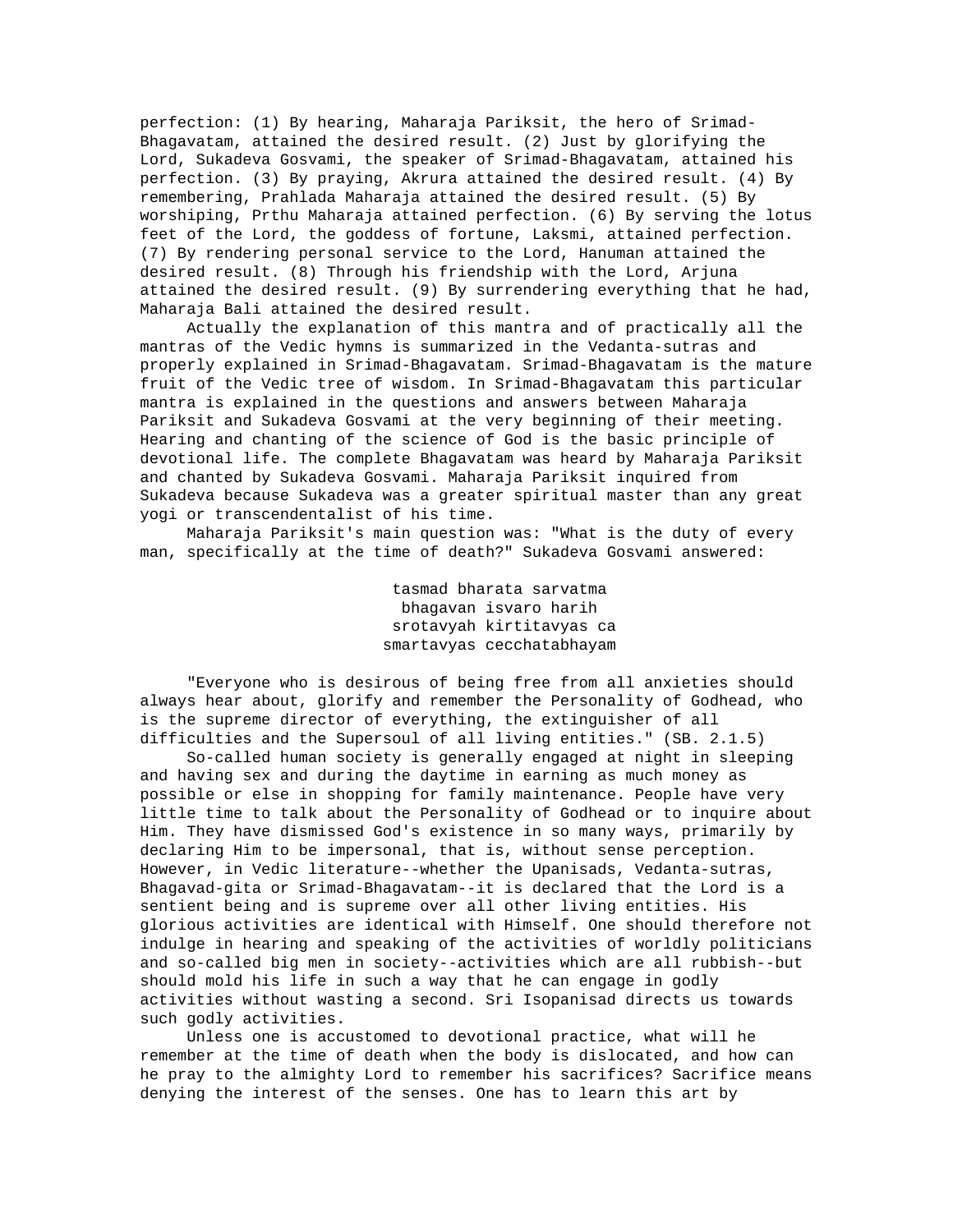perfection: (1) By hearing, Maharaja Pariksit, the hero of Srimad-Bhagavatam, attained the desired result. (2) Just by glorifying the Lord, Sukadeva Gosvami, the speaker of Srimad-Bhagavatam, attained his perfection. (3) By praying, Akrura attained the desired result. (4) By remembering, Prahlada Maharaja attained the desired result. (5) By worshiping, Prthu Maharaja attained perfection. (6) By serving the lotus feet of the Lord, the goddess of fortune, Laksmi, attained perfection. (7) By rendering personal service to the Lord, Hanuman attained the desired result. (8) Through his friendship with the Lord, Arjuna attained the desired result. (9) By surrendering everything that he had, Maharaja Bali attained the desired result.

 Actually the explanation of this mantra and of practically all the mantras of the Vedic hymns is summarized in the Vedanta-sutras and properly explained in Srimad-Bhagavatam. Srimad-Bhagavatam is the mature fruit of the Vedic tree of wisdom. In Srimad-Bhagavatam this particular mantra is explained in the questions and answers between Maharaja Pariksit and Sukadeva Gosvami at the very beginning of their meeting. Hearing and chanting of the science of God is the basic principle of devotional life. The complete Bhagavatam was heard by Maharaja Pariksit and chanted by Sukadeva Gosvami. Maharaja Pariksit inquired from Sukadeva because Sukadeva was a greater spiritual master than any great yogi or transcendentalist of his time.

 Maharaja Pariksit's main question was: "What is the duty of every man, specifically at the time of death?" Sukadeva Gosvami answered:

> tasmad bharata sarvatma bhagavan isvaro harih srotavyah kirtitavyas ca smartavyas cecchatabhayam

 "Everyone who is desirous of being free from all anxieties should always hear about, glorify and remember the Personality of Godhead, who is the supreme director of everything, the extinguisher of all difficulties and the Supersoul of all living entities." (SB. 2.1.5)

 So-called human society is generally engaged at night in sleeping and having sex and during the daytime in earning as much money as possible or else in shopping for family maintenance. People have very little time to talk about the Personality of Godhead or to inquire about Him. They have dismissed God's existence in so many ways, primarily by declaring Him to be impersonal, that is, without sense perception. However, in Vedic literature--whether the Upanisads, Vedanta-sutras, Bhagavad-gita or Srimad-Bhagavatam--it is declared that the Lord is a sentient being and is supreme over all other living entities. His glorious activities are identical with Himself. One should therefore not indulge in hearing and speaking of the activities of worldly politicians and so-called big men in society--activities which are all rubbish--but should mold his life in such a way that he can engage in godly activities without wasting a second. Sri Isopanisad directs us towards such godly activities.

 Unless one is accustomed to devotional practice, what will he remember at the time of death when the body is dislocated, and how can he pray to the almighty Lord to remember his sacrifices? Sacrifice means denying the interest of the senses. One has to learn this art by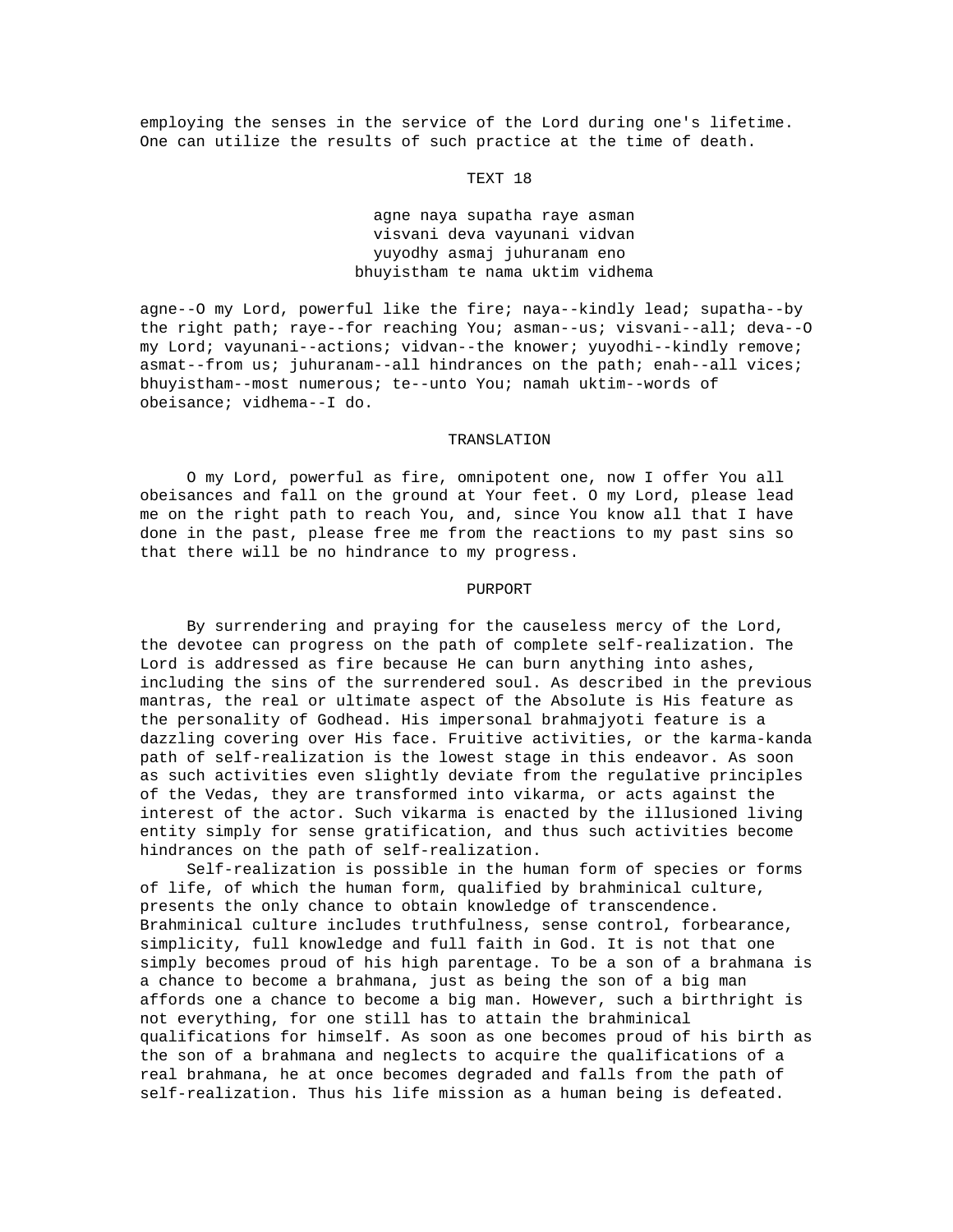employing the senses in the service of the Lord during one's lifetime. One can utilize the results of such practice at the time of death.

## TEXT 18

# agne naya supatha raye asman visvani deva vayunani vidvan yuyodhy asmaj juhuranam eno bhuyistham te nama uktim vidhema

agne--O my Lord, powerful like the fire; naya--kindly lead; supatha--by the right path; raye--for reaching You; asman--us; visvani--all; deva--O my Lord; vayunani--actions; vidvan--the knower; yuyodhi--kindly remove; asmat--from us; juhuranam--all hindrances on the path; enah--all vices; bhuyistham--most numerous; te--unto You; namah uktim--words of obeisance; vidhema--I do.

#### TRANSLATION

 O my Lord, powerful as fire, omnipotent one, now I offer You all obeisances and fall on the ground at Your feet. O my Lord, please lead me on the right path to reach You, and, since You know all that I have done in the past, please free me from the reactions to my past sins so that there will be no hindrance to my progress.

### PURPORT

 By surrendering and praying for the causeless mercy of the Lord, the devotee can progress on the path of complete self-realization. The Lord is addressed as fire because He can burn anything into ashes, including the sins of the surrendered soul. As described in the previous mantras, the real or ultimate aspect of the Absolute is His feature as the personality of Godhead. His impersonal brahmajyoti feature is a dazzling covering over His face. Fruitive activities, or the karma-kanda path of self-realization is the lowest stage in this endeavor. As soon as such activities even slightly deviate from the regulative principles of the Vedas, they are transformed into vikarma, or acts against the interest of the actor. Such vikarma is enacted by the illusioned living entity simply for sense gratification, and thus such activities become hindrances on the path of self-realization.

 Self-realization is possible in the human form of species or forms of life, of which the human form, qualified by brahminical culture, presents the only chance to obtain knowledge of transcendence. Brahminical culture includes truthfulness, sense control, forbearance, simplicity, full knowledge and full faith in God. It is not that one simply becomes proud of his high parentage. To be a son of a brahmana is a chance to become a brahmana, just as being the son of a big man affords one a chance to become a big man. However, such a birthright is not everything, for one still has to attain the brahminical qualifications for himself. As soon as one becomes proud of his birth as the son of a brahmana and neglects to acquire the qualifications of a real brahmana, he at once becomes degraded and falls from the path of self-realization. Thus his life mission as a human being is defeated.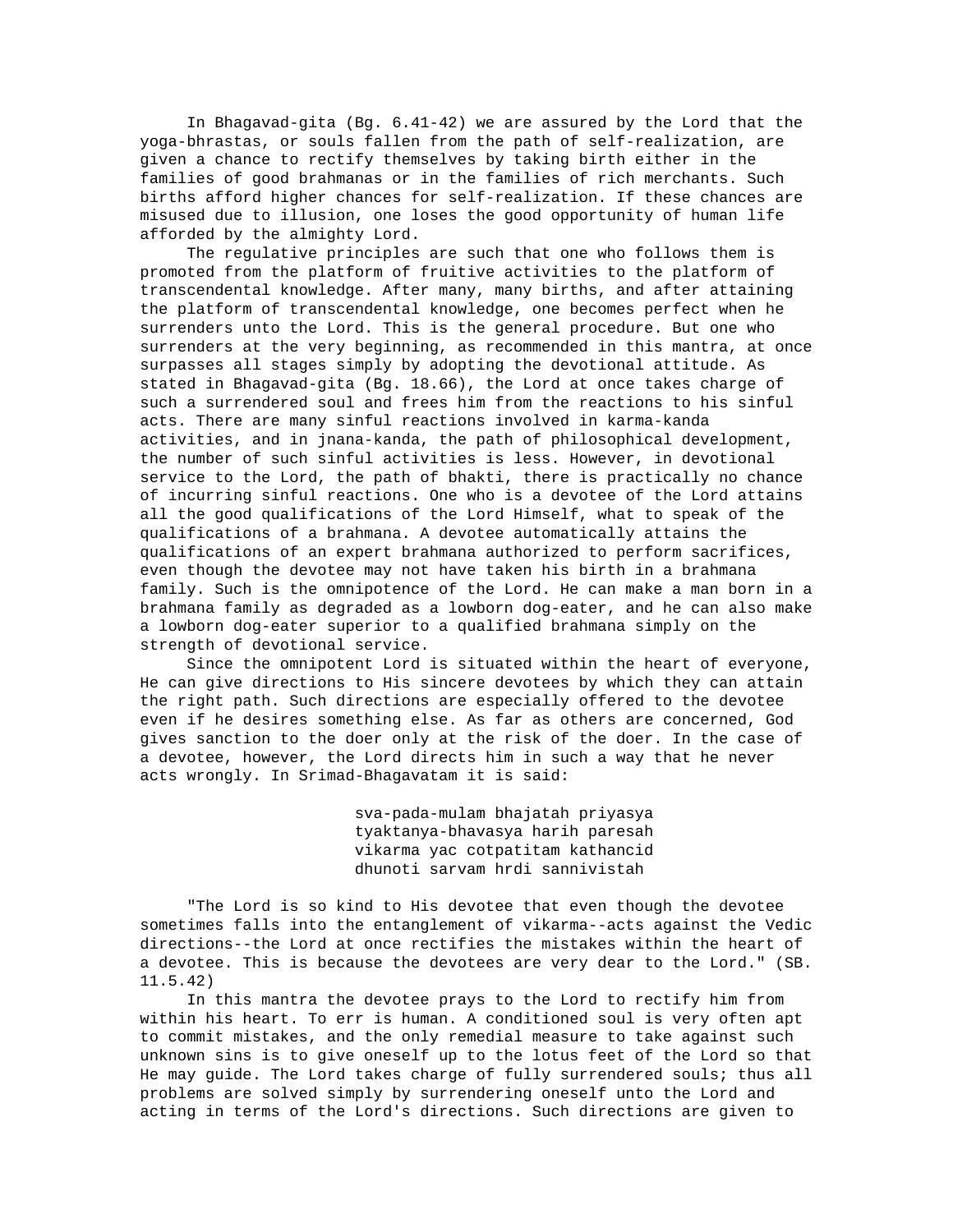In Bhagavad-gita (Bg. 6.41-42) we are assured by the Lord that the yoga-bhrastas, or souls fallen from the path of self-realization, are given a chance to rectify themselves by taking birth either in the families of good brahmanas or in the families of rich merchants. Such births afford higher chances for self-realization. If these chances are misused due to illusion, one loses the good opportunity of human life afforded by the almighty Lord.

 The regulative principles are such that one who follows them is promoted from the platform of fruitive activities to the platform of transcendental knowledge. After many, many births, and after attaining the platform of transcendental knowledge, one becomes perfect when he surrenders unto the Lord. This is the general procedure. But one who surrenders at the very beginning, as recommended in this mantra, at once surpasses all stages simply by adopting the devotional attitude. As stated in Bhagavad-gita (Bg. 18.66), the Lord at once takes charge of such a surrendered soul and frees him from the reactions to his sinful acts. There are many sinful reactions involved in karma-kanda activities, and in jnana-kanda, the path of philosophical development, the number of such sinful activities is less. However, in devotional service to the Lord, the path of bhakti, there is practically no chance of incurring sinful reactions. One who is a devotee of the Lord attains all the good qualifications of the Lord Himself, what to speak of the qualifications of a brahmana. A devotee automatically attains the qualifications of an expert brahmana authorized to perform sacrifices, even though the devotee may not have taken his birth in a brahmana family. Such is the omnipotence of the Lord. He can make a man born in a brahmana family as degraded as a lowborn dog-eater, and he can also make a lowborn dog-eater superior to a qualified brahmana simply on the strength of devotional service.

 Since the omnipotent Lord is situated within the heart of everyone, He can give directions to His sincere devotees by which they can attain the right path. Such directions are especially offered to the devotee even if he desires something else. As far as others are concerned, God gives sanction to the doer only at the risk of the doer. In the case of a devotee, however, the Lord directs him in such a way that he never acts wrongly. In Srimad-Bhagavatam it is said:

> sva-pada-mulam bhajatah priyasya tyaktanya-bhavasya harih paresah vikarma yac cotpatitam kathancid dhunoti sarvam hrdi sannivistah

 "The Lord is so kind to His devotee that even though the devotee sometimes falls into the entanglement of vikarma--acts against the Vedic directions--the Lord at once rectifies the mistakes within the heart of a devotee. This is because the devotees are very dear to the Lord." (SB. 11.5.42)

 In this mantra the devotee prays to the Lord to rectify him from within his heart. To err is human. A conditioned soul is very often apt to commit mistakes, and the only remedial measure to take against such unknown sins is to give oneself up to the lotus feet of the Lord so that He may guide. The Lord takes charge of fully surrendered souls; thus all problems are solved simply by surrendering oneself unto the Lord and acting in terms of the Lord's directions. Such directions are given to